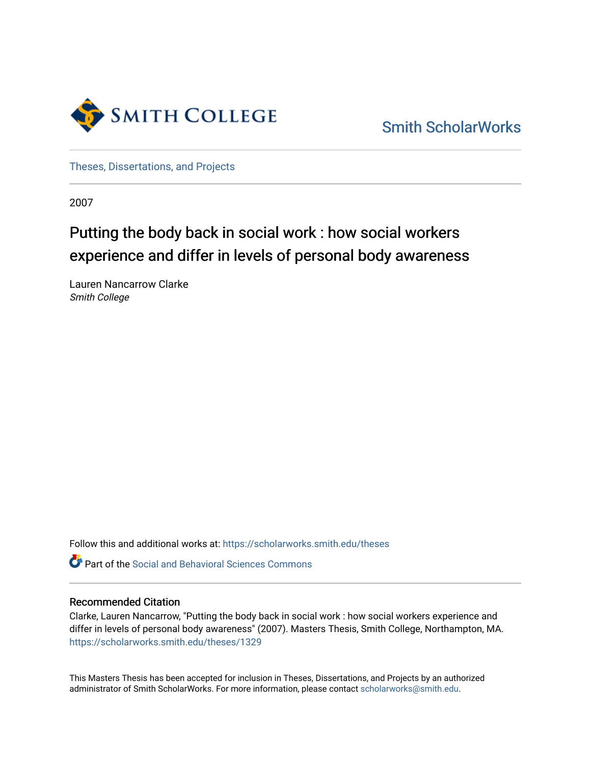

[Smith ScholarWorks](https://scholarworks.smith.edu/) 

[Theses, Dissertations, and Projects](https://scholarworks.smith.edu/theses) 

2007

## Putting the body back in social work : how social workers experience and differ in levels of personal body awareness

Lauren Nancarrow Clarke Smith College

Follow this and additional works at: [https://scholarworks.smith.edu/theses](https://scholarworks.smith.edu/theses?utm_source=scholarworks.smith.edu%2Ftheses%2F1329&utm_medium=PDF&utm_campaign=PDFCoverPages) 

**C** Part of the Social and Behavioral Sciences Commons

#### Recommended Citation

Clarke, Lauren Nancarrow, "Putting the body back in social work : how social workers experience and differ in levels of personal body awareness" (2007). Masters Thesis, Smith College, Northampton, MA. [https://scholarworks.smith.edu/theses/1329](https://scholarworks.smith.edu/theses/1329?utm_source=scholarworks.smith.edu%2Ftheses%2F1329&utm_medium=PDF&utm_campaign=PDFCoverPages)

This Masters Thesis has been accepted for inclusion in Theses, Dissertations, and Projects by an authorized administrator of Smith ScholarWorks. For more information, please contact [scholarworks@smith.edu](mailto:scholarworks@smith.edu).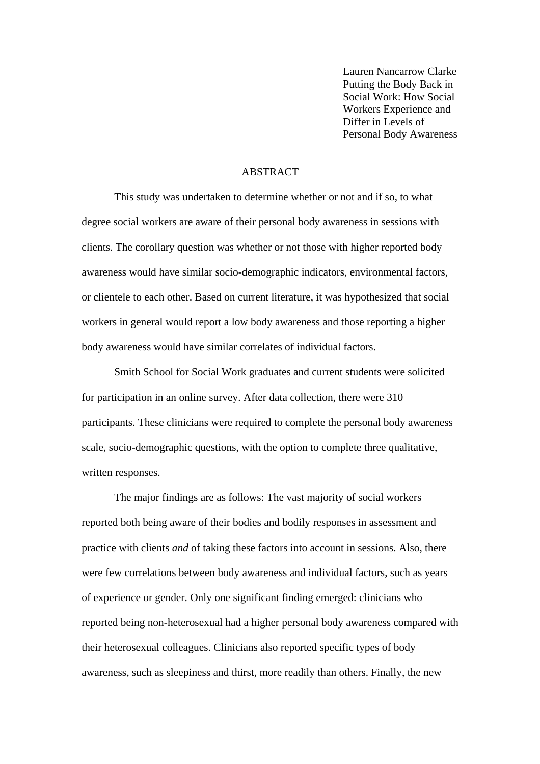Lauren Nancarrow Clarke Putting the Body Back in Social Work: How Social Workers Experience and Differ in Levels of Personal Body Awareness

#### ABSTRACT

This study was undertaken to determine whether or not and if so, to what degree social workers are aware of their personal body awareness in sessions with clients. The corollary question was whether or not those with higher reported body awareness would have similar socio-demographic indicators, environmental factors, or clientele to each other. Based on current literature, it was hypothesized that social workers in general would report a low body awareness and those reporting a higher body awareness would have similar correlates of individual factors.

Smith School for Social Work graduates and current students were solicited for participation in an online survey. After data collection, there were 310 participants. These clinicians were required to complete the personal body awareness scale, socio-demographic questions, with the option to complete three qualitative, written responses.

The major findings are as follows: The vast majority of social workers reported both being aware of their bodies and bodily responses in assessment and practice with clients *and* of taking these factors into account in sessions. Also, there were few correlations between body awareness and individual factors, such as years of experience or gender. Only one significant finding emerged: clinicians who reported being non-heterosexual had a higher personal body awareness compared with their heterosexual colleagues. Clinicians also reported specific types of body awareness, such as sleepiness and thirst, more readily than others. Finally, the new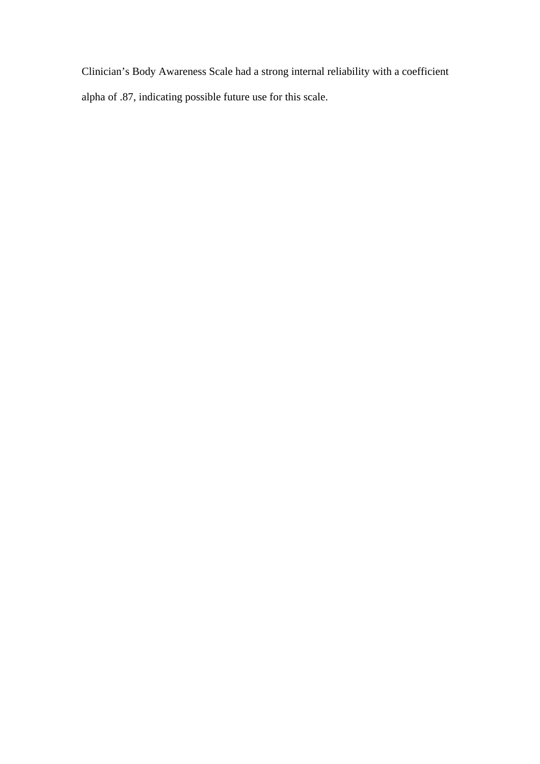Clinician's Body Awareness Scale had a strong internal reliability with a coefficient alpha of .87, indicating possible future use for this scale.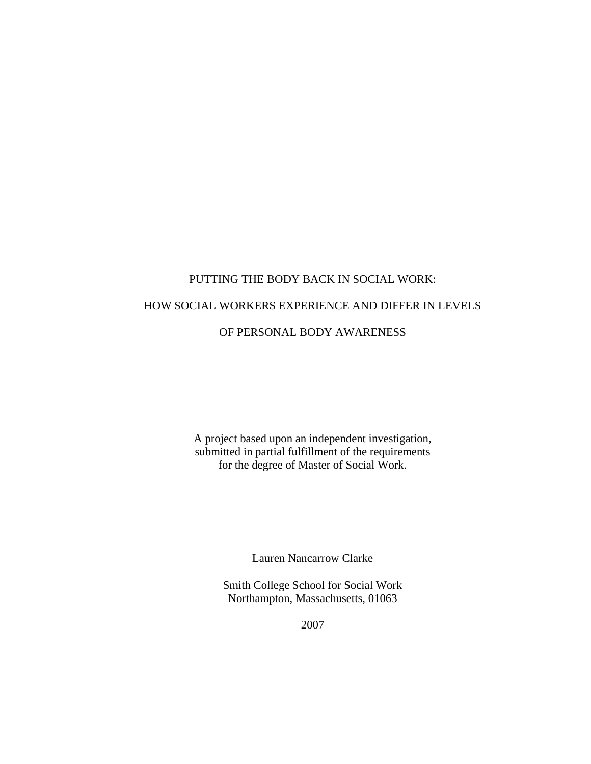# PUTTING THE BODY BACK IN SOCIAL WORK: HOW SOCIAL WORKERS EXPERIENCE AND DIFFER IN LEVELS OF PERSONAL BODY AWARENESS

A project based upon an independent investigation, submitted in partial fulfillment of the requirements for the degree of Master of Social Work.

Lauren Nancarrow Clarke

Smith College School for Social Work Northampton, Massachusetts, 01063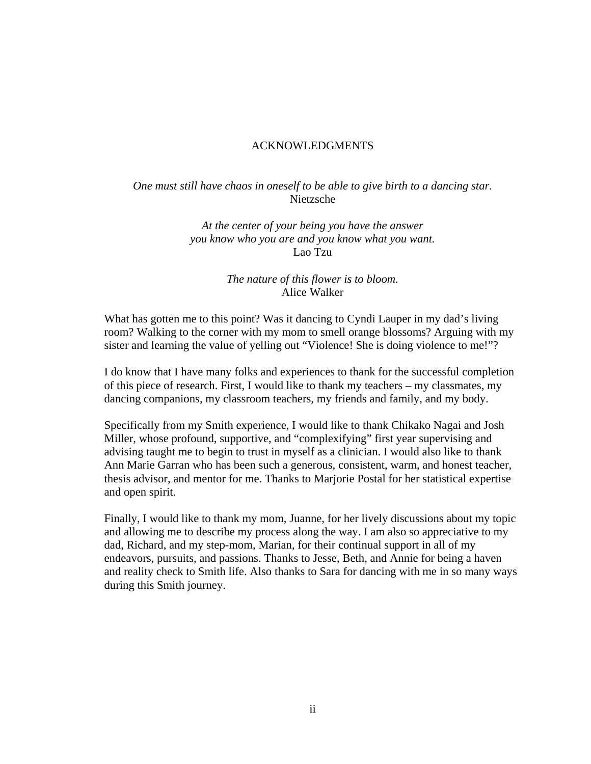#### ACKNOWLEDGMENTS

#### *One must still have chaos in oneself to be able to give birth to a dancing star.*  Nietzsche

*At the center of your being you have the answer you know who you are and you know what you want.* Lao Tzu

> *The nature of this flower is to bloom.*  Alice Walker

What has gotten me to this point? Was it dancing to Cyndi Lauper in my dad's living room? Walking to the corner with my mom to smell orange blossoms? Arguing with my sister and learning the value of yelling out "Violence! She is doing violence to me!"?

I do know that I have many folks and experiences to thank for the successful completion of this piece of research. First, I would like to thank my teachers – my classmates, my dancing companions, my classroom teachers, my friends and family, and my body.

Specifically from my Smith experience, I would like to thank Chikako Nagai and Josh Miller, whose profound, supportive, and "complexifying" first year supervising and advising taught me to begin to trust in myself as a clinician. I would also like to thank Ann Marie Garran who has been such a generous, consistent, warm, and honest teacher, thesis advisor, and mentor for me. Thanks to Marjorie Postal for her statistical expertise and open spirit.

Finally, I would like to thank my mom, Juanne, for her lively discussions about my topic and allowing me to describe my process along the way. I am also so appreciative to my dad, Richard, and my step-mom, Marian, for their continual support in all of my endeavors, pursuits, and passions. Thanks to Jesse, Beth, and Annie for being a haven and reality check to Smith life. Also thanks to Sara for dancing with me in so many ways during this Smith journey.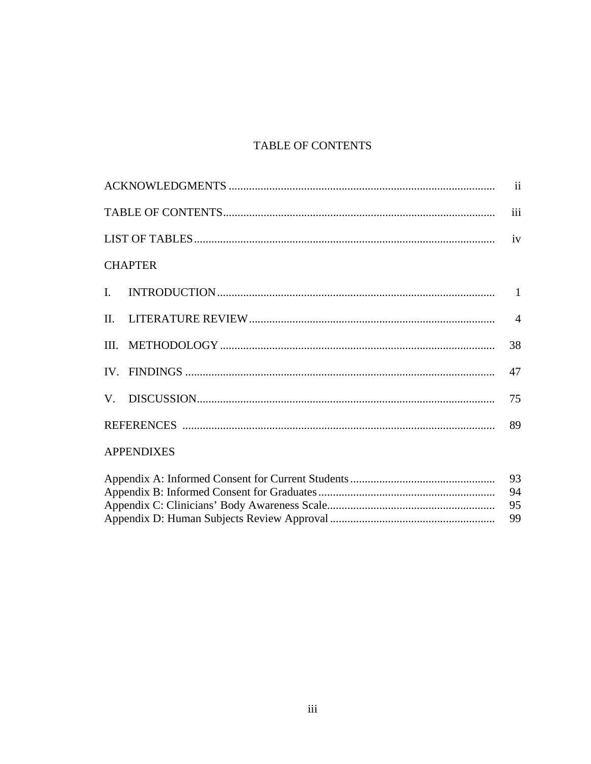## TABLE OF CONTENTS

| <b>CHAPTER</b>    |  |
|-------------------|--|
|                   |  |
|                   |  |
|                   |  |
|                   |  |
|                   |  |
|                   |  |
| <b>APPENDIXES</b> |  |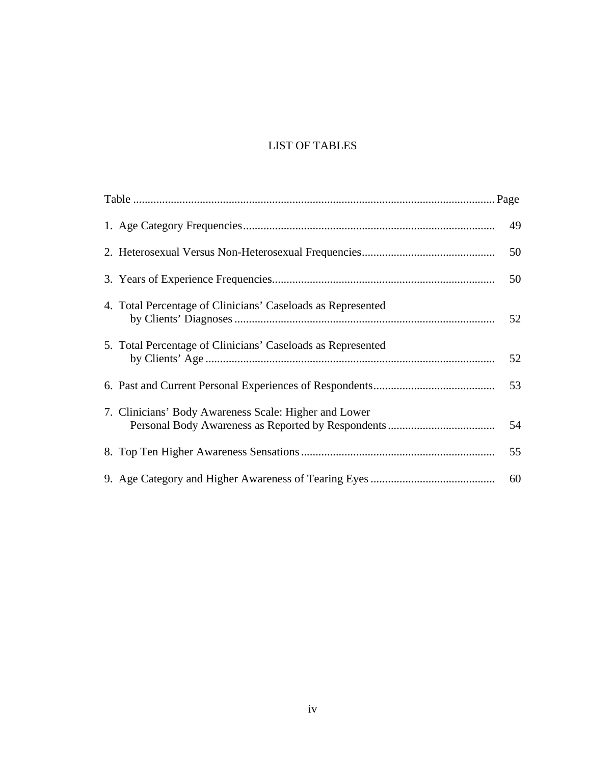## LIST OF TABLES

|                                                             | 50 |
|-------------------------------------------------------------|----|
|                                                             | 50 |
| 4. Total Percentage of Clinicians' Caseloads as Represented |    |
| 5. Total Percentage of Clinicians' Caseloads as Represented | 52 |
|                                                             | 53 |
| 7. Clinicians' Body Awareness Scale: Higher and Lower       | 54 |
|                                                             | 55 |
|                                                             | 60 |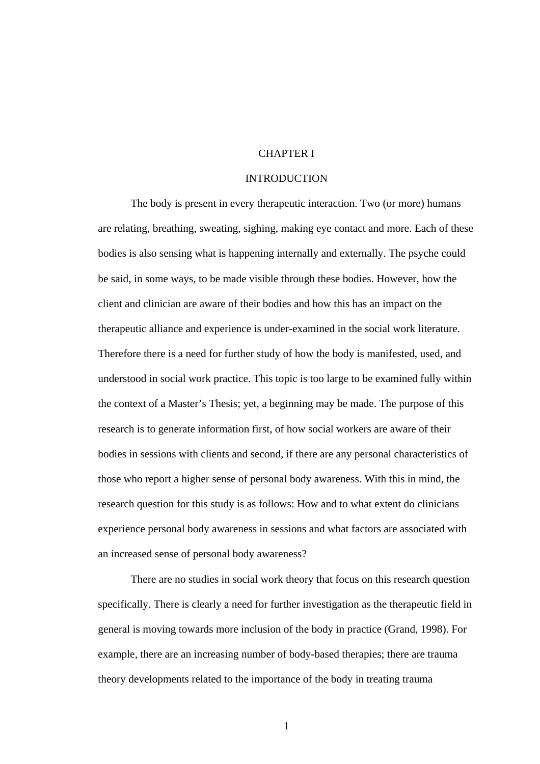#### CHAPTER I

#### INTRODUCTION

The body is present in every therapeutic interaction. Two (or more) humans are relating, breathing, sweating, sighing, making eye contact and more. Each of these bodies is also sensing what is happening internally and externally. The psyche could be said, in some ways, to be made visible through these bodies. However, how the client and clinician are aware of their bodies and how this has an impact on the therapeutic alliance and experience is under-examined in the social work literature. Therefore there is a need for further study of how the body is manifested, used, and understood in social work practice. This topic is too large to be examined fully within the context of a Master's Thesis; yet, a beginning may be made. The purpose of this research is to generate information first, of how social workers are aware of their bodies in sessions with clients and second, if there are any personal characteristics of those who report a higher sense of personal body awareness. With this in mind, the research question for this study is as follows: How and to what extent do clinicians experience personal body awareness in sessions and what factors are associated with an increased sense of personal body awareness?

There are no studies in social work theory that focus on this research question specifically. There is clearly a need for further investigation as the therapeutic field in general is moving towards more inclusion of the body in practice (Grand, 1998). For example, there are an increasing number of body-based therapies; there are trauma theory developments related to the importance of the body in treating trauma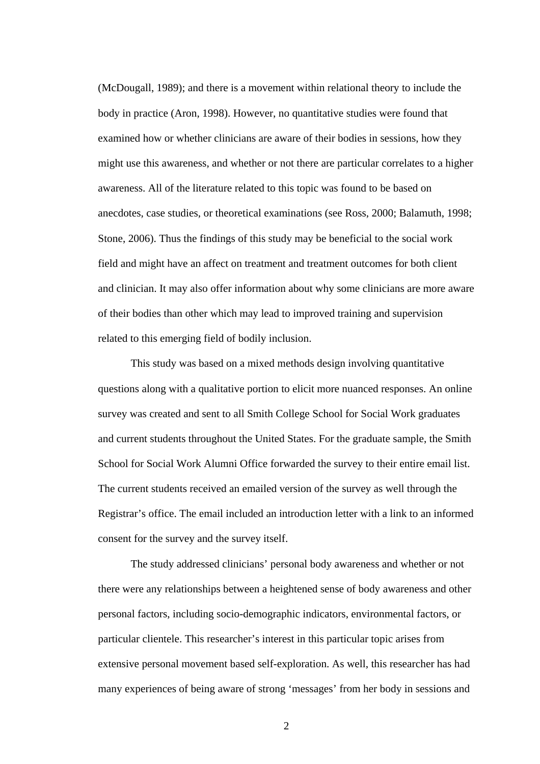(McDougall, 1989); and there is a movement within relational theory to include the body in practice (Aron, 1998). However, no quantitative studies were found that examined how or whether clinicians are aware of their bodies in sessions, how they might use this awareness, and whether or not there are particular correlates to a higher awareness. All of the literature related to this topic was found to be based on anecdotes, case studies, or theoretical examinations (see Ross, 2000; Balamuth, 1998; Stone, 2006). Thus the findings of this study may be beneficial to the social work field and might have an affect on treatment and treatment outcomes for both client and clinician. It may also offer information about why some clinicians are more aware of their bodies than other which may lead to improved training and supervision related to this emerging field of bodily inclusion.

This study was based on a mixed methods design involving quantitative questions along with a qualitative portion to elicit more nuanced responses. An online survey was created and sent to all Smith College School for Social Work graduates and current students throughout the United States. For the graduate sample, the Smith School for Social Work Alumni Office forwarded the survey to their entire email list. The current students received an emailed version of the survey as well through the Registrar's office. The email included an introduction letter with a link to an informed consent for the survey and the survey itself.

The study addressed clinicians' personal body awareness and whether or not there were any relationships between a heightened sense of body awareness and other personal factors, including socio-demographic indicators, environmental factors, or particular clientele. This researcher's interest in this particular topic arises from extensive personal movement based self-exploration. As well, this researcher has had many experiences of being aware of strong 'messages' from her body in sessions and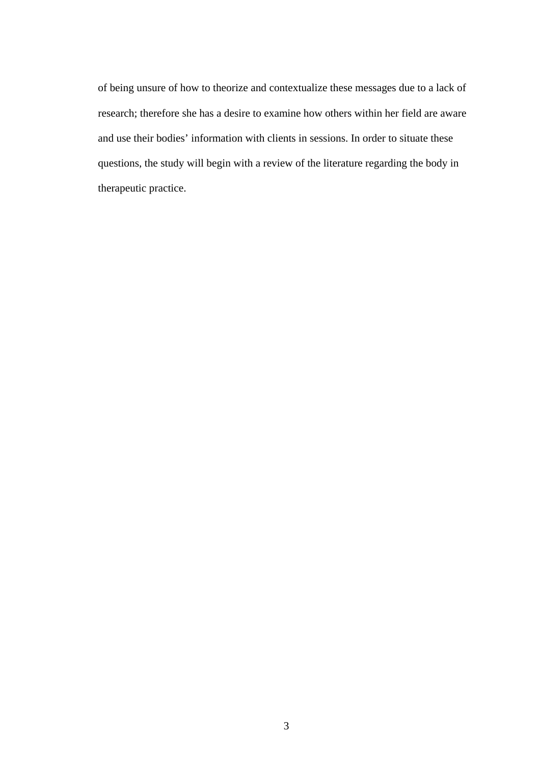of being unsure of how to theorize and contextualize these messages due to a lack of research; therefore she has a desire to examine how others within her field are aware and use their bodies' information with clients in sessions. In order to situate these questions, the study will begin with a review of the literature regarding the body in therapeutic practice.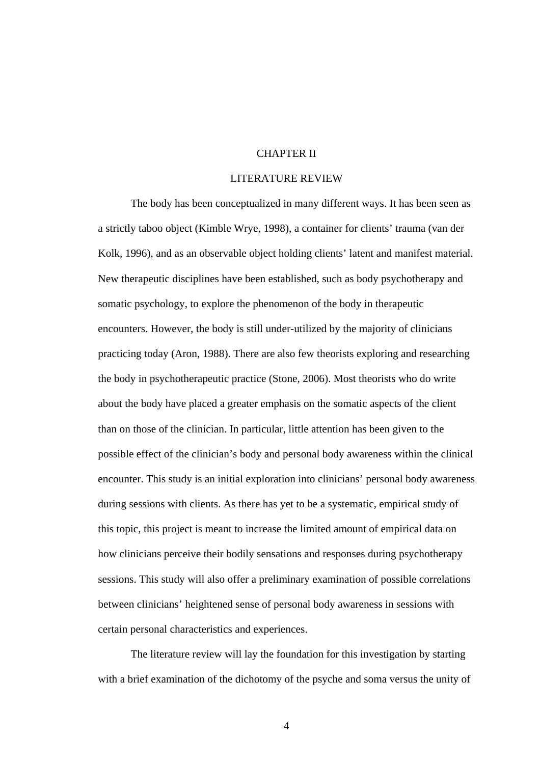#### CHAPTER II

#### LITERATURE REVIEW

The body has been conceptualized in many different ways. It has been seen as a strictly taboo object (Kimble Wrye, 1998), a container for clients' trauma (van der Kolk, 1996), and as an observable object holding clients' latent and manifest material. New therapeutic disciplines have been established, such as body psychotherapy and somatic psychology, to explore the phenomenon of the body in therapeutic encounters. However, the body is still under-utilized by the majority of clinicians practicing today (Aron, 1988). There are also few theorists exploring and researching the body in psychotherapeutic practice (Stone, 2006). Most theorists who do write about the body have placed a greater emphasis on the somatic aspects of the client than on those of the clinician. In particular, little attention has been given to the possible effect of the clinician's body and personal body awareness within the clinical encounter. This study is an initial exploration into clinicians' personal body awareness during sessions with clients. As there has yet to be a systematic, empirical study of this topic, this project is meant to increase the limited amount of empirical data on how clinicians perceive their bodily sensations and responses during psychotherapy sessions. This study will also offer a preliminary examination of possible correlations between clinicians' heightened sense of personal body awareness in sessions with certain personal characteristics and experiences.

The literature review will lay the foundation for this investigation by starting with a brief examination of the dichotomy of the psyche and soma versus the unity of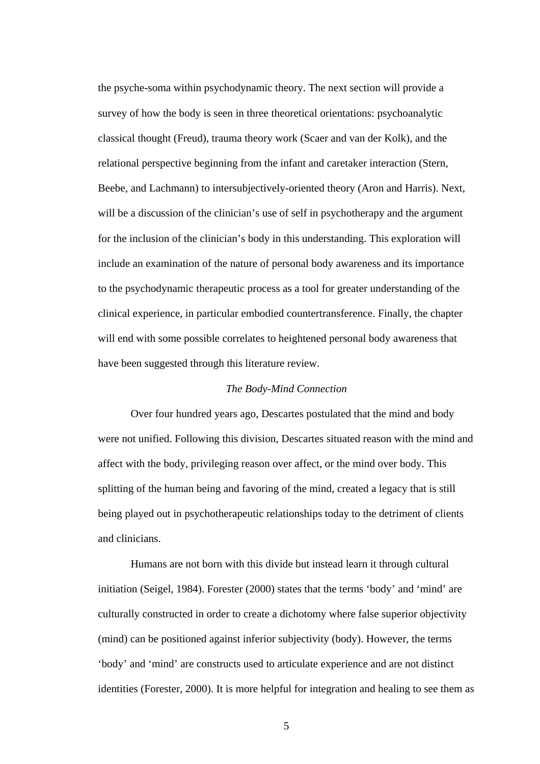the psyche-soma within psychodynamic theory. The next section will provide a survey of how the body is seen in three theoretical orientations: psychoanalytic classical thought (Freud), trauma theory work (Scaer and van der Kolk), and the relational perspective beginning from the infant and caretaker interaction (Stern, Beebe, and Lachmann) to intersubjectively-oriented theory (Aron and Harris). Next, will be a discussion of the clinician's use of self in psychotherapy and the argument for the inclusion of the clinician's body in this understanding. This exploration will include an examination of the nature of personal body awareness and its importance to the psychodynamic therapeutic process as a tool for greater understanding of the clinical experience, in particular embodied countertransference. Finally, the chapter will end with some possible correlates to heightened personal body awareness that have been suggested through this literature review.

#### *The Body-Mind Connection*

Over four hundred years ago, Descartes postulated that the mind and body were not unified. Following this division, Descartes situated reason with the mind and affect with the body, privileging reason over affect, or the mind over body. This splitting of the human being and favoring of the mind, created a legacy that is still being played out in psychotherapeutic relationships today to the detriment of clients and clinicians.

Humans are not born with this divide but instead learn it through cultural initiation (Seigel, 1984). Forester (2000) states that the terms 'body' and 'mind' are culturally constructed in order to create a dichotomy where false superior objectivity (mind) can be positioned against inferior subjectivity (body). However, the terms 'body' and 'mind' are constructs used to articulate experience and are not distinct identities (Forester, 2000). It is more helpful for integration and healing to see them as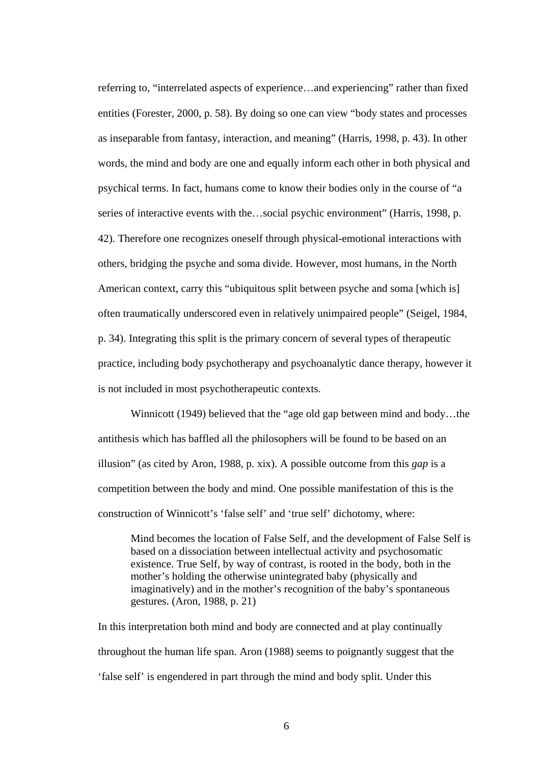referring to, "interrelated aspects of experience…and experiencing" rather than fixed entities (Forester, 2000, p. 58). By doing so one can view "body states and processes as inseparable from fantasy, interaction, and meaning" (Harris, 1998, p. 43). In other words, the mind and body are one and equally inform each other in both physical and psychical terms. In fact, humans come to know their bodies only in the course of "a series of interactive events with the…social psychic environment" (Harris, 1998, p. 42). Therefore one recognizes oneself through physical-emotional interactions with others, bridging the psyche and soma divide. However, most humans, in the North American context, carry this "ubiquitous split between psyche and soma [which is] often traumatically underscored even in relatively unimpaired people" (Seigel, 1984, p. 34). Integrating this split is the primary concern of several types of therapeutic practice, including body psychotherapy and psychoanalytic dance therapy, however it is not included in most psychotherapeutic contexts.

Winnicott (1949) believed that the "age old gap between mind and body…the antithesis which has baffled all the philosophers will be found to be based on an illusion" (as cited by Aron, 1988, p. xix). A possible outcome from this *gap* is a competition between the body and mind. One possible manifestation of this is the construction of Winnicott's 'false self' and 'true self' dichotomy, where:

Mind becomes the location of False Self, and the development of False Self is based on a dissociation between intellectual activity and psychosomatic existence. True Self, by way of contrast, is rooted in the body, both in the mother's holding the otherwise unintegrated baby (physically and imaginatively) and in the mother's recognition of the baby's spontaneous gestures. (Aron, 1988, p. 21)

In this interpretation both mind and body are connected and at play continually throughout the human life span. Aron (1988) seems to poignantly suggest that the 'false self' is engendered in part through the mind and body split. Under this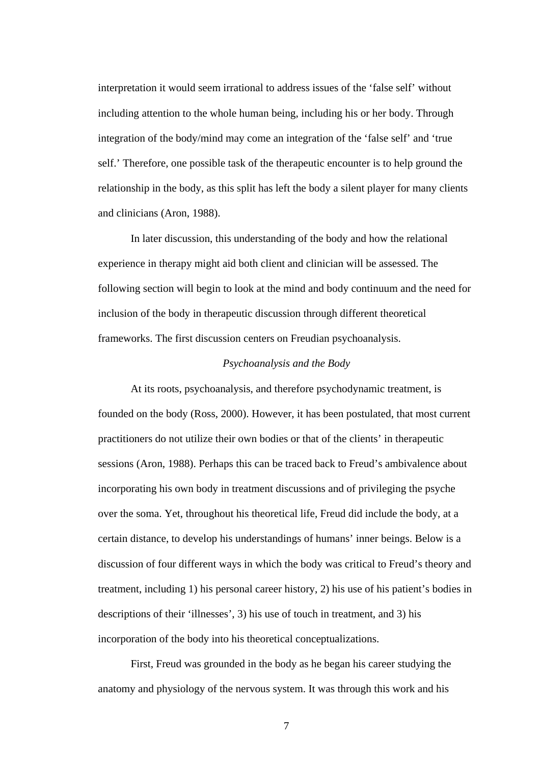interpretation it would seem irrational to address issues of the 'false self' without including attention to the whole human being, including his or her body. Through integration of the body/mind may come an integration of the 'false self' and 'true self.' Therefore, one possible task of the therapeutic encounter is to help ground the relationship in the body, as this split has left the body a silent player for many clients and clinicians (Aron, 1988).

In later discussion, this understanding of the body and how the relational experience in therapy might aid both client and clinician will be assessed. The following section will begin to look at the mind and body continuum and the need for inclusion of the body in therapeutic discussion through different theoretical frameworks. The first discussion centers on Freudian psychoanalysis.

#### *Psychoanalysis and the Body*

At its roots, psychoanalysis, and therefore psychodynamic treatment, is founded on the body (Ross, 2000). However, it has been postulated, that most current practitioners do not utilize their own bodies or that of the clients' in therapeutic sessions (Aron, 1988). Perhaps this can be traced back to Freud's ambivalence about incorporating his own body in treatment discussions and of privileging the psyche over the soma. Yet, throughout his theoretical life, Freud did include the body, at a certain distance, to develop his understandings of humans' inner beings. Below is a discussion of four different ways in which the body was critical to Freud's theory and treatment, including 1) his personal career history, 2) his use of his patient's bodies in descriptions of their 'illnesses', 3) his use of touch in treatment, and 3) his incorporation of the body into his theoretical conceptualizations.

First, Freud was grounded in the body as he began his career studying the anatomy and physiology of the nervous system. It was through this work and his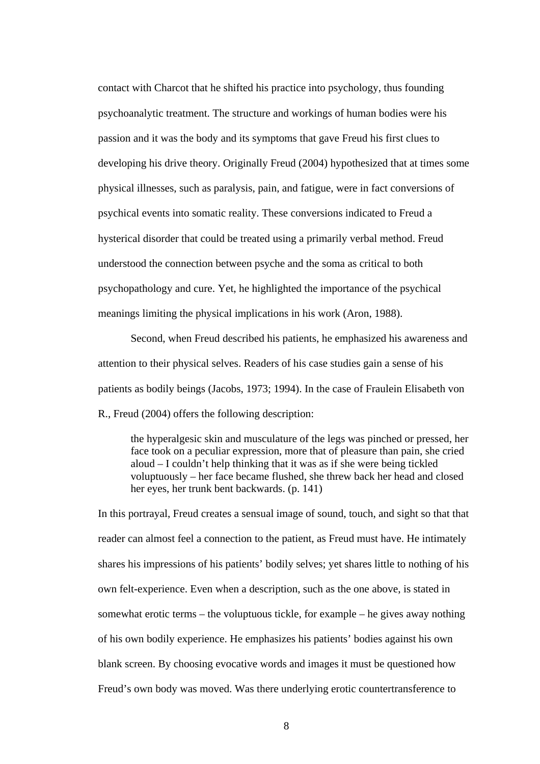contact with Charcot that he shifted his practice into psychology, thus founding psychoanalytic treatment. The structure and workings of human bodies were his passion and it was the body and its symptoms that gave Freud his first clues to developing his drive theory. Originally Freud (2004) hypothesized that at times some physical illnesses, such as paralysis, pain, and fatigue, were in fact conversions of psychical events into somatic reality. These conversions indicated to Freud a hysterical disorder that could be treated using a primarily verbal method. Freud understood the connection between psyche and the soma as critical to both psychopathology and cure. Yet, he highlighted the importance of the psychical meanings limiting the physical implications in his work (Aron, 1988).

Second, when Freud described his patients, he emphasized his awareness and attention to their physical selves. Readers of his case studies gain a sense of his patients as bodily beings (Jacobs, 1973; 1994). In the case of Fraulein Elisabeth von R., Freud (2004) offers the following description:

the hyperalgesic skin and musculature of the legs was pinched or pressed, her face took on a peculiar expression, more that of pleasure than pain, she cried aloud – I couldn't help thinking that it was as if she were being tickled voluptuously – her face became flushed, she threw back her head and closed her eyes, her trunk bent backwards. (p. 141)

In this portrayal, Freud creates a sensual image of sound, touch, and sight so that that reader can almost feel a connection to the patient, as Freud must have. He intimately shares his impressions of his patients' bodily selves; yet shares little to nothing of his own felt-experience. Even when a description, such as the one above, is stated in somewhat erotic terms – the voluptuous tickle, for example – he gives away nothing of his own bodily experience. He emphasizes his patients' bodies against his own blank screen. By choosing evocative words and images it must be questioned how Freud's own body was moved. Was there underlying erotic countertransference to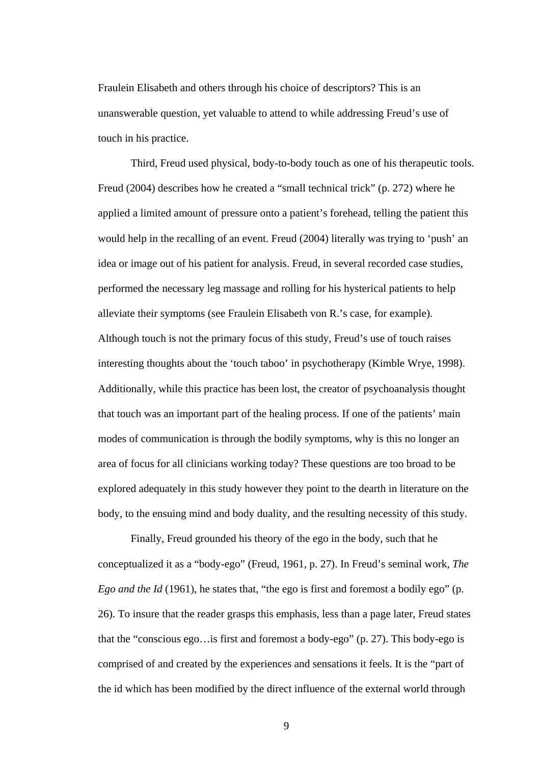Fraulein Elisabeth and others through his choice of descriptors? This is an unanswerable question, yet valuable to attend to while addressing Freud's use of touch in his practice.

Third, Freud used physical, body-to-body touch as one of his therapeutic tools. Freud (2004) describes how he created a "small technical trick" (p. 272) where he applied a limited amount of pressure onto a patient's forehead, telling the patient this would help in the recalling of an event. Freud (2004) literally was trying to 'push' an idea or image out of his patient for analysis. Freud, in several recorded case studies, performed the necessary leg massage and rolling for his hysterical patients to help alleviate their symptoms (see Fraulein Elisabeth von R.'s case, for example). Although touch is not the primary focus of this study, Freud's use of touch raises interesting thoughts about the 'touch taboo' in psychotherapy (Kimble Wrye, 1998). Additionally, while this practice has been lost, the creator of psychoanalysis thought that touch was an important part of the healing process. If one of the patients' main modes of communication is through the bodily symptoms, why is this no longer an area of focus for all clinicians working today? These questions are too broad to be explored adequately in this study however they point to the dearth in literature on the body, to the ensuing mind and body duality, and the resulting necessity of this study.

Finally, Freud grounded his theory of the ego in the body, such that he conceptualized it as a "body-ego" (Freud, 1961, p. 27). In Freud's seminal work, *The Ego and the Id* (1961), he states that, "the ego is first and foremost a bodily ego" (p. 26). To insure that the reader grasps this emphasis, less than a page later, Freud states that the "conscious ego…is first and foremost a body-ego" (p. 27). This body-ego is comprised of and created by the experiences and sensations it feels. It is the "part of the id which has been modified by the direct influence of the external world through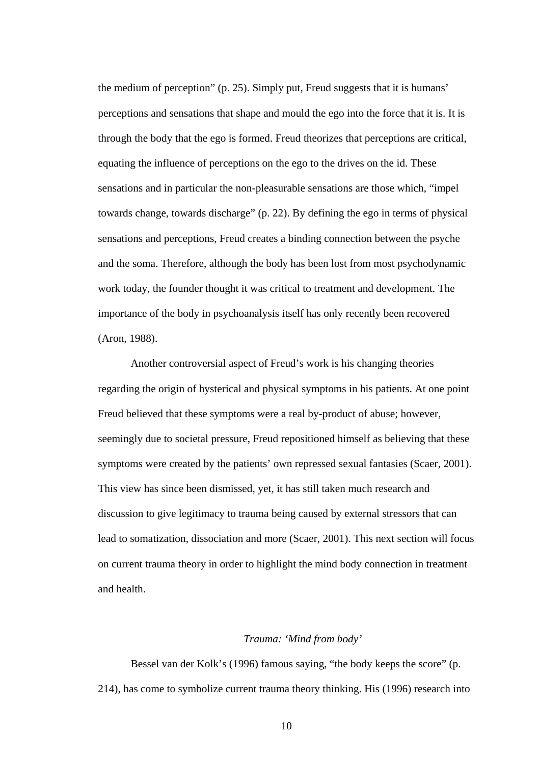the medium of perception" (p. 25). Simply put, Freud suggests that it is humans' perceptions and sensations that shape and mould the ego into the force that it is. It is through the body that the ego is formed. Freud theorizes that perceptions are critical, equating the influence of perceptions on the ego to the drives on the id. These sensations and in particular the non-pleasurable sensations are those which, "impel towards change, towards discharge" (p. 22). By defining the ego in terms of physical sensations and perceptions, Freud creates a binding connection between the psyche and the soma. Therefore, although the body has been lost from most psychodynamic work today, the founder thought it was critical to treatment and development. The importance of the body in psychoanalysis itself has only recently been recovered (Aron, 1988).

Another controversial aspect of Freud's work is his changing theories regarding the origin of hysterical and physical symptoms in his patients. At one point Freud believed that these symptoms were a real by-product of abuse; however, seemingly due to societal pressure, Freud repositioned himself as believing that these symptoms were created by the patients' own repressed sexual fantasies (Scaer, 2001). This view has since been dismissed, yet, it has still taken much research and discussion to give legitimacy to trauma being caused by external stressors that can lead to somatization, dissociation and more (Scaer, 2001). This next section will focus on current trauma theory in order to highlight the mind body connection in treatment and health.

#### *Trauma: 'Mind from body'*

Bessel van der Kolk's (1996) famous saying, "the body keeps the score" (p. 214), has come to symbolize current trauma theory thinking. His (1996) research into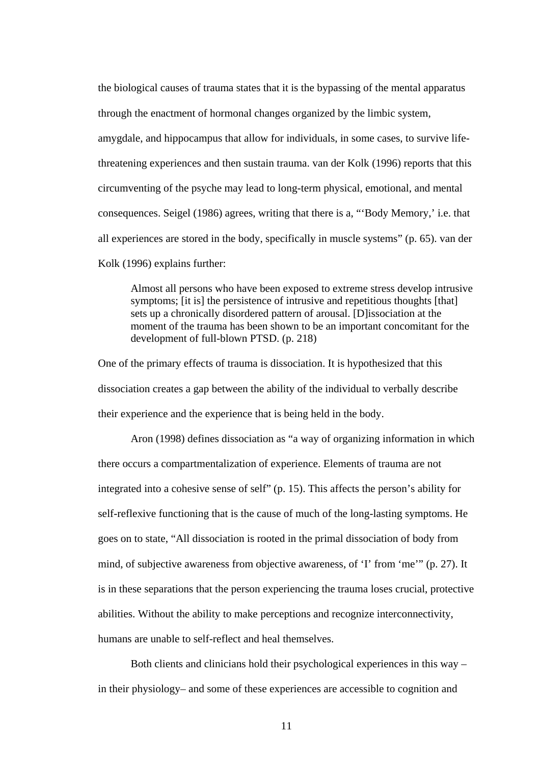the biological causes of trauma states that it is the bypassing of the mental apparatus through the enactment of hormonal changes organized by the limbic system, amygdale, and hippocampus that allow for individuals, in some cases, to survive lifethreatening experiences and then sustain trauma. van der Kolk (1996) reports that this circumventing of the psyche may lead to long-term physical, emotional, and mental consequences. Seigel (1986) agrees, writing that there is a, "'Body Memory,' i.e. that all experiences are stored in the body, specifically in muscle systems" (p. 65). van der Kolk (1996) explains further:

Almost all persons who have been exposed to extreme stress develop intrusive symptoms; [it is] the persistence of intrusive and repetitious thoughts [that] sets up a chronically disordered pattern of arousal. [D]issociation at the moment of the trauma has been shown to be an important concomitant for the development of full-blown PTSD. (p. 218)

One of the primary effects of trauma is dissociation. It is hypothesized that this dissociation creates a gap between the ability of the individual to verbally describe their experience and the experience that is being held in the body.

Aron (1998) defines dissociation as "a way of organizing information in which there occurs a compartmentalization of experience. Elements of trauma are not integrated into a cohesive sense of self" (p. 15). This affects the person's ability for self-reflexive functioning that is the cause of much of the long-lasting symptoms. He goes on to state, "All dissociation is rooted in the primal dissociation of body from mind, of subjective awareness from objective awareness, of 'I' from 'me'" (p. 27). It is in these separations that the person experiencing the trauma loses crucial, protective abilities. Without the ability to make perceptions and recognize interconnectivity, humans are unable to self-reflect and heal themselves.

Both clients and clinicians hold their psychological experiences in this way – in their physiology– and some of these experiences are accessible to cognition and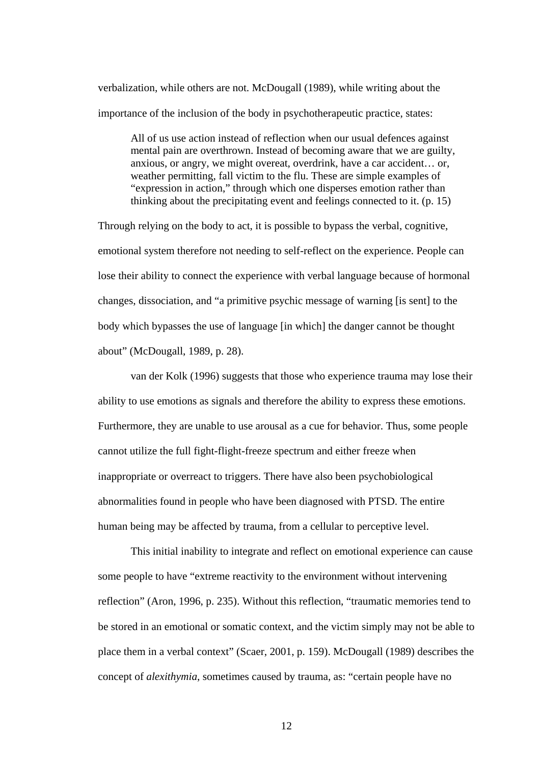verbalization, while others are not. McDougall (1989), while writing about the importance of the inclusion of the body in psychotherapeutic practice, states:

All of us use action instead of reflection when our usual defences against mental pain are overthrown. Instead of becoming aware that we are guilty, anxious, or angry, we might overeat, overdrink, have a car accident… or, weather permitting, fall victim to the flu. These are simple examples of "expression in action," through which one disperses emotion rather than thinking about the precipitating event and feelings connected to it. (p. 15)

Through relying on the body to act, it is possible to bypass the verbal, cognitive, emotional system therefore not needing to self-reflect on the experience. People can lose their ability to connect the experience with verbal language because of hormonal changes, dissociation, and "a primitive psychic message of warning [is sent] to the body which bypasses the use of language [in which] the danger cannot be thought about" (McDougall, 1989, p. 28).

van der Kolk (1996) suggests that those who experience trauma may lose their ability to use emotions as signals and therefore the ability to express these emotions. Furthermore, they are unable to use arousal as a cue for behavior. Thus, some people cannot utilize the full fight-flight-freeze spectrum and either freeze when inappropriate or overreact to triggers. There have also been psychobiological abnormalities found in people who have been diagnosed with PTSD. The entire human being may be affected by trauma, from a cellular to perceptive level.

This initial inability to integrate and reflect on emotional experience can cause some people to have "extreme reactivity to the environment without intervening reflection" (Aron, 1996, p. 235). Without this reflection, "traumatic memories tend to be stored in an emotional or somatic context, and the victim simply may not be able to place them in a verbal context" (Scaer, 2001, p. 159). McDougall (1989) describes the concept of *alexithymia*, sometimes caused by trauma, as: "certain people have no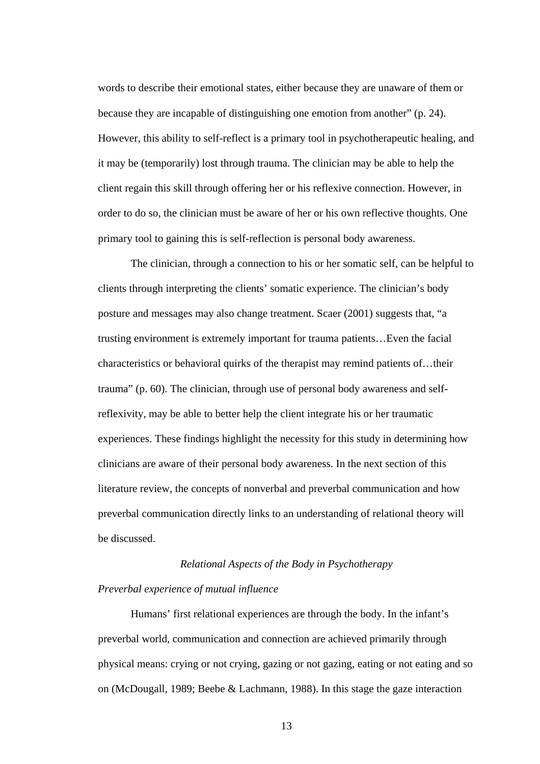words to describe their emotional states, either because they are unaware of them or because they are incapable of distinguishing one emotion from another" (p. 24). However, this ability to self-reflect is a primary tool in psychotherapeutic healing, and it may be (temporarily) lost through trauma. The clinician may be able to help the client regain this skill through offering her or his reflexive connection. However, in order to do so, the clinician must be aware of her or his own reflective thoughts. One primary tool to gaining this is self-reflection is personal body awareness.

The clinician, through a connection to his or her somatic self, can be helpful to clients through interpreting the clients' somatic experience. The clinician's body posture and messages may also change treatment. Scaer (2001) suggests that, "a trusting environment is extremely important for trauma patients…Even the facial characteristics or behavioral quirks of the therapist may remind patients of…their trauma" (p. 60). The clinician, through use of personal body awareness and selfreflexivity, may be able to better help the client integrate his or her traumatic experiences. These findings highlight the necessity for this study in determining how clinicians are aware of their personal body awareness. In the next section of this literature review, the concepts of nonverbal and preverbal communication and how preverbal communication directly links to an understanding of relational theory will be discussed.

#### *Relational Aspects of the Body in Psychotherapy*

#### *Preverbal experience of mutual influence*

Humans' first relational experiences are through the body. In the infant's preverbal world, communication and connection are achieved primarily through physical means: crying or not crying, gazing or not gazing, eating or not eating and so on (McDougall, 1989; Beebe & Lachmann, 1988). In this stage the gaze interaction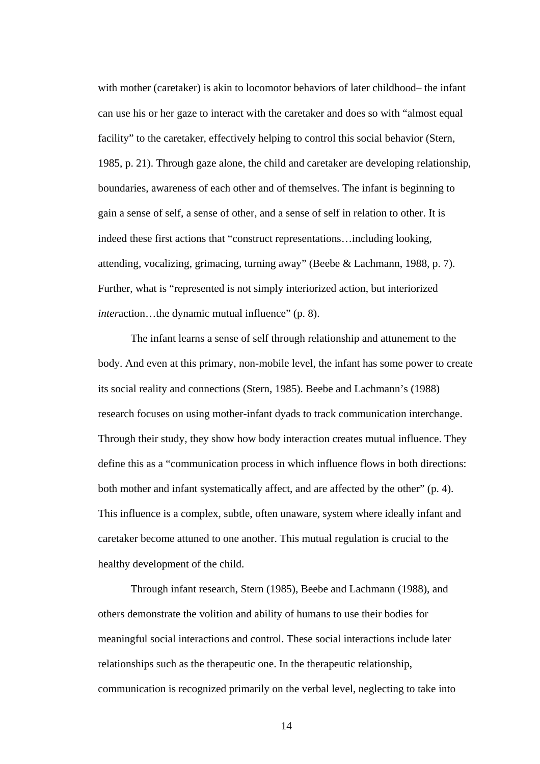with mother (caretaker) is akin to locomotor behaviors of later childhood– the infant can use his or her gaze to interact with the caretaker and does so with "almost equal facility" to the caretaker, effectively helping to control this social behavior (Stern, 1985, p. 21). Through gaze alone, the child and caretaker are developing relationship, boundaries, awareness of each other and of themselves. The infant is beginning to gain a sense of self, a sense of other, and a sense of self in relation to other. It is indeed these first actions that "construct representations…including looking, attending, vocalizing, grimacing, turning away" (Beebe & Lachmann, 1988, p. 7). Further, what is "represented is not simply interiorized action, but interiorized *interaction*…the dynamic mutual influence" (p. 8).

The infant learns a sense of self through relationship and attunement to the body. And even at this primary, non-mobile level, the infant has some power to create its social reality and connections (Stern, 1985). Beebe and Lachmann's (1988) research focuses on using mother-infant dyads to track communication interchange. Through their study, they show how body interaction creates mutual influence. They define this as a "communication process in which influence flows in both directions: both mother and infant systematically affect, and are affected by the other" (p. 4). This influence is a complex, subtle, often unaware, system where ideally infant and caretaker become attuned to one another. This mutual regulation is crucial to the healthy development of the child.

Through infant research, Stern (1985), Beebe and Lachmann (1988), and others demonstrate the volition and ability of humans to use their bodies for meaningful social interactions and control. These social interactions include later relationships such as the therapeutic one. In the therapeutic relationship, communication is recognized primarily on the verbal level, neglecting to take into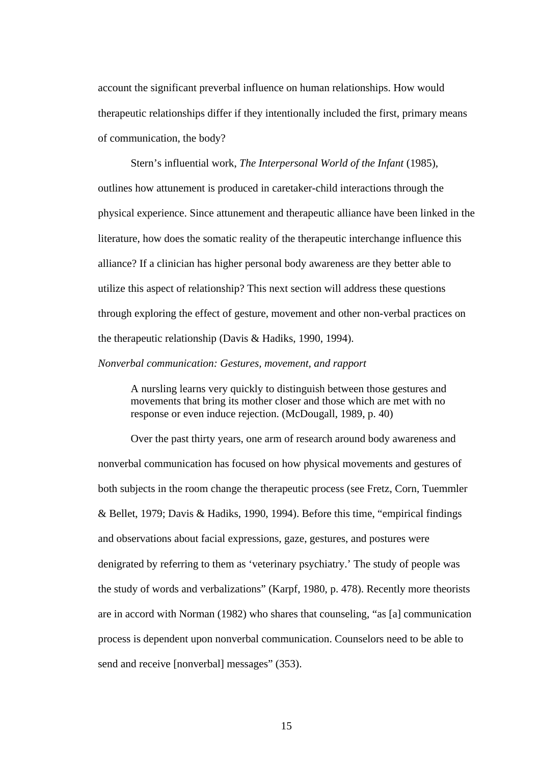account the significant preverbal influence on human relationships. How would therapeutic relationships differ if they intentionally included the first, primary means of communication, the body?

Stern's influential work, *The Interpersonal World of the Infant* (1985), outlines how attunement is produced in caretaker-child interactions through the physical experience. Since attunement and therapeutic alliance have been linked in the literature, how does the somatic reality of the therapeutic interchange influence this alliance? If a clinician has higher personal body awareness are they better able to utilize this aspect of relationship? This next section will address these questions through exploring the effect of gesture, movement and other non-verbal practices on the therapeutic relationship (Davis & Hadiks, 1990, 1994).

#### *Nonverbal communication: Gestures, movement, and rapport*

A nursling learns very quickly to distinguish between those gestures and movements that bring its mother closer and those which are met with no response or even induce rejection. (McDougall, 1989, p. 40)

Over the past thirty years, one arm of research around body awareness and nonverbal communication has focused on how physical movements and gestures of both subjects in the room change the therapeutic process (see Fretz, Corn, Tuemmler & Bellet, 1979; Davis & Hadiks, 1990, 1994). Before this time, "empirical findings and observations about facial expressions, gaze, gestures, and postures were denigrated by referring to them as 'veterinary psychiatry.' The study of people was the study of words and verbalizations" (Karpf, 1980, p. 478). Recently more theorists are in accord with Norman (1982) who shares that counseling, "as [a] communication process is dependent upon nonverbal communication. Counselors need to be able to send and receive [nonverbal] messages" (353).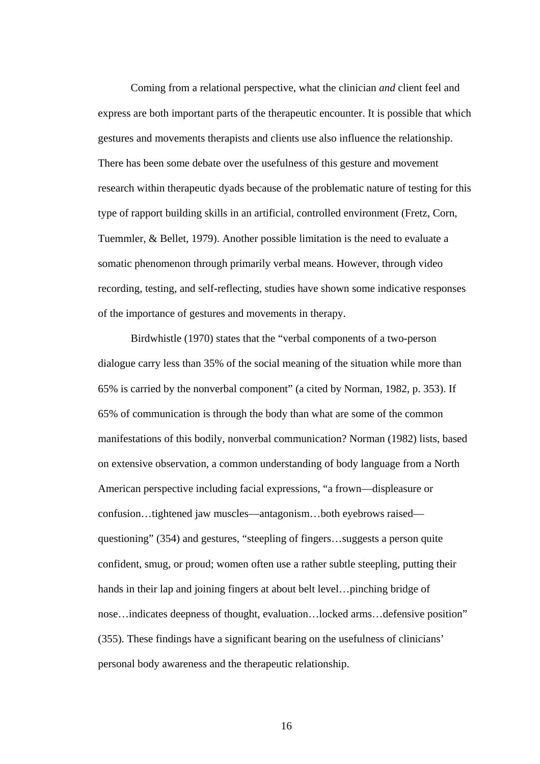Coming from a relational perspective, what the clinician *and* client feel and express are both important parts of the therapeutic encounter. It is possible that which gestures and movements therapists and clients use also influence the relationship. There has been some debate over the usefulness of this gesture and movement research within therapeutic dyads because of the problematic nature of testing for this type of rapport building skills in an artificial, controlled environment (Fretz, Corn, Tuemmler, & Bellet, 1979). Another possible limitation is the need to evaluate a somatic phenomenon through primarily verbal means. However, through video recording, testing, and self-reflecting, studies have shown some indicative responses of the importance of gestures and movements in therapy.

Birdwhistle (1970) states that the "verbal components of a two-person dialogue carry less than 35% of the social meaning of the situation while more than 65% is carried by the nonverbal component" (a cited by Norman, 1982, p. 353). If 65% of communication is through the body than what are some of the common manifestations of this bodily, nonverbal communication? Norman (1982) lists, based on extensive observation, a common understanding of body language from a North American perspective including facial expressions, "a frown—displeasure or confusion…tightened jaw muscles—antagonism…both eyebrows raised questioning" (354) and gestures, "steepling of fingers…suggests a person quite confident, smug, or proud; women often use a rather subtle steepling, putting their hands in their lap and joining fingers at about belt level... pinching bridge of nose…indicates deepness of thought, evaluation…locked arms…defensive position" (355). These findings have a significant bearing on the usefulness of clinicians' personal body awareness and the therapeutic relationship.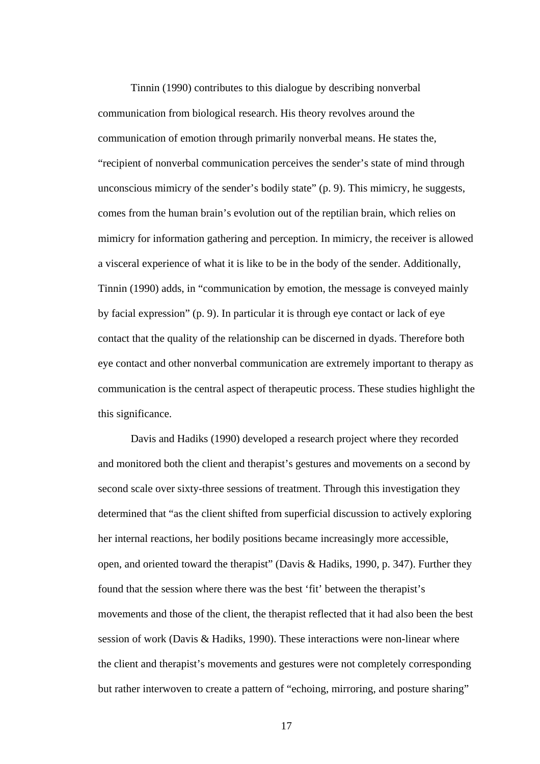Tinnin (1990) contributes to this dialogue by describing nonverbal communication from biological research. His theory revolves around the communication of emotion through primarily nonverbal means. He states the, "recipient of nonverbal communication perceives the sender's state of mind through unconscious mimicry of the sender's bodily state" (p. 9). This mimicry, he suggests, comes from the human brain's evolution out of the reptilian brain, which relies on mimicry for information gathering and perception. In mimicry, the receiver is allowed a visceral experience of what it is like to be in the body of the sender. Additionally, Tinnin (1990) adds, in "communication by emotion, the message is conveyed mainly by facial expression" (p. 9). In particular it is through eye contact or lack of eye contact that the quality of the relationship can be discerned in dyads. Therefore both eye contact and other nonverbal communication are extremely important to therapy as communication is the central aspect of therapeutic process. These studies highlight the this significance.

Davis and Hadiks (1990) developed a research project where they recorded and monitored both the client and therapist's gestures and movements on a second by second scale over sixty-three sessions of treatment. Through this investigation they determined that "as the client shifted from superficial discussion to actively exploring her internal reactions, her bodily positions became increasingly more accessible, open, and oriented toward the therapist" (Davis & Hadiks, 1990, p. 347). Further they found that the session where there was the best 'fit' between the therapist's movements and those of the client, the therapist reflected that it had also been the best session of work (Davis & Hadiks, 1990). These interactions were non-linear where the client and therapist's movements and gestures were not completely corresponding but rather interwoven to create a pattern of "echoing, mirroring, and posture sharing"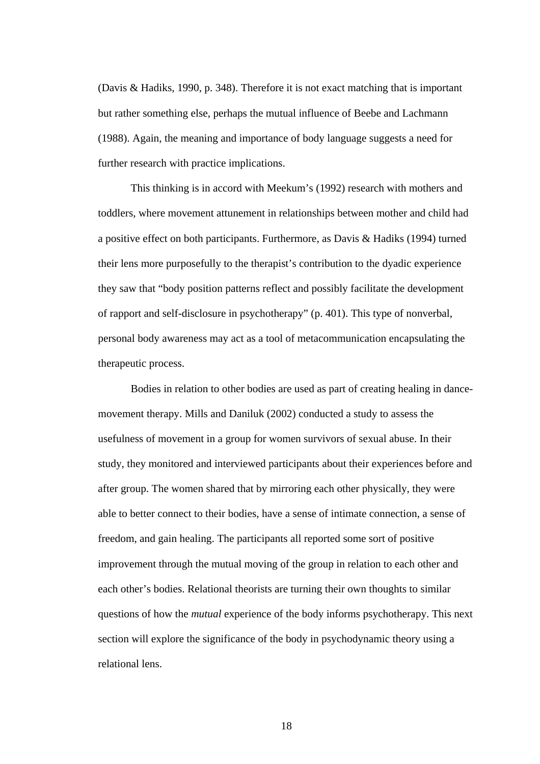(Davis & Hadiks, 1990, p. 348). Therefore it is not exact matching that is important but rather something else, perhaps the mutual influence of Beebe and Lachmann (1988). Again, the meaning and importance of body language suggests a need for further research with practice implications.

This thinking is in accord with Meekum's (1992) research with mothers and toddlers, where movement attunement in relationships between mother and child had a positive effect on both participants. Furthermore, as Davis & Hadiks (1994) turned their lens more purposefully to the therapist's contribution to the dyadic experience they saw that "body position patterns reflect and possibly facilitate the development of rapport and self-disclosure in psychotherapy" (p. 401). This type of nonverbal, personal body awareness may act as a tool of metacommunication encapsulating the therapeutic process.

Bodies in relation to other bodies are used as part of creating healing in dancemovement therapy. Mills and Daniluk (2002) conducted a study to assess the usefulness of movement in a group for women survivors of sexual abuse. In their study, they monitored and interviewed participants about their experiences before and after group. The women shared that by mirroring each other physically, they were able to better connect to their bodies, have a sense of intimate connection, a sense of freedom, and gain healing. The participants all reported some sort of positive improvement through the mutual moving of the group in relation to each other and each other's bodies. Relational theorists are turning their own thoughts to similar questions of how the *mutual* experience of the body informs psychotherapy. This next section will explore the significance of the body in psychodynamic theory using a relational lens.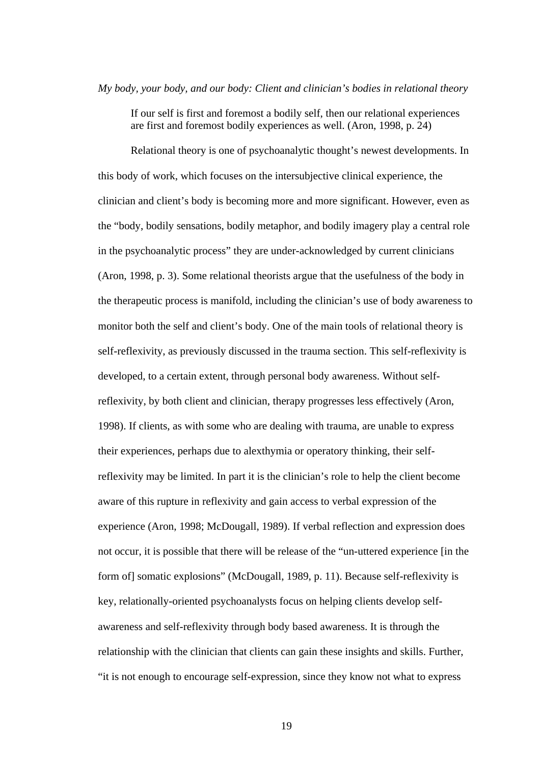*My body, your body, and our body: Client and clinician's bodies in relational theory* 

If our self is first and foremost a bodily self, then our relational experiences are first and foremost bodily experiences as well. (Aron, 1998, p. 24)

Relational theory is one of psychoanalytic thought's newest developments. In this body of work, which focuses on the intersubjective clinical experience, the clinician and client's body is becoming more and more significant. However, even as the "body, bodily sensations, bodily metaphor, and bodily imagery play a central role in the psychoanalytic process" they are under-acknowledged by current clinicians (Aron, 1998, p. 3). Some relational theorists argue that the usefulness of the body in the therapeutic process is manifold, including the clinician's use of body awareness to monitor both the self and client's body. One of the main tools of relational theory is self-reflexivity, as previously discussed in the trauma section. This self-reflexivity is developed, to a certain extent, through personal body awareness. Without selfreflexivity, by both client and clinician, therapy progresses less effectively (Aron, 1998). If clients, as with some who are dealing with trauma, are unable to express their experiences, perhaps due to alexthymia or operatory thinking, their selfreflexivity may be limited. In part it is the clinician's role to help the client become aware of this rupture in reflexivity and gain access to verbal expression of the experience (Aron, 1998; McDougall, 1989). If verbal reflection and expression does not occur, it is possible that there will be release of the "un-uttered experience [in the form of] somatic explosions" (McDougall, 1989, p. 11). Because self-reflexivity is key, relationally-oriented psychoanalysts focus on helping clients develop selfawareness and self-reflexivity through body based awareness. It is through the relationship with the clinician that clients can gain these insights and skills. Further, "it is not enough to encourage self-expression, since they know not what to express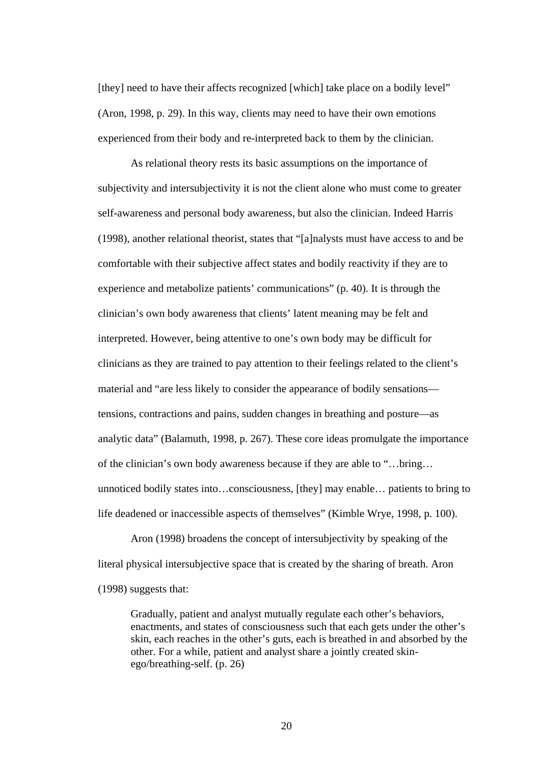[they] need to have their affects recognized [which] take place on a bodily level" (Aron, 1998, p. 29). In this way, clients may need to have their own emotions experienced from their body and re-interpreted back to them by the clinician.

As relational theory rests its basic assumptions on the importance of subjectivity and intersubjectivity it is not the client alone who must come to greater self-awareness and personal body awareness, but also the clinician. Indeed Harris (1998), another relational theorist, states that "[a]nalysts must have access to and be comfortable with their subjective affect states and bodily reactivity if they are to experience and metabolize patients' communications" (p. 40). It is through the clinician's own body awareness that clients' latent meaning may be felt and interpreted. However, being attentive to one's own body may be difficult for clinicians as they are trained to pay attention to their feelings related to the client's material and "are less likely to consider the appearance of bodily sensations tensions, contractions and pains, sudden changes in breathing and posture—as analytic data" (Balamuth, 1998, p. 267). These core ideas promulgate the importance of the clinician's own body awareness because if they are able to "…bring… unnoticed bodily states into…consciousness, [they] may enable… patients to bring to life deadened or inaccessible aspects of themselves" (Kimble Wrye, 1998, p. 100).

Aron (1998) broadens the concept of intersubjectivity by speaking of the literal physical intersubjective space that is created by the sharing of breath. Aron (1998) suggests that:

Gradually, patient and analyst mutually regulate each other's behaviors, enactments, and states of consciousness such that each gets under the other's skin, each reaches in the other's guts, each is breathed in and absorbed by the other. For a while, patient and analyst share a jointly created skinego/breathing-self. (p. 26)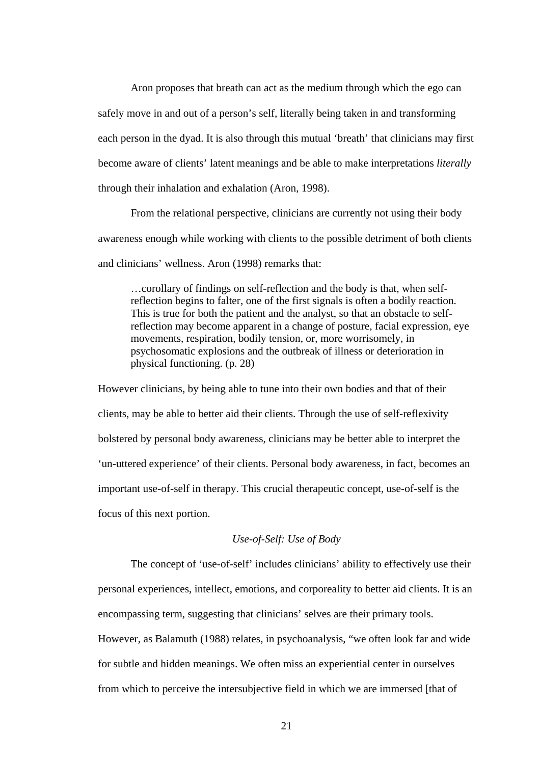Aron proposes that breath can act as the medium through which the ego can safely move in and out of a person's self, literally being taken in and transforming each person in the dyad. It is also through this mutual 'breath' that clinicians may first become aware of clients' latent meanings and be able to make interpretations *literally* through their inhalation and exhalation (Aron, 1998).

From the relational perspective, clinicians are currently not using their body awareness enough while working with clients to the possible detriment of both clients and clinicians' wellness. Aron (1998) remarks that:

…corollary of findings on self-reflection and the body is that, when selfreflection begins to falter, one of the first signals is often a bodily reaction. This is true for both the patient and the analyst, so that an obstacle to selfreflection may become apparent in a change of posture, facial expression, eye movements, respiration, bodily tension, or, more worrisomely, in psychosomatic explosions and the outbreak of illness or deterioration in physical functioning. (p. 28)

However clinicians, by being able to tune into their own bodies and that of their clients, may be able to better aid their clients. Through the use of self-reflexivity bolstered by personal body awareness, clinicians may be better able to interpret the 'un-uttered experience' of their clients. Personal body awareness, in fact, becomes an important use-of-self in therapy. This crucial therapeutic concept, use-of-self is the focus of this next portion.

#### *Use-of-Self: Use of Body*

The concept of 'use-of-self' includes clinicians' ability to effectively use their personal experiences, intellect, emotions, and corporeality to better aid clients. It is an encompassing term, suggesting that clinicians' selves are their primary tools. However, as Balamuth (1988) relates, in psychoanalysis, "we often look far and wide for subtle and hidden meanings. We often miss an experiential center in ourselves from which to perceive the intersubjective field in which we are immersed [that of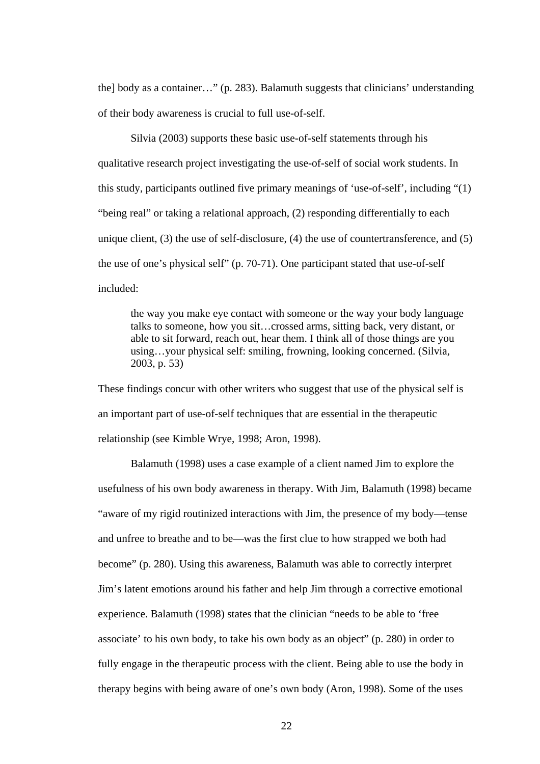the] body as a container…" (p. 283). Balamuth suggests that clinicians' understanding of their body awareness is crucial to full use-of-self.

Silvia (2003) supports these basic use-of-self statements through his qualitative research project investigating the use-of-self of social work students. In this study, participants outlined five primary meanings of 'use-of-self', including "(1) "being real" or taking a relational approach, (2) responding differentially to each unique client, (3) the use of self-disclosure, (4) the use of countertransference, and (5) the use of one's physical self" (p. 70-71). One participant stated that use-of-self included:

the way you make eye contact with someone or the way your body language talks to someone, how you sit…crossed arms, sitting back, very distant, or able to sit forward, reach out, hear them. I think all of those things are you using…your physical self: smiling, frowning, looking concerned. (Silvia, 2003, p. 53)

These findings concur with other writers who suggest that use of the physical self is an important part of use-of-self techniques that are essential in the therapeutic relationship (see Kimble Wrye, 1998; Aron, 1998).

Balamuth (1998) uses a case example of a client named Jim to explore the usefulness of his own body awareness in therapy. With Jim, Balamuth (1998) became "aware of my rigid routinized interactions with Jim, the presence of my body—tense and unfree to breathe and to be—was the first clue to how strapped we both had become" (p. 280). Using this awareness, Balamuth was able to correctly interpret Jim's latent emotions around his father and help Jim through a corrective emotional experience. Balamuth (1998) states that the clinician "needs to be able to 'free associate' to his own body, to take his own body as an object" (p. 280) in order to fully engage in the therapeutic process with the client. Being able to use the body in therapy begins with being aware of one's own body (Aron, 1998). Some of the uses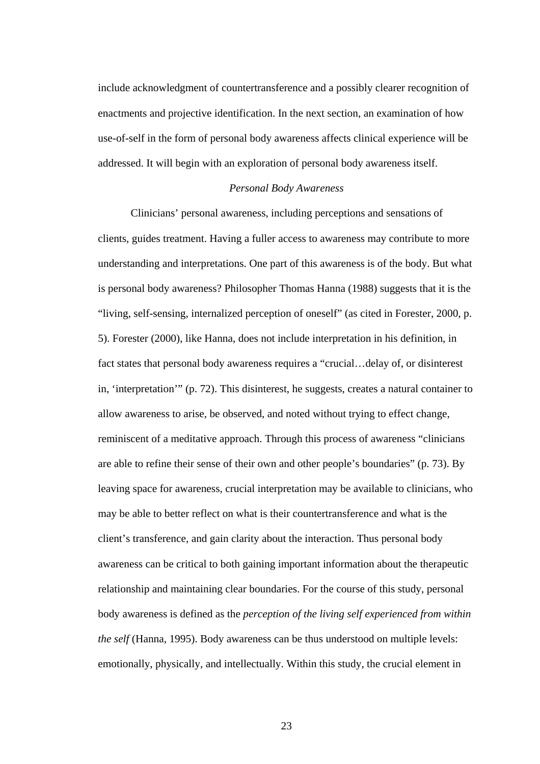include acknowledgment of countertransference and a possibly clearer recognition of enactments and projective identification. In the next section, an examination of how use-of-self in the form of personal body awareness affects clinical experience will be addressed. It will begin with an exploration of personal body awareness itself.

#### *Personal Body Awareness*

Clinicians' personal awareness, including perceptions and sensations of clients, guides treatment. Having a fuller access to awareness may contribute to more understanding and interpretations. One part of this awareness is of the body. But what is personal body awareness? Philosopher Thomas Hanna (1988) suggests that it is the "living, self-sensing, internalized perception of oneself" (as cited in Forester, 2000, p. 5). Forester (2000), like Hanna, does not include interpretation in his definition, in fact states that personal body awareness requires a "crucial…delay of, or disinterest in, 'interpretation'" (p. 72). This disinterest, he suggests, creates a natural container to allow awareness to arise, be observed, and noted without trying to effect change, reminiscent of a meditative approach. Through this process of awareness "clinicians are able to refine their sense of their own and other people's boundaries" (p. 73). By leaving space for awareness, crucial interpretation may be available to clinicians, who may be able to better reflect on what is their countertransference and what is the client's transference, and gain clarity about the interaction. Thus personal body awareness can be critical to both gaining important information about the therapeutic relationship and maintaining clear boundaries. For the course of this study, personal body awareness is defined as the *perception of the living self experienced from within the self* (Hanna, 1995). Body awareness can be thus understood on multiple levels: emotionally, physically, and intellectually. Within this study, the crucial element in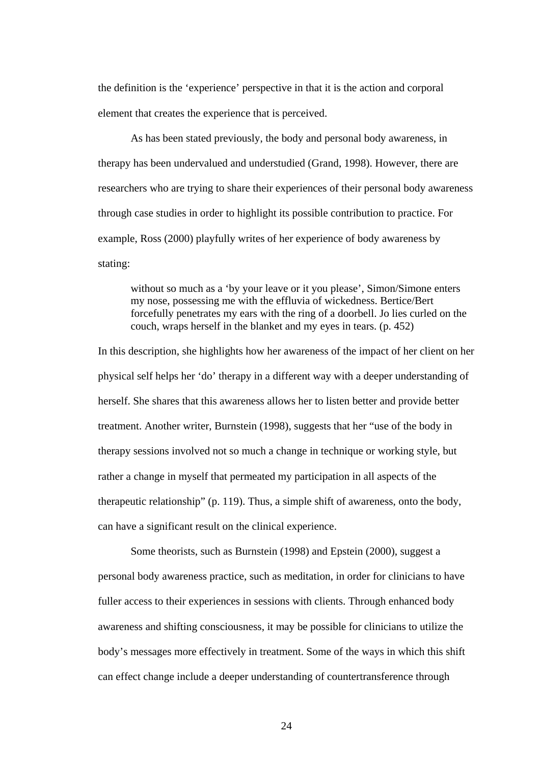the definition is the 'experience' perspective in that it is the action and corporal element that creates the experience that is perceived.

As has been stated previously, the body and personal body awareness, in therapy has been undervalued and understudied (Grand, 1998). However, there are researchers who are trying to share their experiences of their personal body awareness through case studies in order to highlight its possible contribution to practice. For example, Ross (2000) playfully writes of her experience of body awareness by stating:

without so much as a 'by your leave or it you please', Simon/Simone enters my nose, possessing me with the effluvia of wickedness. Bertice/Bert forcefully penetrates my ears with the ring of a doorbell. Jo lies curled on the couch, wraps herself in the blanket and my eyes in tears. (p. 452)

In this description, she highlights how her awareness of the impact of her client on her physical self helps her 'do' therapy in a different way with a deeper understanding of herself. She shares that this awareness allows her to listen better and provide better treatment. Another writer, Burnstein (1998), suggests that her "use of the body in therapy sessions involved not so much a change in technique or working style, but rather a change in myself that permeated my participation in all aspects of the therapeutic relationship" (p. 119). Thus, a simple shift of awareness, onto the body, can have a significant result on the clinical experience.

Some theorists, such as Burnstein (1998) and Epstein (2000), suggest a personal body awareness practice, such as meditation, in order for clinicians to have fuller access to their experiences in sessions with clients. Through enhanced body awareness and shifting consciousness, it may be possible for clinicians to utilize the body's messages more effectively in treatment. Some of the ways in which this shift can effect change include a deeper understanding of countertransference through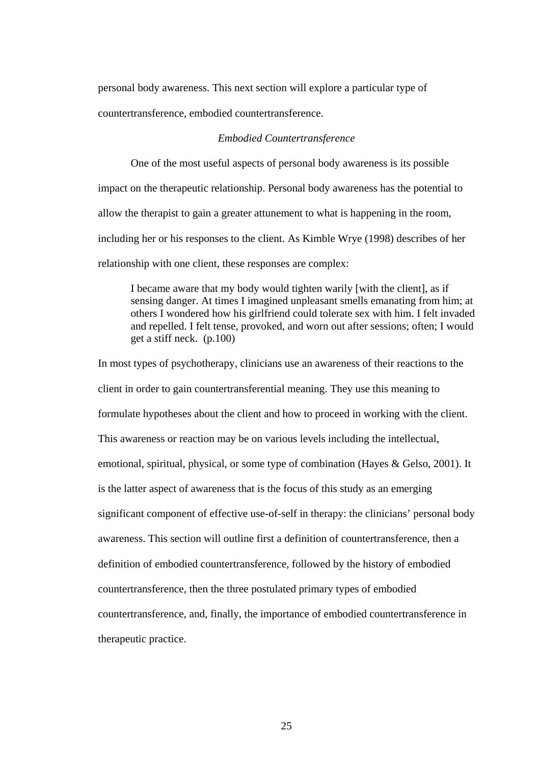personal body awareness. This next section will explore a particular type of

countertransference, embodied countertransference.

#### *Embodied Countertransference*

One of the most useful aspects of personal body awareness is its possible impact on the therapeutic relationship. Personal body awareness has the potential to allow the therapist to gain a greater attunement to what is happening in the room, including her or his responses to the client. As Kimble Wrye (1998) describes of her relationship with one client, these responses are complex:

I became aware that my body would tighten warily [with the client], as if sensing danger. At times I imagined unpleasant smells emanating from him; at others I wondered how his girlfriend could tolerate sex with him. I felt invaded and repelled. I felt tense, provoked, and worn out after sessions; often; I would get a stiff neck. (p.100)

In most types of psychotherapy, clinicians use an awareness of their reactions to the client in order to gain countertransferential meaning. They use this meaning to formulate hypotheses about the client and how to proceed in working with the client. This awareness or reaction may be on various levels including the intellectual, emotional, spiritual, physical, or some type of combination (Hayes & Gelso, 2001). It is the latter aspect of awareness that is the focus of this study as an emerging significant component of effective use-of-self in therapy: the clinicians' personal body awareness. This section will outline first a definition of countertransference, then a definition of embodied countertransference, followed by the history of embodied countertransference, then the three postulated primary types of embodied countertransference, and, finally, the importance of embodied countertransference in therapeutic practice.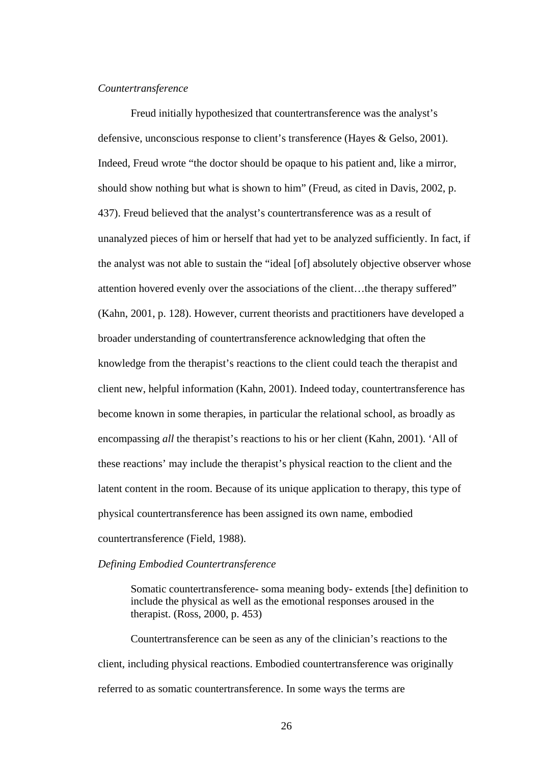#### *Countertransference*

Freud initially hypothesized that countertransference was the analyst's defensive, unconscious response to client's transference (Hayes & Gelso, 2001). Indeed, Freud wrote "the doctor should be opaque to his patient and, like a mirror, should show nothing but what is shown to him" (Freud, as cited in Davis, 2002, p. 437). Freud believed that the analyst's countertransference was as a result of unanalyzed pieces of him or herself that had yet to be analyzed sufficiently. In fact, if the analyst was not able to sustain the "ideal [of] absolutely objective observer whose attention hovered evenly over the associations of the client…the therapy suffered" (Kahn, 2001, p. 128). However, current theorists and practitioners have developed a broader understanding of countertransference acknowledging that often the knowledge from the therapist's reactions to the client could teach the therapist and client new, helpful information (Kahn, 2001). Indeed today, countertransference has become known in some therapies, in particular the relational school, as broadly as encompassing *all* the therapist's reactions to his or her client (Kahn, 2001). 'All of these reactions' may include the therapist's physical reaction to the client and the latent content in the room. Because of its unique application to therapy, this type of physical countertransference has been assigned its own name, embodied countertransference (Field, 1988).

#### *Defining Embodied Countertransference*

Somatic countertransference- soma meaning body- extends [the] definition to include the physical as well as the emotional responses aroused in the therapist. (Ross, 2000, p. 453)

Countertransference can be seen as any of the clinician's reactions to the client, including physical reactions. Embodied countertransference was originally referred to as somatic countertransference. In some ways the terms are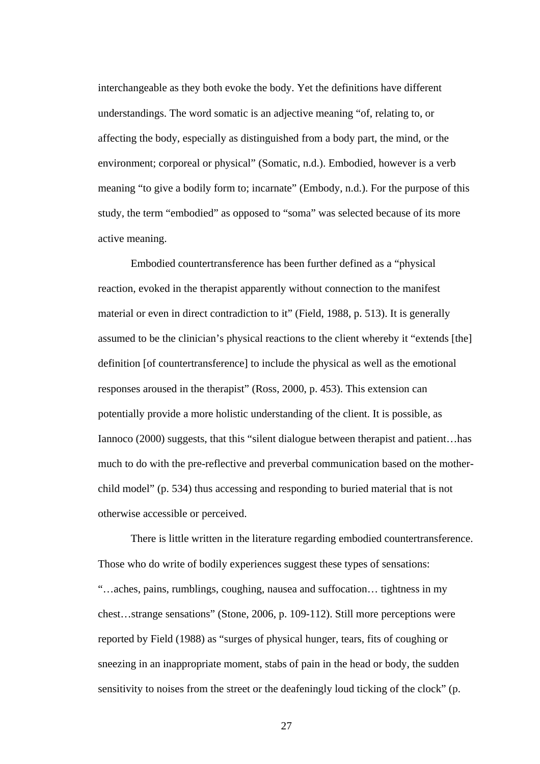interchangeable as they both evoke the body. Yet the definitions have different understandings. The word somatic is an adjective meaning "of, relating to, or affecting the body, especially as distinguished from a body part, the mind, or the environment; corporeal or physical" (Somatic, n.d.). Embodied, however is a verb meaning "to give a bodily form to; incarnate" (Embody, n.d.). For the purpose of this study, the term "embodied" as opposed to "soma" was selected because of its more active meaning.

Embodied countertransference has been further defined as a "physical reaction, evoked in the therapist apparently without connection to the manifest material or even in direct contradiction to it" (Field, 1988, p. 513). It is generally assumed to be the clinician's physical reactions to the client whereby it "extends [the] definition [of countertransference] to include the physical as well as the emotional responses aroused in the therapist" (Ross, 2000, p. 453). This extension can potentially provide a more holistic understanding of the client. It is possible, as Iannoco (2000) suggests, that this "silent dialogue between therapist and patient…has much to do with the pre-reflective and preverbal communication based on the motherchild model" (p. 534) thus accessing and responding to buried material that is not otherwise accessible or perceived.

There is little written in the literature regarding embodied countertransference. Those who do write of bodily experiences suggest these types of sensations: "…aches, pains, rumblings, coughing, nausea and suffocation… tightness in my chest…strange sensations" (Stone, 2006, p. 109-112). Still more perceptions were reported by Field (1988) as "surges of physical hunger, tears, fits of coughing or sneezing in an inappropriate moment, stabs of pain in the head or body, the sudden sensitivity to noises from the street or the deafeningly loud ticking of the clock" (p.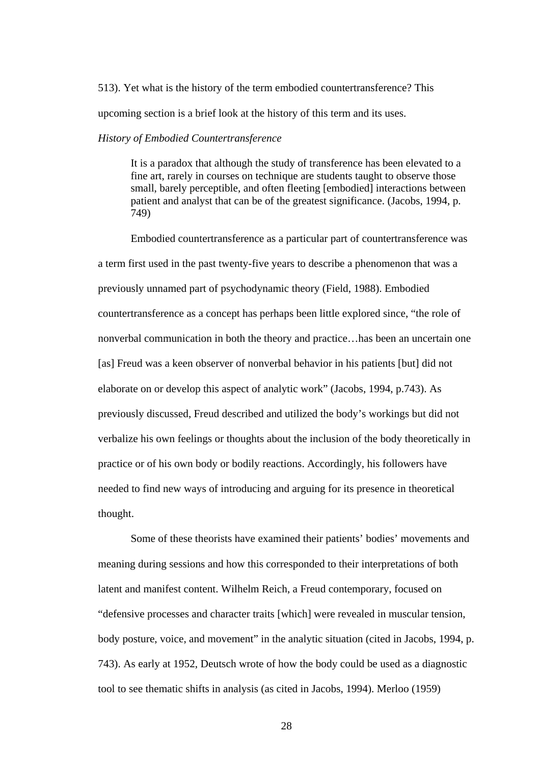513). Yet what is the history of the term embodied countertransference? This upcoming section is a brief look at the history of this term and its uses.

#### *History of Embodied Countertransference*

It is a paradox that although the study of transference has been elevated to a fine art, rarely in courses on technique are students taught to observe those small, barely perceptible, and often fleeting [embodied] interactions between patient and analyst that can be of the greatest significance. (Jacobs, 1994, p. 749)

Embodied countertransference as a particular part of countertransference was a term first used in the past twenty-five years to describe a phenomenon that was a previously unnamed part of psychodynamic theory (Field, 1988). Embodied countertransference as a concept has perhaps been little explored since, "the role of nonverbal communication in both the theory and practice…has been an uncertain one [as] Freud was a keen observer of nonverbal behavior in his patients [but] did not elaborate on or develop this aspect of analytic work" (Jacobs, 1994, p.743). As previously discussed, Freud described and utilized the body's workings but did not verbalize his own feelings or thoughts about the inclusion of the body theoretically in practice or of his own body or bodily reactions. Accordingly, his followers have needed to find new ways of introducing and arguing for its presence in theoretical thought.

Some of these theorists have examined their patients' bodies' movements and meaning during sessions and how this corresponded to their interpretations of both latent and manifest content. Wilhelm Reich, a Freud contemporary, focused on "defensive processes and character traits [which] were revealed in muscular tension, body posture, voice, and movement" in the analytic situation (cited in Jacobs, 1994, p. 743). As early at 1952, Deutsch wrote of how the body could be used as a diagnostic tool to see thematic shifts in analysis (as cited in Jacobs, 1994). Merloo (1959)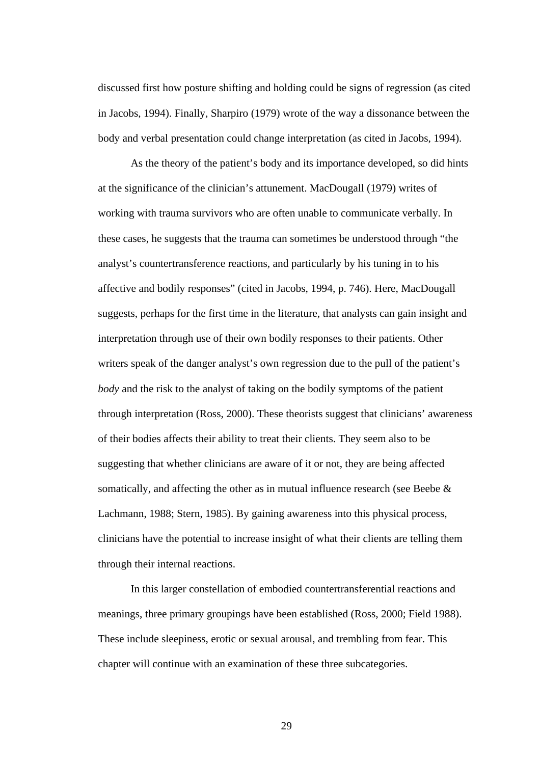discussed first how posture shifting and holding could be signs of regression (as cited in Jacobs, 1994). Finally, Sharpiro (1979) wrote of the way a dissonance between the body and verbal presentation could change interpretation (as cited in Jacobs, 1994).

As the theory of the patient's body and its importance developed, so did hints at the significance of the clinician's attunement. MacDougall (1979) writes of working with trauma survivors who are often unable to communicate verbally. In these cases, he suggests that the trauma can sometimes be understood through "the analyst's countertransference reactions, and particularly by his tuning in to his affective and bodily responses" (cited in Jacobs, 1994, p. 746). Here, MacDougall suggests, perhaps for the first time in the literature, that analysts can gain insight and interpretation through use of their own bodily responses to their patients. Other writers speak of the danger analyst's own regression due to the pull of the patient's *body* and the risk to the analyst of taking on the bodily symptoms of the patient through interpretation (Ross, 2000). These theorists suggest that clinicians' awareness of their bodies affects their ability to treat their clients. They seem also to be suggesting that whether clinicians are aware of it or not, they are being affected somatically, and affecting the other as in mutual influence research (see Beebe & Lachmann, 1988; Stern, 1985). By gaining awareness into this physical process, clinicians have the potential to increase insight of what their clients are telling them through their internal reactions.

In this larger constellation of embodied countertransferential reactions and meanings, three primary groupings have been established (Ross, 2000; Field 1988). These include sleepiness, erotic or sexual arousal, and trembling from fear. This chapter will continue with an examination of these three subcategories.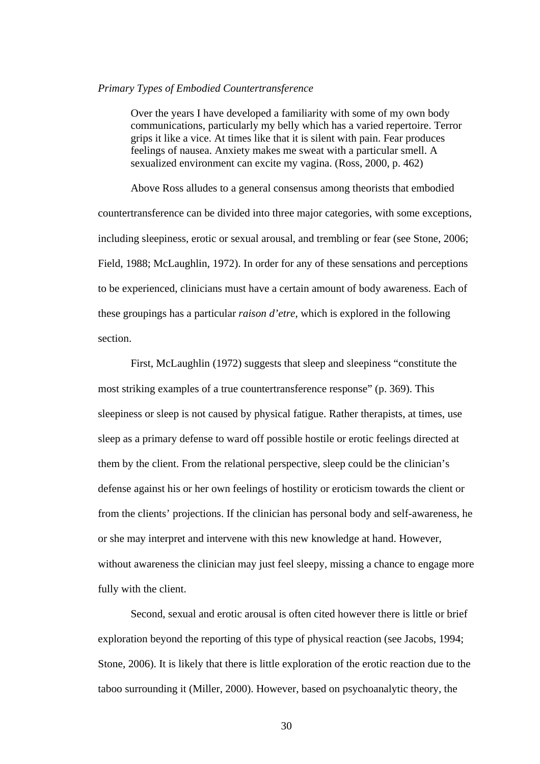#### *Primary Types of Embodied Countertransference*

Over the years I have developed a familiarity with some of my own body communications, particularly my belly which has a varied repertoire. Terror grips it like a vice. At times like that it is silent with pain. Fear produces feelings of nausea. Anxiety makes me sweat with a particular smell. A sexualized environment can excite my vagina. (Ross, 2000, p. 462)

Above Ross alludes to a general consensus among theorists that embodied countertransference can be divided into three major categories, with some exceptions, including sleepiness, erotic or sexual arousal, and trembling or fear (see Stone, 2006; Field, 1988; McLaughlin, 1972). In order for any of these sensations and perceptions to be experienced, clinicians must have a certain amount of body awareness. Each of these groupings has a particular *raison d'etre*, which is explored in the following section.

First, McLaughlin (1972) suggests that sleep and sleepiness "constitute the most striking examples of a true countertransference response" (p. 369). This sleepiness or sleep is not caused by physical fatigue. Rather therapists, at times, use sleep as a primary defense to ward off possible hostile or erotic feelings directed at them by the client. From the relational perspective, sleep could be the clinician's defense against his or her own feelings of hostility or eroticism towards the client or from the clients' projections. If the clinician has personal body and self-awareness, he or she may interpret and intervene with this new knowledge at hand. However, without awareness the clinician may just feel sleepy, missing a chance to engage more fully with the client.

Second, sexual and erotic arousal is often cited however there is little or brief exploration beyond the reporting of this type of physical reaction (see Jacobs, 1994; Stone, 2006). It is likely that there is little exploration of the erotic reaction due to the taboo surrounding it (Miller, 2000). However, based on psychoanalytic theory, the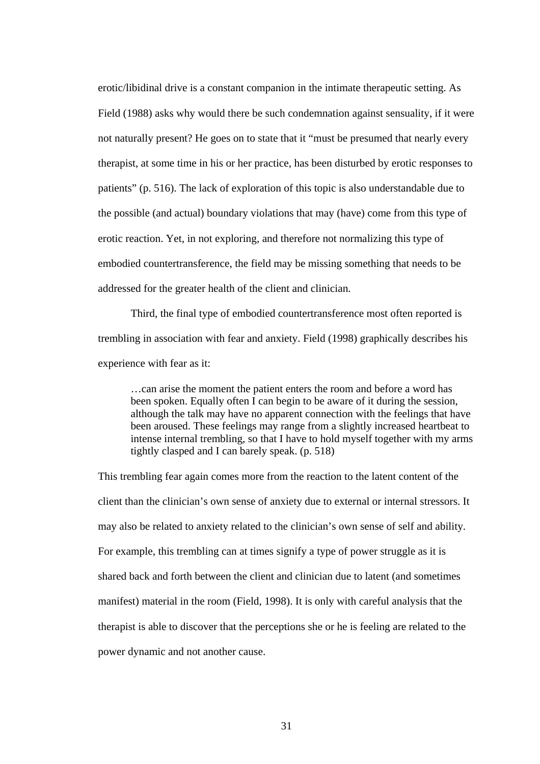erotic/libidinal drive is a constant companion in the intimate therapeutic setting. As Field (1988) asks why would there be such condemnation against sensuality, if it were not naturally present? He goes on to state that it "must be presumed that nearly every therapist, at some time in his or her practice, has been disturbed by erotic responses to patients" (p. 516). The lack of exploration of this topic is also understandable due to the possible (and actual) boundary violations that may (have) come from this type of erotic reaction. Yet, in not exploring, and therefore not normalizing this type of embodied countertransference, the field may be missing something that needs to be addressed for the greater health of the client and clinician.

Third, the final type of embodied countertransference most often reported is trembling in association with fear and anxiety. Field (1998) graphically describes his experience with fear as it:

…can arise the moment the patient enters the room and before a word has been spoken. Equally often I can begin to be aware of it during the session, although the talk may have no apparent connection with the feelings that have been aroused. These feelings may range from a slightly increased heartbeat to intense internal trembling, so that I have to hold myself together with my arms tightly clasped and I can barely speak. (p. 518)

This trembling fear again comes more from the reaction to the latent content of the client than the clinician's own sense of anxiety due to external or internal stressors. It may also be related to anxiety related to the clinician's own sense of self and ability. For example, this trembling can at times signify a type of power struggle as it is shared back and forth between the client and clinician due to latent (and sometimes manifest) material in the room (Field, 1998). It is only with careful analysis that the therapist is able to discover that the perceptions she or he is feeling are related to the power dynamic and not another cause.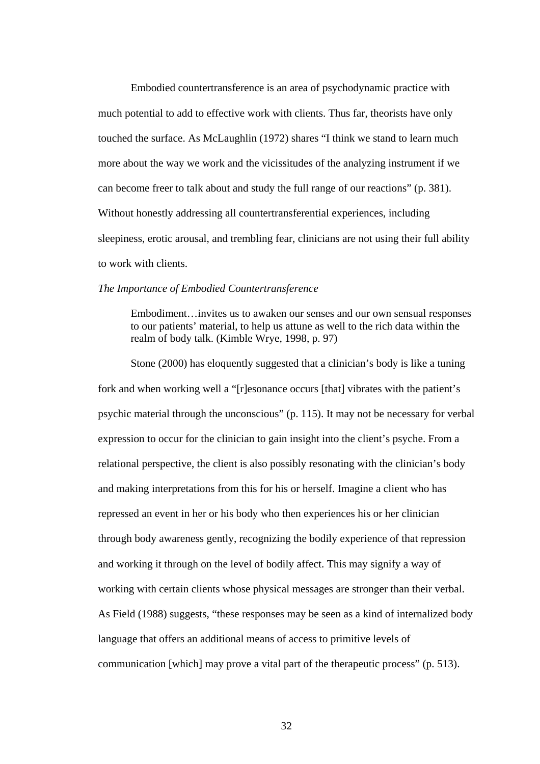Embodied countertransference is an area of psychodynamic practice with much potential to add to effective work with clients. Thus far, theorists have only touched the surface. As McLaughlin (1972) shares "I think we stand to learn much more about the way we work and the vicissitudes of the analyzing instrument if we can become freer to talk about and study the full range of our reactions" (p. 381). Without honestly addressing all countertransferential experiences, including sleepiness, erotic arousal, and trembling fear, clinicians are not using their full ability to work with clients.

### *The Importance of Embodied Countertransference*

Embodiment…invites us to awaken our senses and our own sensual responses to our patients' material, to help us attune as well to the rich data within the realm of body talk. (Kimble Wrye, 1998, p. 97)

 Stone (2000) has eloquently suggested that a clinician's body is like a tuning fork and when working well a "[r]esonance occurs [that] vibrates with the patient's psychic material through the unconscious" (p. 115). It may not be necessary for verbal expression to occur for the clinician to gain insight into the client's psyche. From a relational perspective, the client is also possibly resonating with the clinician's body and making interpretations from this for his or herself. Imagine a client who has repressed an event in her or his body who then experiences his or her clinician through body awareness gently, recognizing the bodily experience of that repression and working it through on the level of bodily affect. This may signify a way of working with certain clients whose physical messages are stronger than their verbal. As Field (1988) suggests, "these responses may be seen as a kind of internalized body language that offers an additional means of access to primitive levels of communication [which] may prove a vital part of the therapeutic process" (p. 513).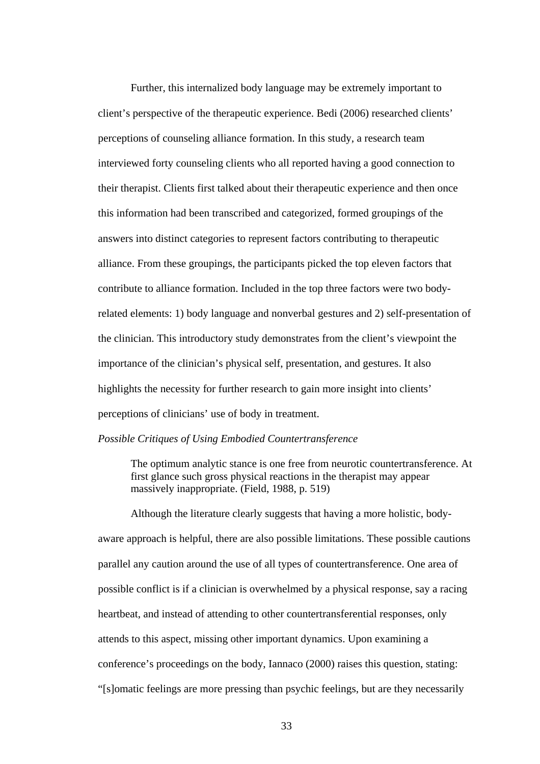Further, this internalized body language may be extremely important to client's perspective of the therapeutic experience. Bedi (2006) researched clients' perceptions of counseling alliance formation. In this study, a research team interviewed forty counseling clients who all reported having a good connection to their therapist. Clients first talked about their therapeutic experience and then once this information had been transcribed and categorized, formed groupings of the answers into distinct categories to represent factors contributing to therapeutic alliance. From these groupings, the participants picked the top eleven factors that contribute to alliance formation. Included in the top three factors were two bodyrelated elements: 1) body language and nonverbal gestures and 2) self-presentation of the clinician. This introductory study demonstrates from the client's viewpoint the importance of the clinician's physical self, presentation, and gestures. It also highlights the necessity for further research to gain more insight into clients' perceptions of clinicians' use of body in treatment.

### *Possible Critiques of Using Embodied Countertransference*

The optimum analytic stance is one free from neurotic countertransference. At first glance such gross physical reactions in the therapist may appear massively inappropriate. (Field, 1988, p. 519)

Although the literature clearly suggests that having a more holistic, bodyaware approach is helpful, there are also possible limitations. These possible cautions parallel any caution around the use of all types of countertransference. One area of possible conflict is if a clinician is overwhelmed by a physical response, say a racing heartbeat, and instead of attending to other countertransferential responses, only attends to this aspect, missing other important dynamics. Upon examining a conference's proceedings on the body, Iannaco (2000) raises this question, stating: "[s]omatic feelings are more pressing than psychic feelings, but are they necessarily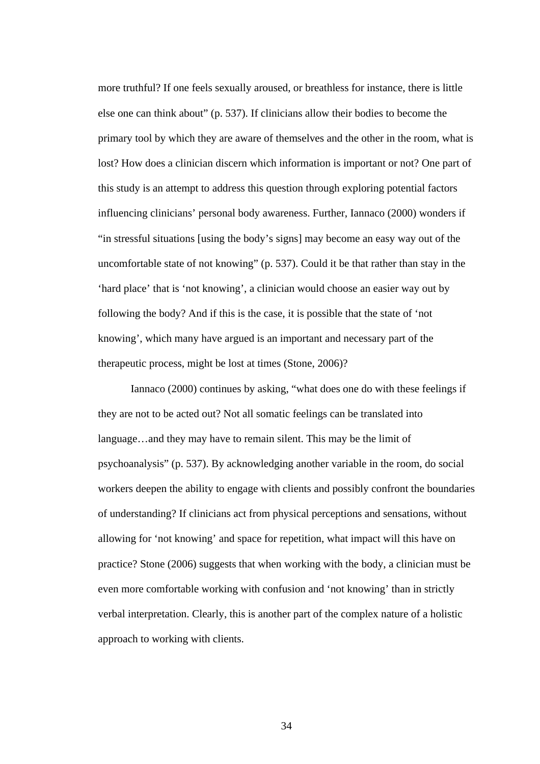more truthful? If one feels sexually aroused, or breathless for instance, there is little else one can think about" (p. 537). If clinicians allow their bodies to become the primary tool by which they are aware of themselves and the other in the room, what is lost? How does a clinician discern which information is important or not? One part of this study is an attempt to address this question through exploring potential factors influencing clinicians' personal body awareness. Further, Iannaco (2000) wonders if "in stressful situations [using the body's signs] may become an easy way out of the uncomfortable state of not knowing" (p. 537). Could it be that rather than stay in the 'hard place' that is 'not knowing', a clinician would choose an easier way out by following the body? And if this is the case, it is possible that the state of 'not knowing', which many have argued is an important and necessary part of the therapeutic process, might be lost at times (Stone, 2006)?

Iannaco (2000) continues by asking, "what does one do with these feelings if they are not to be acted out? Not all somatic feelings can be translated into language…and they may have to remain silent. This may be the limit of psychoanalysis" (p. 537). By acknowledging another variable in the room, do social workers deepen the ability to engage with clients and possibly confront the boundaries of understanding? If clinicians act from physical perceptions and sensations, without allowing for 'not knowing' and space for repetition, what impact will this have on practice? Stone (2006) suggests that when working with the body, a clinician must be even more comfortable working with confusion and 'not knowing' than in strictly verbal interpretation. Clearly, this is another part of the complex nature of a holistic approach to working with clients.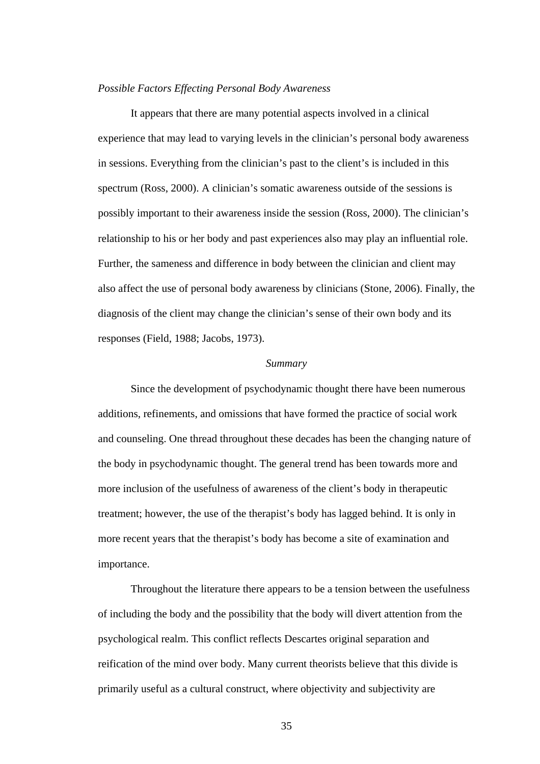### *Possible Factors Effecting Personal Body Awareness*

It appears that there are many potential aspects involved in a clinical experience that may lead to varying levels in the clinician's personal body awareness in sessions. Everything from the clinician's past to the client's is included in this spectrum (Ross, 2000). A clinician's somatic awareness outside of the sessions is possibly important to their awareness inside the session (Ross, 2000). The clinician's relationship to his or her body and past experiences also may play an influential role. Further, the sameness and difference in body between the clinician and client may also affect the use of personal body awareness by clinicians (Stone, 2006). Finally, the diagnosis of the client may change the clinician's sense of their own body and its responses (Field, 1988; Jacobs, 1973).

#### *Summary*

Since the development of psychodynamic thought there have been numerous additions, refinements, and omissions that have formed the practice of social work and counseling. One thread throughout these decades has been the changing nature of the body in psychodynamic thought. The general trend has been towards more and more inclusion of the usefulness of awareness of the client's body in therapeutic treatment; however, the use of the therapist's body has lagged behind. It is only in more recent years that the therapist's body has become a site of examination and importance.

Throughout the literature there appears to be a tension between the usefulness of including the body and the possibility that the body will divert attention from the psychological realm. This conflict reflects Descartes original separation and reification of the mind over body. Many current theorists believe that this divide is primarily useful as a cultural construct, where objectivity and subjectivity are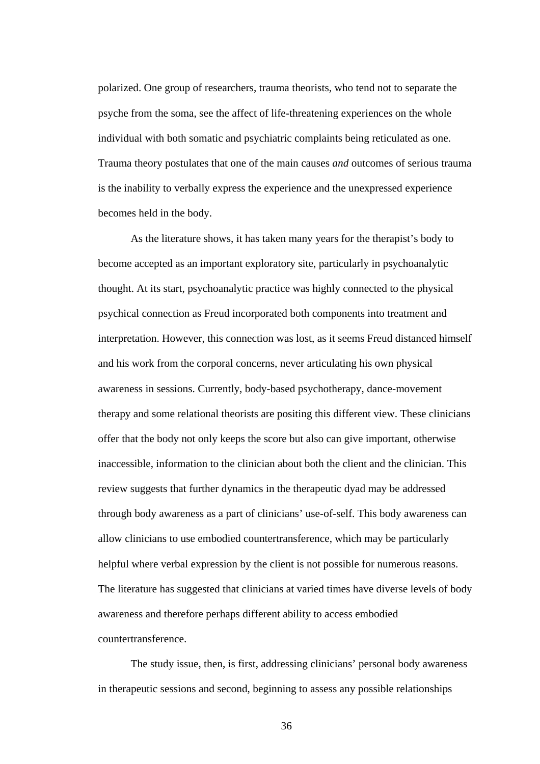polarized. One group of researchers, trauma theorists, who tend not to separate the psyche from the soma, see the affect of life-threatening experiences on the whole individual with both somatic and psychiatric complaints being reticulated as one. Trauma theory postulates that one of the main causes *and* outcomes of serious trauma is the inability to verbally express the experience and the unexpressed experience becomes held in the body.

As the literature shows, it has taken many years for the therapist's body to become accepted as an important exploratory site, particularly in psychoanalytic thought. At its start, psychoanalytic practice was highly connected to the physical psychical connection as Freud incorporated both components into treatment and interpretation. However, this connection was lost, as it seems Freud distanced himself and his work from the corporal concerns, never articulating his own physical awareness in sessions. Currently, body-based psychotherapy, dance-movement therapy and some relational theorists are positing this different view. These clinicians offer that the body not only keeps the score but also can give important, otherwise inaccessible, information to the clinician about both the client and the clinician. This review suggests that further dynamics in the therapeutic dyad may be addressed through body awareness as a part of clinicians' use-of-self. This body awareness can allow clinicians to use embodied countertransference, which may be particularly helpful where verbal expression by the client is not possible for numerous reasons. The literature has suggested that clinicians at varied times have diverse levels of body awareness and therefore perhaps different ability to access embodied countertransference.

The study issue, then, is first, addressing clinicians' personal body awareness in therapeutic sessions and second, beginning to assess any possible relationships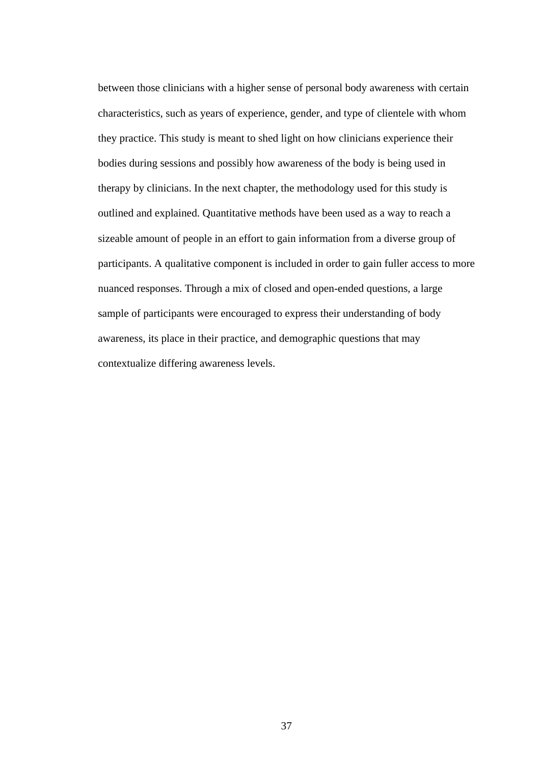between those clinicians with a higher sense of personal body awareness with certain characteristics, such as years of experience, gender, and type of clientele with whom they practice. This study is meant to shed light on how clinicians experience their bodies during sessions and possibly how awareness of the body is being used in therapy by clinicians. In the next chapter, the methodology used for this study is outlined and explained. Quantitative methods have been used as a way to reach a sizeable amount of people in an effort to gain information from a diverse group of participants. A qualitative component is included in order to gain fuller access to more nuanced responses. Through a mix of closed and open-ended questions, a large sample of participants were encouraged to express their understanding of body awareness, its place in their practice, and demographic questions that may contextualize differing awareness levels.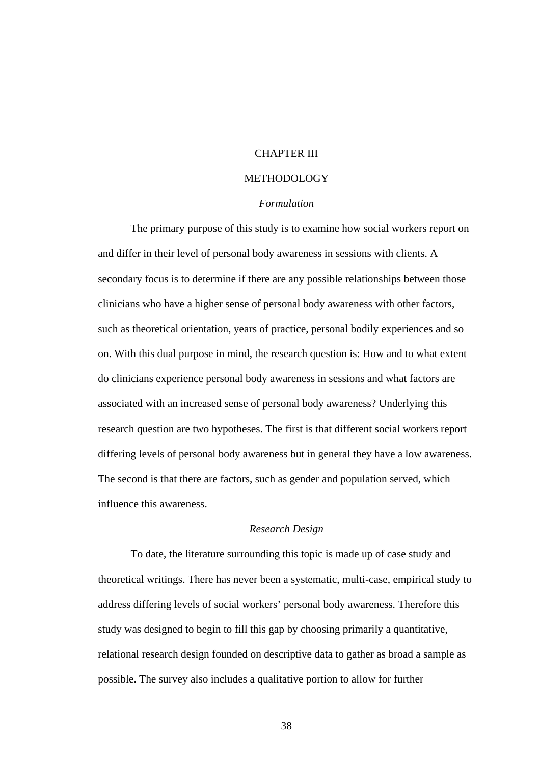# CHAPTER III

## METHODOLOGY

# *Formulation*

The primary purpose of this study is to examine how social workers report on and differ in their level of personal body awareness in sessions with clients. A secondary focus is to determine if there are any possible relationships between those clinicians who have a higher sense of personal body awareness with other factors, such as theoretical orientation, years of practice, personal bodily experiences and so on. With this dual purpose in mind, the research question is: How and to what extent do clinicians experience personal body awareness in sessions and what factors are associated with an increased sense of personal body awareness? Underlying this research question are two hypotheses. The first is that different social workers report differing levels of personal body awareness but in general they have a low awareness. The second is that there are factors, such as gender and population served, which influence this awareness.

#### *Research Design*

To date, the literature surrounding this topic is made up of case study and theoretical writings. There has never been a systematic, multi-case, empirical study to address differing levels of social workers' personal body awareness. Therefore this study was designed to begin to fill this gap by choosing primarily a quantitative, relational research design founded on descriptive data to gather as broad a sample as possible. The survey also includes a qualitative portion to allow for further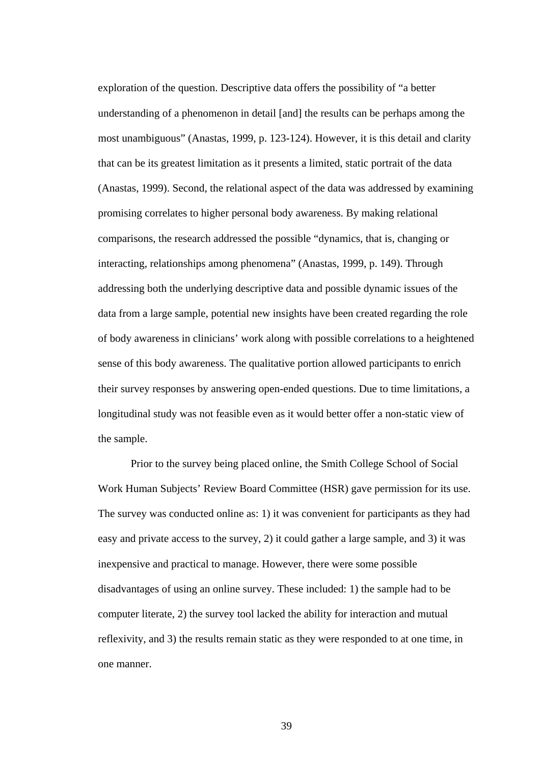exploration of the question. Descriptive data offers the possibility of "a better understanding of a phenomenon in detail [and] the results can be perhaps among the most unambiguous" (Anastas, 1999, p. 123-124). However, it is this detail and clarity that can be its greatest limitation as it presents a limited, static portrait of the data (Anastas, 1999). Second, the relational aspect of the data was addressed by examining promising correlates to higher personal body awareness. By making relational comparisons, the research addressed the possible "dynamics, that is, changing or interacting, relationships among phenomena" (Anastas, 1999, p. 149). Through addressing both the underlying descriptive data and possible dynamic issues of the data from a large sample, potential new insights have been created regarding the role of body awareness in clinicians' work along with possible correlations to a heightened sense of this body awareness. The qualitative portion allowed participants to enrich their survey responses by answering open-ended questions. Due to time limitations, a longitudinal study was not feasible even as it would better offer a non-static view of the sample.

Prior to the survey being placed online, the Smith College School of Social Work Human Subjects' Review Board Committee (HSR) gave permission for its use. The survey was conducted online as: 1) it was convenient for participants as they had easy and private access to the survey, 2) it could gather a large sample, and 3) it was inexpensive and practical to manage. However, there were some possible disadvantages of using an online survey. These included: 1) the sample had to be computer literate, 2) the survey tool lacked the ability for interaction and mutual reflexivity, and 3) the results remain static as they were responded to at one time, in one manner.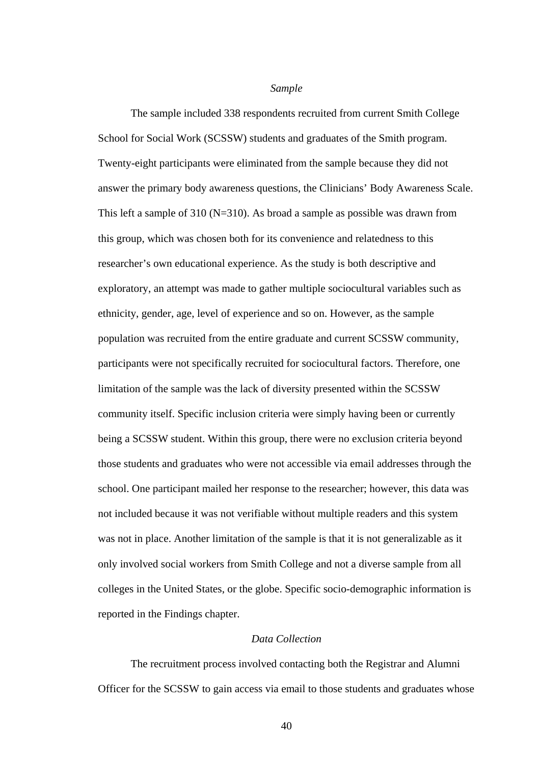*Sample* 

The sample included 338 respondents recruited from current Smith College School for Social Work (SCSSW) students and graduates of the Smith program. Twenty-eight participants were eliminated from the sample because they did not answer the primary body awareness questions, the Clinicians' Body Awareness Scale. This left a sample of  $310$  (N=310). As broad a sample as possible was drawn from this group, which was chosen both for its convenience and relatedness to this researcher's own educational experience. As the study is both descriptive and exploratory, an attempt was made to gather multiple sociocultural variables such as ethnicity, gender, age, level of experience and so on. However, as the sample population was recruited from the entire graduate and current SCSSW community, participants were not specifically recruited for sociocultural factors. Therefore, one limitation of the sample was the lack of diversity presented within the SCSSW community itself. Specific inclusion criteria were simply having been or currently being a SCSSW student. Within this group, there were no exclusion criteria beyond those students and graduates who were not accessible via email addresses through the school. One participant mailed her response to the researcher; however, this data was not included because it was not verifiable without multiple readers and this system was not in place. Another limitation of the sample is that it is not generalizable as it only involved social workers from Smith College and not a diverse sample from all colleges in the United States, or the globe. Specific socio-demographic information is reported in the Findings chapter.

## *Data Collection*

The recruitment process involved contacting both the Registrar and Alumni Officer for the SCSSW to gain access via email to those students and graduates whose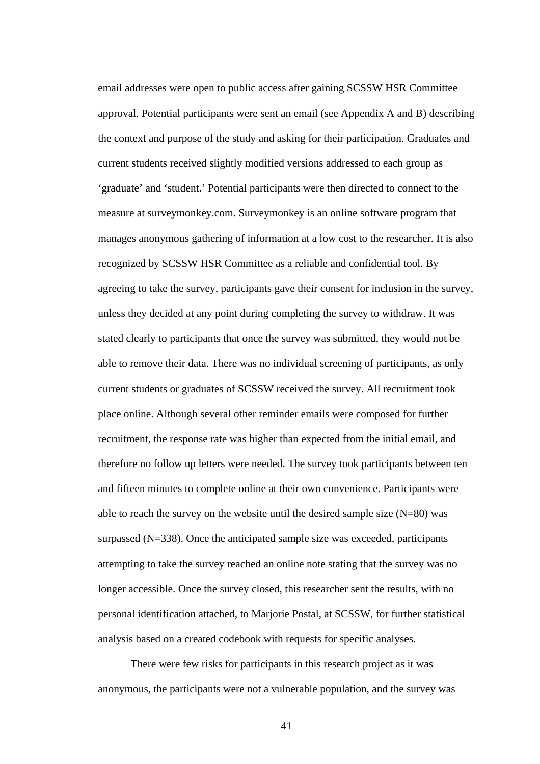email addresses were open to public access after gaining SCSSW HSR Committee approval. Potential participants were sent an email (see Appendix A and B) describing the context and purpose of the study and asking for their participation. Graduates and current students received slightly modified versions addressed to each group as 'graduate' and 'student.' Potential participants were then directed to connect to the measure at surveymonkey.com. Surveymonkey is an online software program that manages anonymous gathering of information at a low cost to the researcher. It is also recognized by SCSSW HSR Committee as a reliable and confidential tool. By agreeing to take the survey, participants gave their consent for inclusion in the survey, unless they decided at any point during completing the survey to withdraw. It was stated clearly to participants that once the survey was submitted, they would not be able to remove their data. There was no individual screening of participants, as only current students or graduates of SCSSW received the survey. All recruitment took place online. Although several other reminder emails were composed for further recruitment, the response rate was higher than expected from the initial email, and therefore no follow up letters were needed. The survey took participants between ten and fifteen minutes to complete online at their own convenience. Participants were able to reach the survey on the website until the desired sample size  $(N=80)$  was surpassed (N=338). Once the anticipated sample size was exceeded, participants attempting to take the survey reached an online note stating that the survey was no longer accessible. Once the survey closed, this researcher sent the results, with no personal identification attached, to Marjorie Postal, at SCSSW, for further statistical analysis based on a created codebook with requests for specific analyses.

There were few risks for participants in this research project as it was anonymous, the participants were not a vulnerable population, and the survey was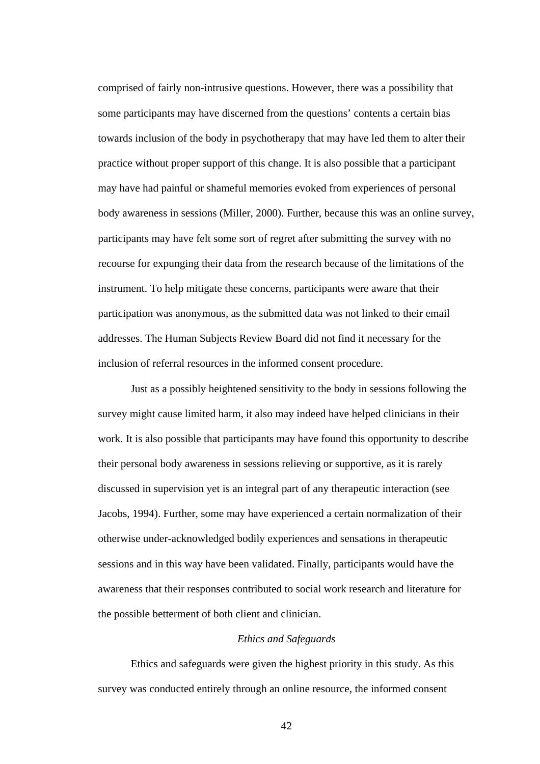comprised of fairly non-intrusive questions. However, there was a possibility that some participants may have discerned from the questions' contents a certain bias towards inclusion of the body in psychotherapy that may have led them to alter their practice without proper support of this change. It is also possible that a participant may have had painful or shameful memories evoked from experiences of personal body awareness in sessions (Miller, 2000). Further, because this was an online survey, participants may have felt some sort of regret after submitting the survey with no recourse for expunging their data from the research because of the limitations of the instrument. To help mitigate these concerns, participants were aware that their participation was anonymous, as the submitted data was not linked to their email addresses. The Human Subjects Review Board did not find it necessary for the inclusion of referral resources in the informed consent procedure.

Just as a possibly heightened sensitivity to the body in sessions following the survey might cause limited harm, it also may indeed have helped clinicians in their work. It is also possible that participants may have found this opportunity to describe their personal body awareness in sessions relieving or supportive, as it is rarely discussed in supervision yet is an integral part of any therapeutic interaction (see Jacobs, 1994). Further, some may have experienced a certain normalization of their otherwise under-acknowledged bodily experiences and sensations in therapeutic sessions and in this way have been validated. Finally, participants would have the awareness that their responses contributed to social work research and literature for the possible betterment of both client and clinician.

## *Ethics and Safeguards*

Ethics and safeguards were given the highest priority in this study. As this survey was conducted entirely through an online resource, the informed consent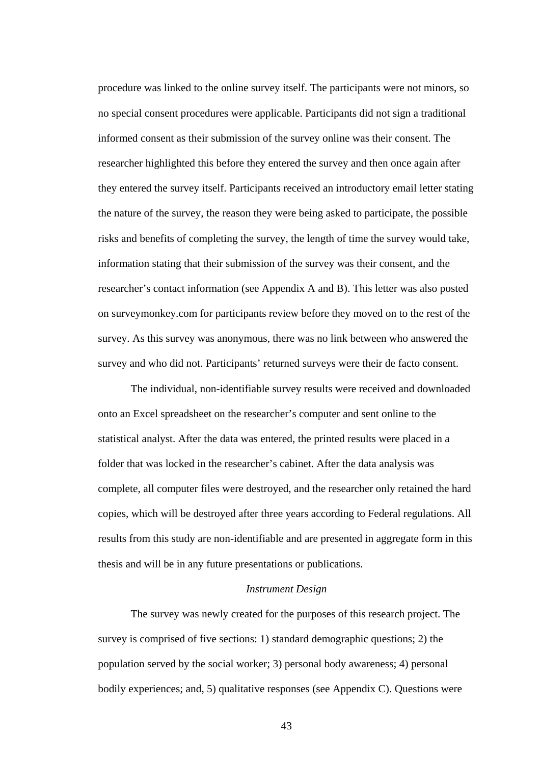procedure was linked to the online survey itself. The participants were not minors, so no special consent procedures were applicable. Participants did not sign a traditional informed consent as their submission of the survey online was their consent. The researcher highlighted this before they entered the survey and then once again after they entered the survey itself. Participants received an introductory email letter stating the nature of the survey, the reason they were being asked to participate, the possible risks and benefits of completing the survey, the length of time the survey would take, information stating that their submission of the survey was their consent, and the researcher's contact information (see Appendix A and B). This letter was also posted on surveymonkey.com for participants review before they moved on to the rest of the survey. As this survey was anonymous, there was no link between who answered the survey and who did not. Participants' returned surveys were their de facto consent.

The individual, non-identifiable survey results were received and downloaded onto an Excel spreadsheet on the researcher's computer and sent online to the statistical analyst. After the data was entered, the printed results were placed in a folder that was locked in the researcher's cabinet. After the data analysis was complete, all computer files were destroyed, and the researcher only retained the hard copies, which will be destroyed after three years according to Federal regulations. All results from this study are non-identifiable and are presented in aggregate form in this thesis and will be in any future presentations or publications.

### *Instrument Design*

The survey was newly created for the purposes of this research project. The survey is comprised of five sections: 1) standard demographic questions; 2) the population served by the social worker; 3) personal body awareness; 4) personal bodily experiences; and, 5) qualitative responses (see Appendix C). Questions were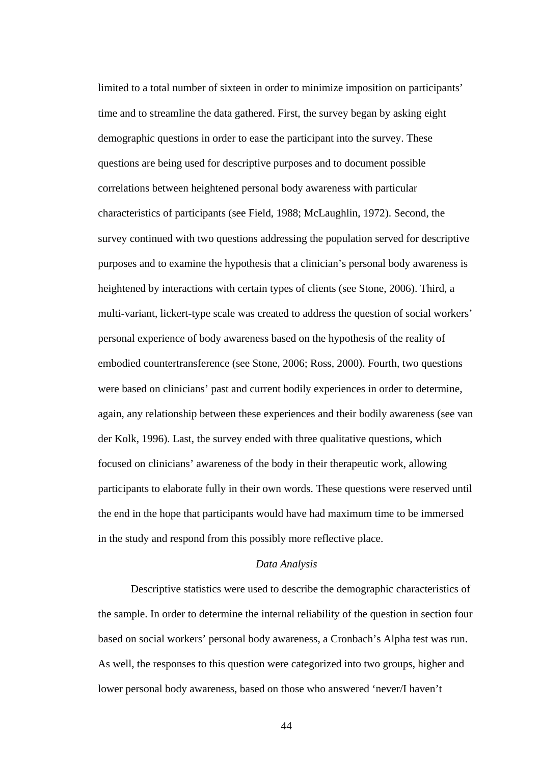limited to a total number of sixteen in order to minimize imposition on participants' time and to streamline the data gathered. First, the survey began by asking eight demographic questions in order to ease the participant into the survey. These questions are being used for descriptive purposes and to document possible correlations between heightened personal body awareness with particular characteristics of participants (see Field, 1988; McLaughlin, 1972). Second, the survey continued with two questions addressing the population served for descriptive purposes and to examine the hypothesis that a clinician's personal body awareness is heightened by interactions with certain types of clients (see Stone, 2006). Third, a multi-variant, lickert-type scale was created to address the question of social workers' personal experience of body awareness based on the hypothesis of the reality of embodied countertransference (see Stone, 2006; Ross, 2000). Fourth, two questions were based on clinicians' past and current bodily experiences in order to determine, again, any relationship between these experiences and their bodily awareness (see van der Kolk, 1996). Last, the survey ended with three qualitative questions, which focused on clinicians' awareness of the body in their therapeutic work, allowing participants to elaborate fully in their own words. These questions were reserved until the end in the hope that participants would have had maximum time to be immersed in the study and respond from this possibly more reflective place.

### *Data Analysis*

Descriptive statistics were used to describe the demographic characteristics of the sample. In order to determine the internal reliability of the question in section four based on social workers' personal body awareness, a Cronbach's Alpha test was run. As well, the responses to this question were categorized into two groups, higher and lower personal body awareness, based on those who answered 'never/I haven't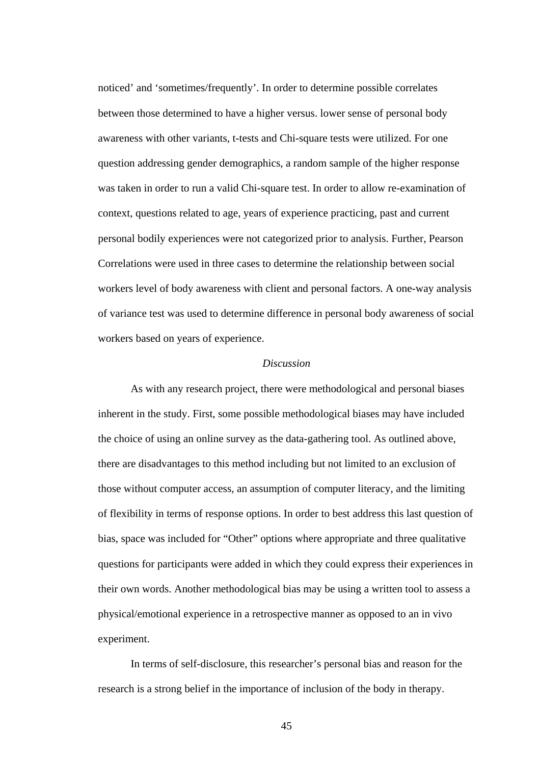noticed' and 'sometimes/frequently'. In order to determine possible correlates between those determined to have a higher versus. lower sense of personal body awareness with other variants, t-tests and Chi-square tests were utilized. For one question addressing gender demographics, a random sample of the higher response was taken in order to run a valid Chi-square test. In order to allow re-examination of context, questions related to age, years of experience practicing, past and current personal bodily experiences were not categorized prior to analysis. Further, Pearson Correlations were used in three cases to determine the relationship between social workers level of body awareness with client and personal factors. A one-way analysis of variance test was used to determine difference in personal body awareness of social workers based on years of experience.

## *Discussion*

As with any research project, there were methodological and personal biases inherent in the study. First, some possible methodological biases may have included the choice of using an online survey as the data-gathering tool. As outlined above, there are disadvantages to this method including but not limited to an exclusion of those without computer access, an assumption of computer literacy, and the limiting of flexibility in terms of response options. In order to best address this last question of bias, space was included for "Other" options where appropriate and three qualitative questions for participants were added in which they could express their experiences in their own words. Another methodological bias may be using a written tool to assess a physical/emotional experience in a retrospective manner as opposed to an in vivo experiment.

In terms of self-disclosure, this researcher's personal bias and reason for the research is a strong belief in the importance of inclusion of the body in therapy.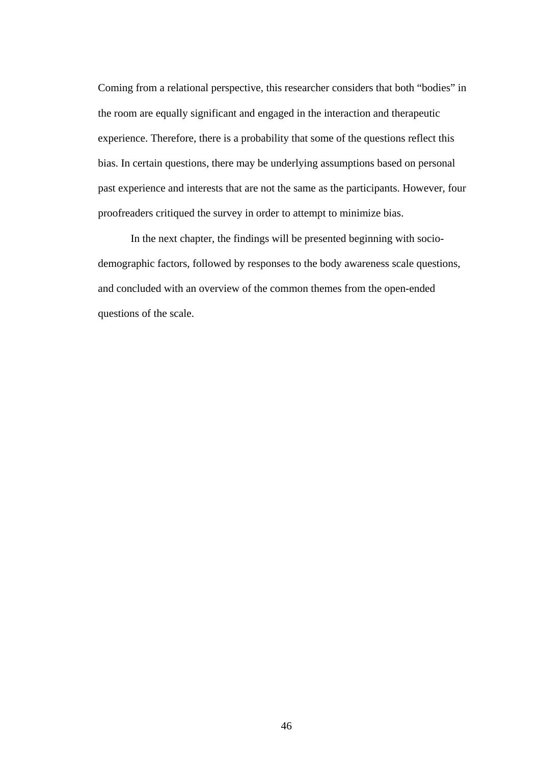Coming from a relational perspective, this researcher considers that both "bodies" in the room are equally significant and engaged in the interaction and therapeutic experience. Therefore, there is a probability that some of the questions reflect this bias. In certain questions, there may be underlying assumptions based on personal past experience and interests that are not the same as the participants. However, four proofreaders critiqued the survey in order to attempt to minimize bias.

In the next chapter, the findings will be presented beginning with sociodemographic factors, followed by responses to the body awareness scale questions, and concluded with an overview of the common themes from the open-ended questions of the scale.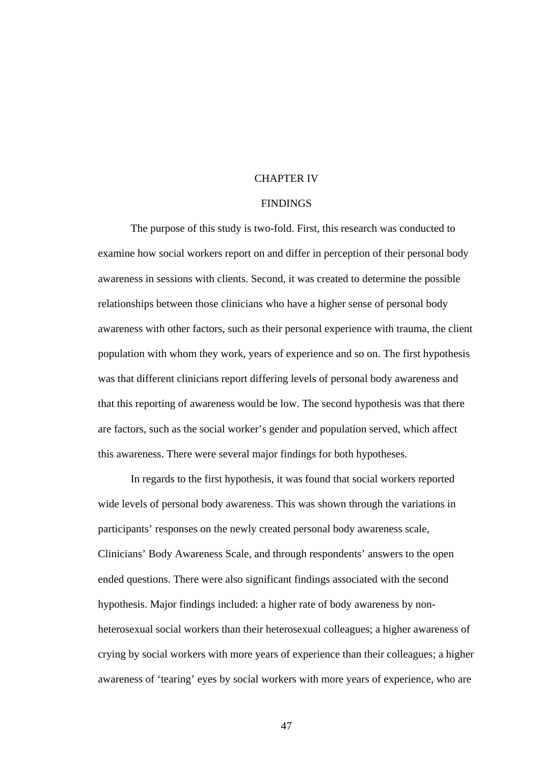## CHAPTER IV

## **FINDINGS**

The purpose of this study is two-fold. First, this research was conducted to examine how social workers report on and differ in perception of their personal body awareness in sessions with clients. Second, it was created to determine the possible relationships between those clinicians who have a higher sense of personal body awareness with other factors, such as their personal experience with trauma, the client population with whom they work, years of experience and so on. The first hypothesis was that different clinicians report differing levels of personal body awareness and that this reporting of awareness would be low. The second hypothesis was that there are factors, such as the social worker's gender and population served, which affect this awareness. There were several major findings for both hypotheses.

In regards to the first hypothesis, it was found that social workers reported wide levels of personal body awareness. This was shown through the variations in participants' responses on the newly created personal body awareness scale, Clinicians' Body Awareness Scale, and through respondents' answers to the open ended questions. There were also significant findings associated with the second hypothesis. Major findings included: a higher rate of body awareness by nonheterosexual social workers than their heterosexual colleagues; a higher awareness of crying by social workers with more years of experience than their colleagues; a higher awareness of 'tearing' eyes by social workers with more years of experience, who are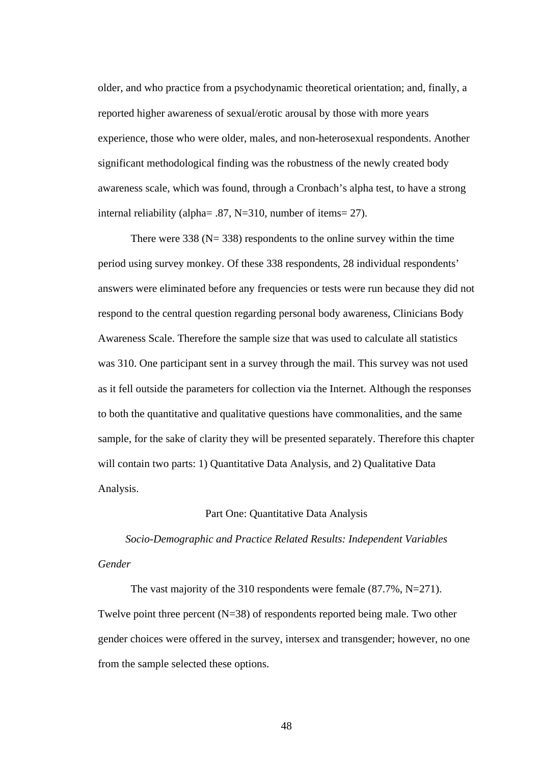older, and who practice from a psychodynamic theoretical orientation; and, finally, a reported higher awareness of sexual/erotic arousal by those with more years experience, those who were older, males, and non-heterosexual respondents. Another significant methodological finding was the robustness of the newly created body awareness scale, which was found, through a Cronbach's alpha test, to have a strong internal reliability (alpha= .87, N=310, number of items= 27).

There were  $338$  (N=  $338$ ) respondents to the online survey within the time period using survey monkey. Of these 338 respondents, 28 individual respondents' answers were eliminated before any frequencies or tests were run because they did not respond to the central question regarding personal body awareness, Clinicians Body Awareness Scale. Therefore the sample size that was used to calculate all statistics was 310. One participant sent in a survey through the mail. This survey was not used as it fell outside the parameters for collection via the Internet. Although the responses to both the quantitative and qualitative questions have commonalities, and the same sample, for the sake of clarity they will be presented separately. Therefore this chapter will contain two parts: 1) Quantitative Data Analysis, and 2) Qualitative Data Analysis.

### Part One: Quantitative Data Analysis

*Socio-Demographic and Practice Related Results: Independent Variables Gender* 

The vast majority of the 310 respondents were female (87.7%, N=271). Twelve point three percent  $(N=38)$  of respondents reported being male. Two other gender choices were offered in the survey, intersex and transgender; however, no one from the sample selected these options.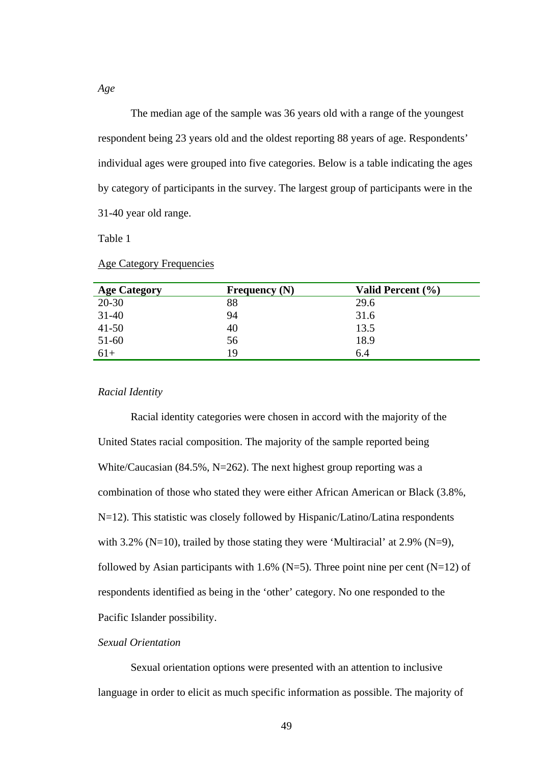*Age* 

The median age of the sample was 36 years old with a range of the youngest respondent being 23 years old and the oldest reporting 88 years of age. Respondents' individual ages were grouped into five categories. Below is a table indicating the ages by category of participants in the survey. The largest group of participants were in the 31-40 year old range.

Table 1

| <b>Age Category</b> | Frequency $(N)$ | Valid Percent (%) |
|---------------------|-----------------|-------------------|
| $20 - 30$           | 88              | 29.6              |
| $31 - 40$           | 94              | 31.6              |
| $41 - 50$           | 40              | 13.5              |
| $51-60$             | 56              | 18.9              |
| $61+$               | 19              | 6.4               |

Age Category Frequencies

### *Racial Identity*

Racial identity categories were chosen in accord with the majority of the United States racial composition. The majority of the sample reported being White/Caucasian (84.5%, N=262). The next highest group reporting was a combination of those who stated they were either African American or Black (3.8%, N=12). This statistic was closely followed by Hispanic/Latino/Latina respondents with 3.2% (N=10), trailed by those stating they were 'Multiracial' at 2.9% (N=9), followed by Asian participants with 1.6% (N=5). Three point nine per cent (N=12) of respondents identified as being in the 'other' category. No one responded to the Pacific Islander possibility.

# *Sexual Orientation*

Sexual orientation options were presented with an attention to inclusive language in order to elicit as much specific information as possible. The majority of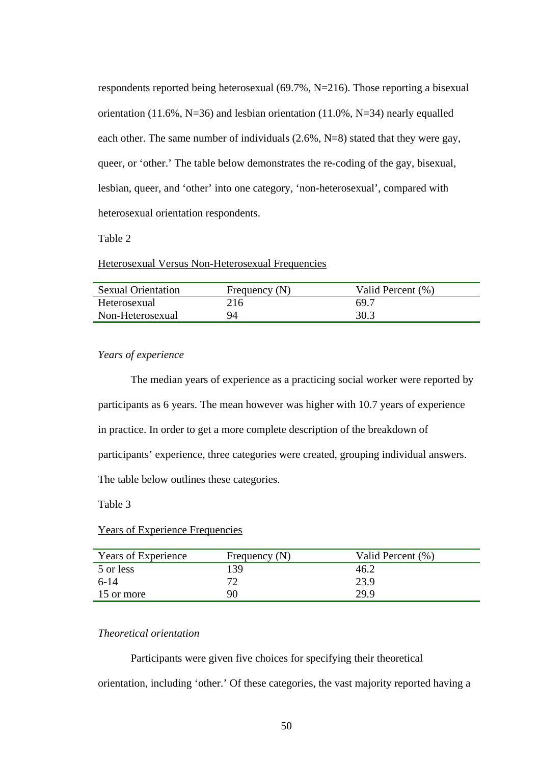respondents reported being heterosexual (69.7%, N=216). Those reporting a bisexual orientation (11.6%, N=36) and lesbian orientation (11.0%, N=34) nearly equalled each other. The same number of individuals (2.6%, N=8) stated that they were gay, queer, or 'other.' The table below demonstrates the re-coding of the gay, bisexual, lesbian, queer, and 'other' into one category, 'non-heterosexual', compared with heterosexual orientation respondents.

Table 2

Heterosexual Versus Non-Heterosexual Frequencies

| <b>Sexual Orientation</b> | Frequency $(N)$ | Valid Percent (%) |
|---------------------------|-----------------|-------------------|
| Heterosexual              | 216             | 69.7              |
| Non-Heterosexual          | 94              | 30.3              |
|                           |                 |                   |

# *Years of experience*

The median years of experience as a practicing social worker were reported by participants as 6 years. The mean however was higher with 10.7 years of experience in practice. In order to get a more complete description of the breakdown of participants' experience, three categories were created, grouping individual answers. The table below outlines these categories.

Table 3

### Years of Experience Frequencies

| Years of Experience | Frequency $(N)$ | Valid Percent (%) |
|---------------------|-----------------|-------------------|
| 5 or less           | 139             | 46.2              |
| $6-14$              |                 | 23.9              |
| 15 or more          | 90              | 29.9              |

## *Theoretical orientation*

Participants were given five choices for specifying their theoretical

orientation, including 'other.' Of these categories, the vast majority reported having a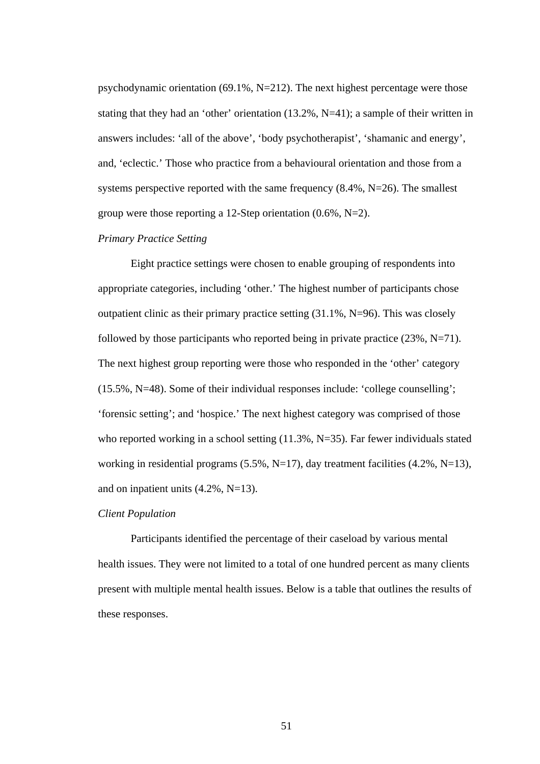psychodynamic orientation (69.1%, N=212). The next highest percentage were those stating that they had an 'other' orientation (13.2%, N=41); a sample of their written in answers includes: 'all of the above', 'body psychotherapist', 'shamanic and energy', and, 'eclectic.' Those who practice from a behavioural orientation and those from a systems perspective reported with the same frequency (8.4%, N=26). The smallest group were those reporting a 12-Step orientation (0.6%, N=2).

## *Primary Practice Setting*

Eight practice settings were chosen to enable grouping of respondents into appropriate categories, including 'other.' The highest number of participants chose outpatient clinic as their primary practice setting  $(31.1\%, N=96)$ . This was closely followed by those participants who reported being in private practice  $(23\%, N=71)$ . The next highest group reporting were those who responded in the 'other' category (15.5%, N=48). Some of their individual responses include: 'college counselling'; 'forensic setting'; and 'hospice.' The next highest category was comprised of those who reported working in a school setting  $(11.3\%, N=35)$ . Far fewer individuals stated working in residential programs (5.5%, N=17), day treatment facilities (4.2%, N=13), and on inpatient units (4.2%, N=13).

## *Client Population*

Participants identified the percentage of their caseload by various mental health issues. They were not limited to a total of one hundred percent as many clients present with multiple mental health issues. Below is a table that outlines the results of these responses.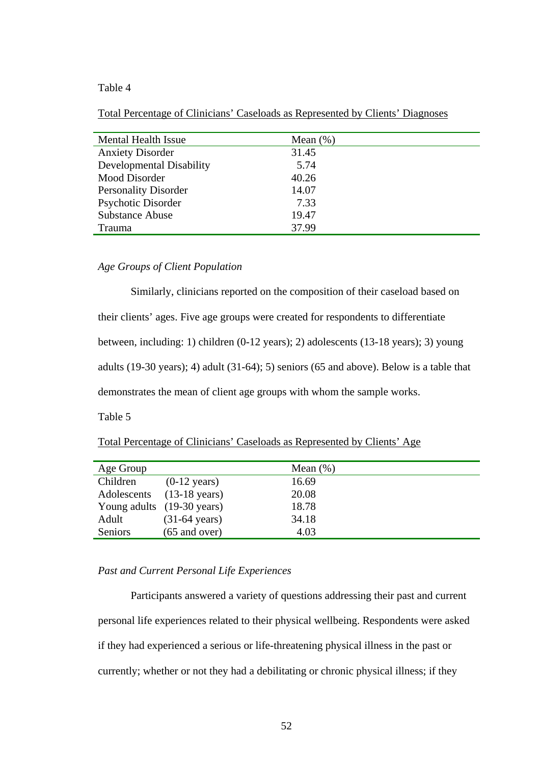# Table 4

Total Percentage of Clinicians' Caseloads as Represented by Clients' Diagnoses

| <b>Mental Health Issue</b>      | Mean $(\%)$ |
|---------------------------------|-------------|
| <b>Anxiety Disorder</b>         | 31.45       |
| <b>Developmental Disability</b> | 5.74        |
| Mood Disorder                   | 40.26       |
| <b>Personality Disorder</b>     | 14.07       |
| Psychotic Disorder              | 7.33        |
| <b>Substance Abuse</b>          | 19.47       |
| Trauma                          | 37.99       |

# *Age Groups of Client Population*

Similarly, clinicians reported on the composition of their caseload based on their clients' ages. Five age groups were created for respondents to differentiate between, including: 1) children (0-12 years); 2) adolescents (13-18 years); 3) young adults (19-30 years); 4) adult (31-64); 5) seniors (65 and above). Below is a table that demonstrates the mean of client age groups with whom the sample works.

Table 5

| Total Percentage of Clinicians' Caseloads as Represented by Clients' Age |  |
|--------------------------------------------------------------------------|--|
|                                                                          |  |

| Age Group   |                            | Mean $(\%)$ |  |
|-------------|----------------------------|-------------|--|
| Children    | $(0-12 \text{ years})$     | 16.69       |  |
| Adolescents | $(13-18 \text{ years})$    | 20.08       |  |
|             | Young adults (19-30 years) | 18.78       |  |
| Adult       | $(31-64 \text{ years})$    | 34.18       |  |
| Seniors     | $(65 \text{ and over})$    | 4.03        |  |

# *Past and Current Personal Life Experiences*

Participants answered a variety of questions addressing their past and current personal life experiences related to their physical wellbeing. Respondents were asked if they had experienced a serious or life-threatening physical illness in the past or currently; whether or not they had a debilitating or chronic physical illness; if they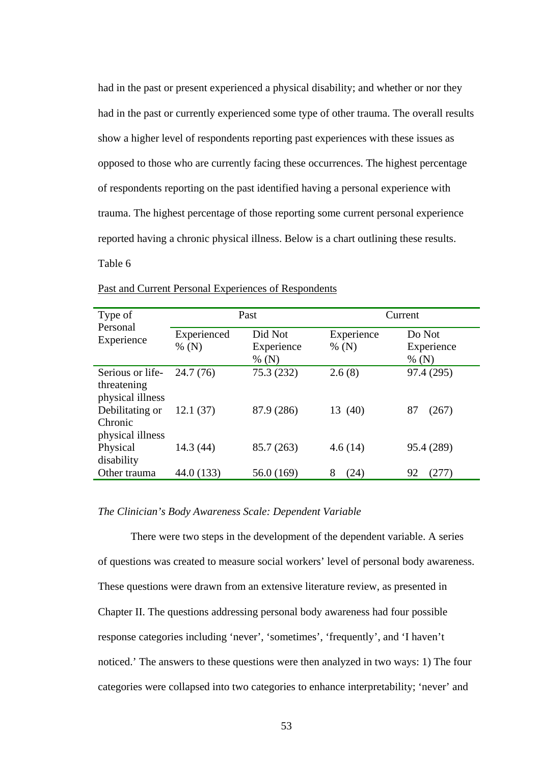had in the past or present experienced a physical disability; and whether or nor they had in the past or currently experienced some type of other trauma. The overall results show a higher level of respondents reporting past experiences with these issues as opposed to those who are currently facing these occurrences. The highest percentage of respondents reporting on the past identified having a personal experience with trauma. The highest percentage of those reporting some current personal experience reported having a chronic physical illness. Below is a chart outlining these results. Table 6

| Type of                                             | Past                   |                                  |                       | Current                         |
|-----------------------------------------------------|------------------------|----------------------------------|-----------------------|---------------------------------|
| Personal<br>Experience                              | Experienced<br>% $(N)$ | Did Not<br>Experience<br>% $(N)$ | Experience<br>% $(N)$ | Do Not<br>Experience<br>% $(N)$ |
| Serious or life-<br>threatening<br>physical illness | 24.7 (76)              | 75.3 (232)                       | 2.6(8)                | 97.4 (295)                      |
| Debilitating or<br>Chronic<br>physical illness      | 12.1(37)               | 87.9 (286)                       | 13 (40)               | 87<br>(267)                     |
| Physical<br>disability                              | 14.3 (44)              | 85.7 (263)                       | 4.6(14)               | 95.4 (289)                      |
| Other trauma                                        | 44.0 (133)             | 56.0(169)                        | (24)<br>8             | 92                              |

| Past and Current Personal Experiences of Respondents |
|------------------------------------------------------|
|------------------------------------------------------|

#### *The Clinician's Body Awareness Scale: Dependent Variable*

There were two steps in the development of the dependent variable. A series of questions was created to measure social workers' level of personal body awareness. These questions were drawn from an extensive literature review, as presented in Chapter II. The questions addressing personal body awareness had four possible response categories including 'never', 'sometimes', 'frequently', and 'I haven't noticed.' The answers to these questions were then analyzed in two ways: 1) The four categories were collapsed into two categories to enhance interpretability; 'never' and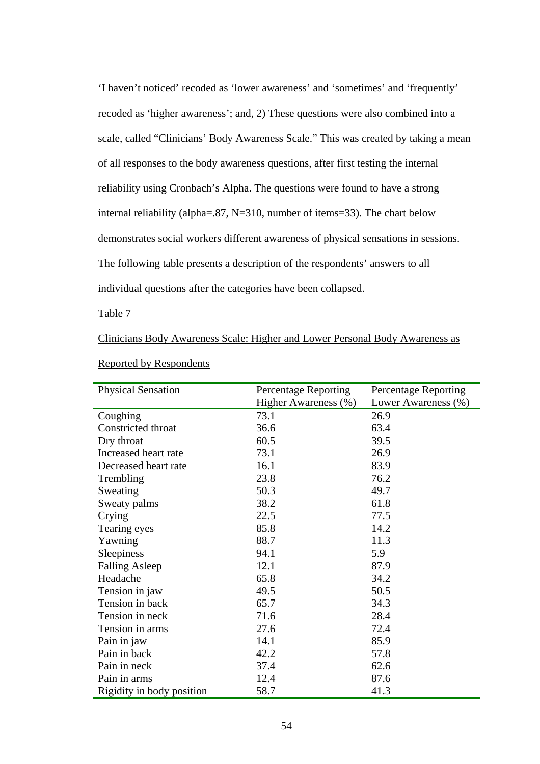'I haven't noticed' recoded as 'lower awareness' and 'sometimes' and 'frequently' recoded as 'higher awareness'; and, 2) These questions were also combined into a scale, called "Clinicians' Body Awareness Scale." This was created by taking a mean of all responses to the body awareness questions, after first testing the internal reliability using Cronbach's Alpha. The questions were found to have a strong internal reliability (alpha=.87, N=310, number of items=33). The chart below demonstrates social workers different awareness of physical sensations in sessions. The following table presents a description of the respondents' answers to all individual questions after the categories have been collapsed.

Table 7

Clinicians Body Awareness Scale: Higher and Lower Personal Body Awareness as

| <b>Physical Sensation</b> | Percentage Reporting | Percentage Reporting |
|---------------------------|----------------------|----------------------|
|                           | Higher Awareness (%) | Lower Awareness (%)  |
| Coughing                  | 73.1                 | 26.9                 |
| Constricted throat        | 36.6                 | 63.4                 |
| Dry throat                | 60.5                 | 39.5                 |
| Increased heart rate      | 73.1                 | 26.9                 |
| Decreased heart rate      | 16.1                 | 83.9                 |
| Trembling                 | 23.8                 | 76.2                 |
| Sweating                  | 50.3                 | 49.7                 |
| Sweaty palms              | 38.2                 | 61.8                 |
| Crying                    | 22.5                 | 77.5                 |
| Tearing eyes              | 85.8                 | 14.2                 |
| Yawning                   | 88.7                 | 11.3                 |
| Sleepiness                | 94.1                 | 5.9                  |
| <b>Falling Asleep</b>     | 12.1                 | 87.9                 |
| Headache                  | 65.8                 | 34.2                 |
| Tension in jaw            | 49.5                 | 50.5                 |
| Tension in back           | 65.7                 | 34.3                 |
| Tension in neck           | 71.6                 | 28.4                 |
| Tension in arms           | 27.6                 | 72.4                 |
| Pain in jaw               | 14.1                 | 85.9                 |
| Pain in back              | 42.2                 | 57.8                 |
| Pain in neck              | 37.4                 | 62.6                 |
| Pain in arms              | 12.4                 | 87.6                 |
| Rigidity in body position | 58.7                 | 41.3                 |

Reported by Respondents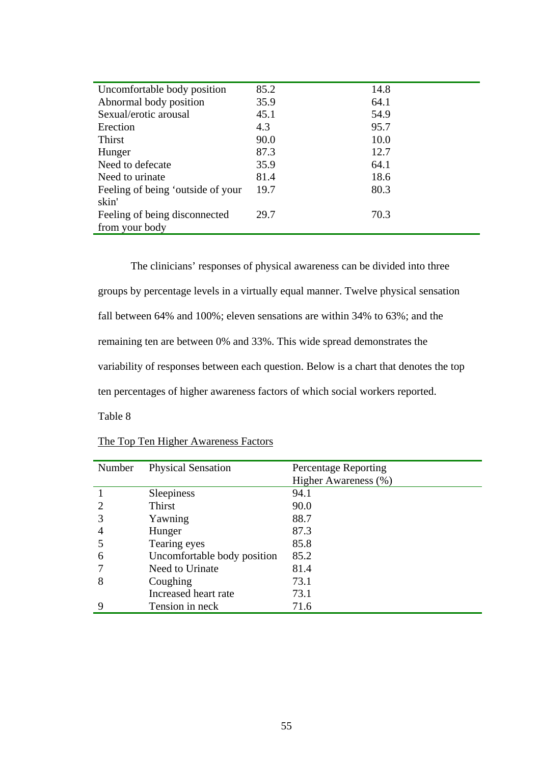| Uncomfortable body position       | 85.2 | 14.8 |
|-----------------------------------|------|------|
| Abnormal body position            | 35.9 | 64.1 |
| Sexual/erotic arousal             | 45.1 | 54.9 |
| Erection                          | 4.3  | 95.7 |
| Thirst                            | 90.0 | 10.0 |
| Hunger                            | 87.3 | 12.7 |
| Need to defecate                  | 35.9 | 64.1 |
| Need to urinate                   | 81.4 | 18.6 |
| Feeling of being 'outside of your | 19.7 | 80.3 |
| skin'                             |      |      |
| Feeling of being disconnected     | 29.7 | 70.3 |
| from your body                    |      |      |

The clinicians' responses of physical awareness can be divided into three groups by percentage levels in a virtually equal manner. Twelve physical sensation fall between 64% and 100%; eleven sensations are within 34% to 63%; and the remaining ten are between 0% and 33%. This wide spread demonstrates the variability of responses between each question. Below is a chart that denotes the top ten percentages of higher awareness factors of which social workers reported.

Table 8

|  | The Top Ten Higher Awareness Factors |  |
|--|--------------------------------------|--|
|  |                                      |  |

| Number | <b>Physical Sensation</b>   | Percentage Reporting<br>Higher Awareness (%) |
|--------|-----------------------------|----------------------------------------------|
|        | Sleepiness                  | 94.1                                         |
|        | <b>Thirst</b>               | 90.0                                         |
|        | Yawning                     | 88.7                                         |
| 4      | Hunger                      | 87.3                                         |
|        | Tearing eyes                | 85.8                                         |
| 6      | Uncomfortable body position | 85.2                                         |
|        | Need to Urinate             | 81.4                                         |
| 8      | Coughing                    | 73.1                                         |
|        | Increased heart rate        | 73.1                                         |
|        | Tension in neck             | 71.6                                         |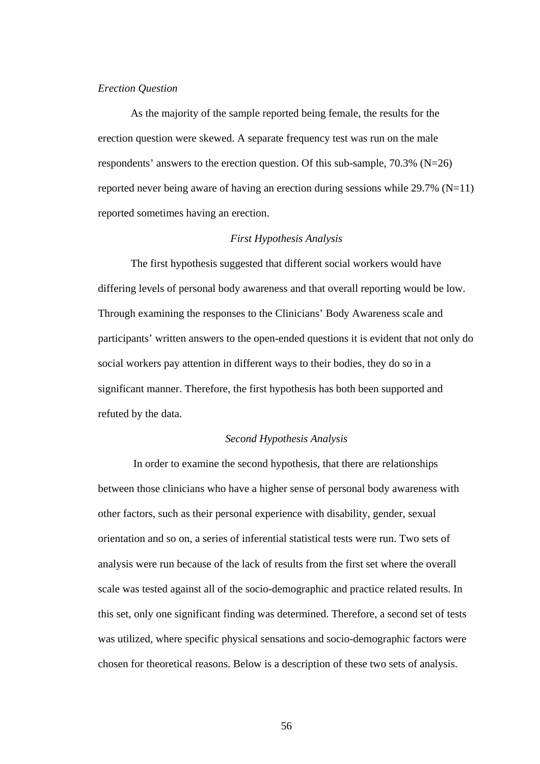## *Erection Question*

As the majority of the sample reported being female, the results for the erection question were skewed. A separate frequency test was run on the male respondents' answers to the erection question. Of this sub-sample, 70.3% (N=26) reported never being aware of having an erection during sessions while  $29.7\%$  (N=11) reported sometimes having an erection.

# *First Hypothesis Analysis*

The first hypothesis suggested that different social workers would have differing levels of personal body awareness and that overall reporting would be low. Through examining the responses to the Clinicians' Body Awareness scale and participants' written answers to the open-ended questions it is evident that not only do social workers pay attention in different ways to their bodies, they do so in a significant manner. Therefore, the first hypothesis has both been supported and refuted by the data.

### *Second Hypothesis Analysis*

 In order to examine the second hypothesis, that there are relationships between those clinicians who have a higher sense of personal body awareness with other factors, such as their personal experience with disability, gender, sexual orientation and so on, a series of inferential statistical tests were run. Two sets of analysis were run because of the lack of results from the first set where the overall scale was tested against all of the socio-demographic and practice related results. In this set, only one significant finding was determined. Therefore, a second set of tests was utilized, where specific physical sensations and socio-demographic factors were chosen for theoretical reasons. Below is a description of these two sets of analysis.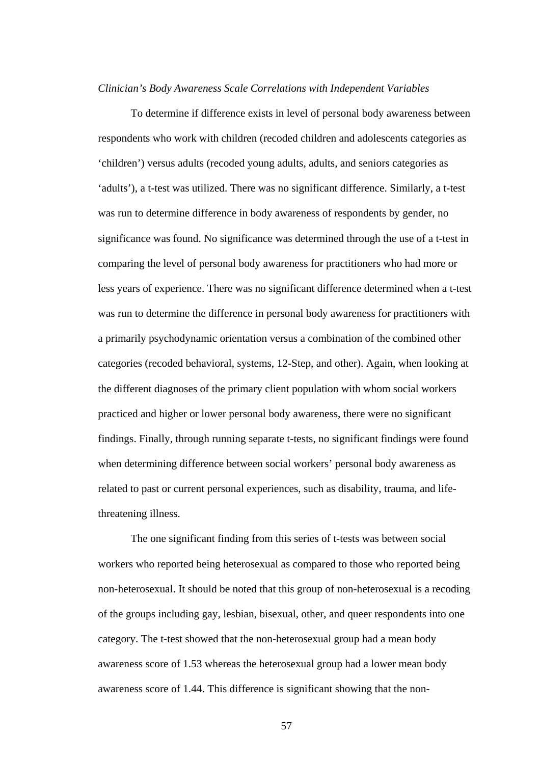#### *Clinician's Body Awareness Scale Correlations with Independent Variables*

To determine if difference exists in level of personal body awareness between respondents who work with children (recoded children and adolescents categories as 'children') versus adults (recoded young adults, adults, and seniors categories as 'adults'), a t-test was utilized. There was no significant difference. Similarly, a t-test was run to determine difference in body awareness of respondents by gender, no significance was found. No significance was determined through the use of a t-test in comparing the level of personal body awareness for practitioners who had more or less years of experience. There was no significant difference determined when a t-test was run to determine the difference in personal body awareness for practitioners with a primarily psychodynamic orientation versus a combination of the combined other categories (recoded behavioral, systems, 12-Step, and other). Again, when looking at the different diagnoses of the primary client population with whom social workers practiced and higher or lower personal body awareness, there were no significant findings. Finally, through running separate t-tests, no significant findings were found when determining difference between social workers' personal body awareness as related to past or current personal experiences, such as disability, trauma, and lifethreatening illness.

The one significant finding from this series of t-tests was between social workers who reported being heterosexual as compared to those who reported being non-heterosexual. It should be noted that this group of non-heterosexual is a recoding of the groups including gay, lesbian, bisexual, other, and queer respondents into one category. The t-test showed that the non-heterosexual group had a mean body awareness score of 1.53 whereas the heterosexual group had a lower mean body awareness score of 1.44. This difference is significant showing that the non-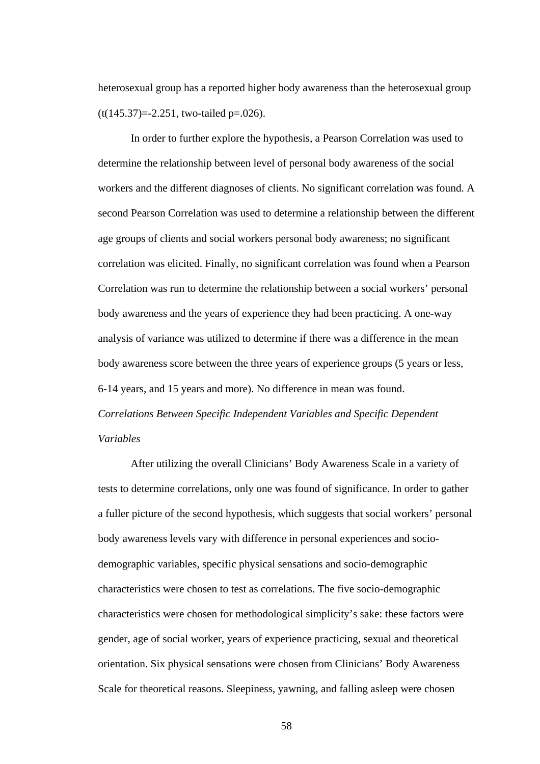heterosexual group has a reported higher body awareness than the heterosexual group  $(t(145.37)=2.251$ , two-tailed p=.026).

In order to further explore the hypothesis, a Pearson Correlation was used to determine the relationship between level of personal body awareness of the social workers and the different diagnoses of clients. No significant correlation was found. A second Pearson Correlation was used to determine a relationship between the different age groups of clients and social workers personal body awareness; no significant correlation was elicited. Finally, no significant correlation was found when a Pearson Correlation was run to determine the relationship between a social workers' personal body awareness and the years of experience they had been practicing. A one-way analysis of variance was utilized to determine if there was a difference in the mean body awareness score between the three years of experience groups (5 years or less, 6-14 years, and 15 years and more). No difference in mean was found. *Correlations Between Specific Independent Variables and Specific Dependent Variables* 

After utilizing the overall Clinicians' Body Awareness Scale in a variety of tests to determine correlations, only one was found of significance. In order to gather a fuller picture of the second hypothesis, which suggests that social workers' personal body awareness levels vary with difference in personal experiences and sociodemographic variables, specific physical sensations and socio-demographic characteristics were chosen to test as correlations. The five socio-demographic characteristics were chosen for methodological simplicity's sake: these factors were gender, age of social worker, years of experience practicing, sexual and theoretical orientation. Six physical sensations were chosen from Clinicians' Body Awareness Scale for theoretical reasons. Sleepiness, yawning, and falling asleep were chosen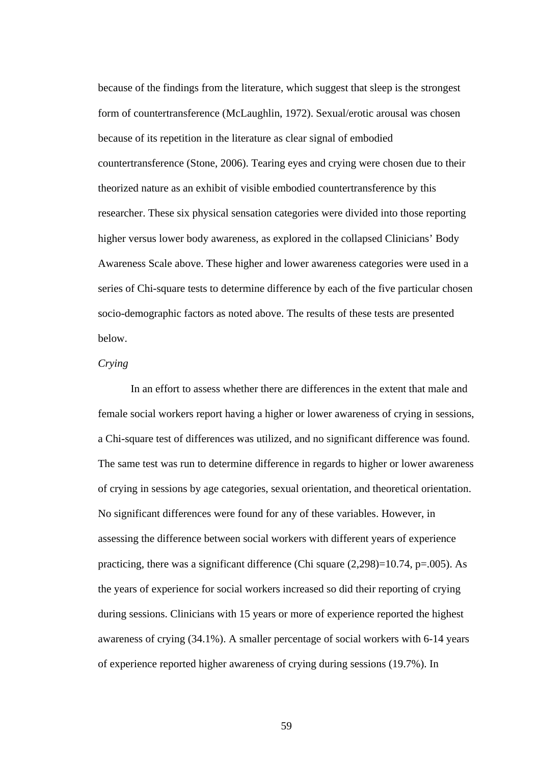because of the findings from the literature, which suggest that sleep is the strongest form of countertransference (McLaughlin, 1972). Sexual/erotic arousal was chosen because of its repetition in the literature as clear signal of embodied countertransference (Stone, 2006). Tearing eyes and crying were chosen due to their theorized nature as an exhibit of visible embodied countertransference by this researcher. These six physical sensation categories were divided into those reporting higher versus lower body awareness, as explored in the collapsed Clinicians' Body Awareness Scale above. These higher and lower awareness categories were used in a series of Chi-square tests to determine difference by each of the five particular chosen socio-demographic factors as noted above. The results of these tests are presented below.

## *Crying*

In an effort to assess whether there are differences in the extent that male and female social workers report having a higher or lower awareness of crying in sessions, a Chi-square test of differences was utilized, and no significant difference was found. The same test was run to determine difference in regards to higher or lower awareness of crying in sessions by age categories, sexual orientation, and theoretical orientation. No significant differences were found for any of these variables. However, in assessing the difference between social workers with different years of experience practicing, there was a significant difference (Chi square (2,298)=10.74, p=.005). As the years of experience for social workers increased so did their reporting of crying during sessions. Clinicians with 15 years or more of experience reported the highest awareness of crying (34.1%). A smaller percentage of social workers with 6-14 years of experience reported higher awareness of crying during sessions (19.7%). In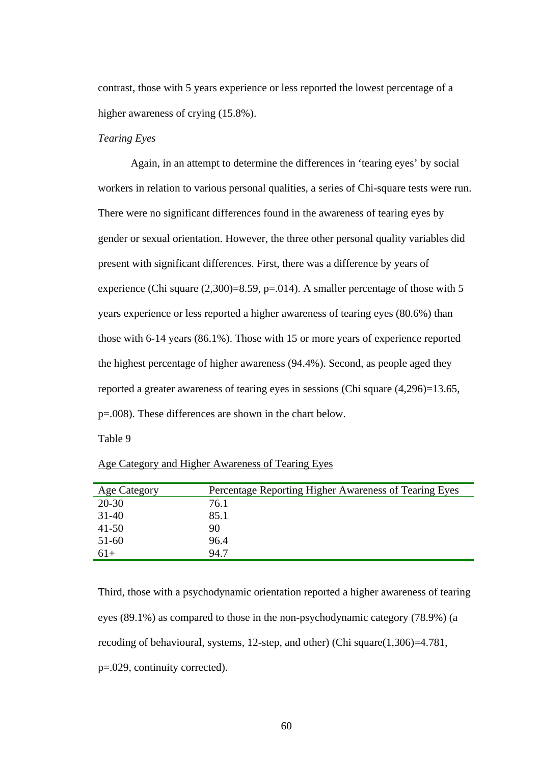contrast, those with 5 years experience or less reported the lowest percentage of a higher awareness of crying (15.8%).

## *Tearing Eyes*

Again, in an attempt to determine the differences in 'tearing eyes' by social workers in relation to various personal qualities, a series of Chi-square tests were run. There were no significant differences found in the awareness of tearing eyes by gender or sexual orientation. However, the three other personal quality variables did present with significant differences. First, there was a difference by years of experience (Chi square  $(2,300)=8.59$ , p=.014). A smaller percentage of those with 5 years experience or less reported a higher awareness of tearing eyes (80.6%) than those with 6-14 years (86.1%). Those with 15 or more years of experience reported the highest percentage of higher awareness (94.4%). Second, as people aged they reported a greater awareness of tearing eyes in sessions (Chi square (4,296)=13.65, p=.008). These differences are shown in the chart below.

Table 9

| <b>Age Category</b> | Percentage Reporting Higher Awareness of Tearing Eyes |
|---------------------|-------------------------------------------------------|
| $20 - 30$           | 76.1                                                  |
| $31-40$             | 85.1                                                  |
| $41 - 50$           | 90                                                    |
| $51-60$             | 96.4                                                  |
| $61+$               | 94.7                                                  |
|                     |                                                       |

Age Category and Higher Awareness of Tearing Eyes

Third, those with a psychodynamic orientation reported a higher awareness of tearing eyes (89.1%) as compared to those in the non-psychodynamic category (78.9%) (a recoding of behavioural, systems, 12-step, and other) (Chi square(1,306)=4.781, p=.029, continuity corrected).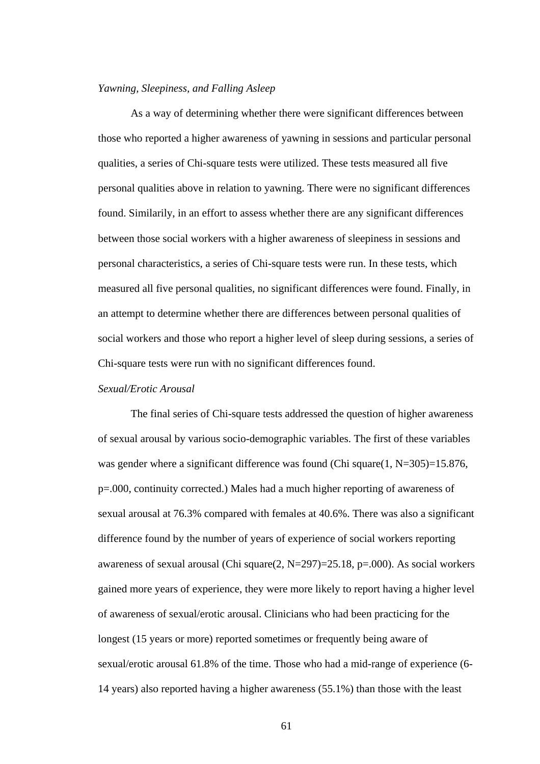# *Yawning, Sleepiness, and Falling Asleep*

As a way of determining whether there were significant differences between those who reported a higher awareness of yawning in sessions and particular personal qualities, a series of Chi-square tests were utilized. These tests measured all five personal qualities above in relation to yawning. There were no significant differences found. Similarily, in an effort to assess whether there are any significant differences between those social workers with a higher awareness of sleepiness in sessions and personal characteristics, a series of Chi-square tests were run. In these tests, which measured all five personal qualities, no significant differences were found. Finally, in an attempt to determine whether there are differences between personal qualities of social workers and those who report a higher level of sleep during sessions, a series of Chi-square tests were run with no significant differences found.

### *Sexual/Erotic Arousal*

The final series of Chi-square tests addressed the question of higher awareness of sexual arousal by various socio-demographic variables. The first of these variables was gender where a significant difference was found (Chi square(1, N=305)=15.876, p=.000, continuity corrected.) Males had a much higher reporting of awareness of sexual arousal at 76.3% compared with females at 40.6%. There was also a significant difference found by the number of years of experience of social workers reporting awareness of sexual arousal (Chi square(2, N=297)=25.18, p=.000). As social workers gained more years of experience, they were more likely to report having a higher level of awareness of sexual/erotic arousal. Clinicians who had been practicing for the longest (15 years or more) reported sometimes or frequently being aware of sexual/erotic arousal 61.8% of the time. Those who had a mid-range of experience (6- 14 years) also reported having a higher awareness (55.1%) than those with the least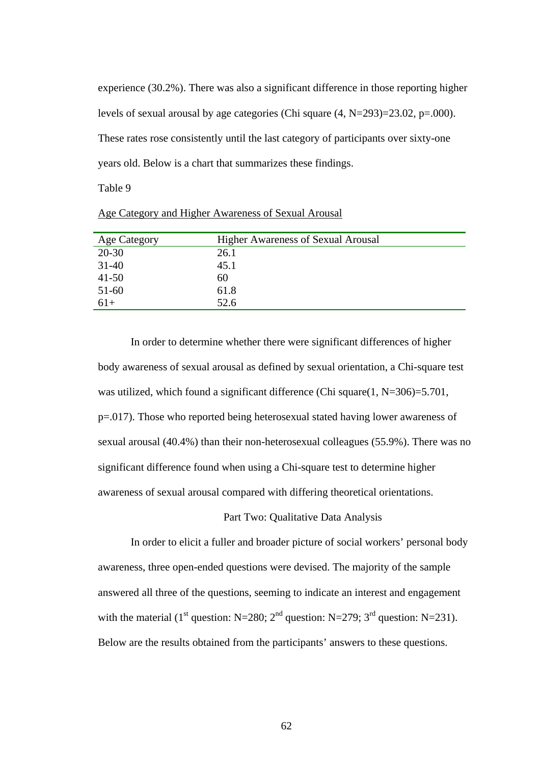experience (30.2%). There was also a significant difference in those reporting higher levels of sexual arousal by age categories (Chi square (4, N=293)=23.02, p=.000). These rates rose consistently until the last category of participants over sixty-one years old. Below is a chart that summarizes these findings.

Table 9

| <b>Age Category</b> | <b>Higher Awareness of Sexual Arousal</b> |
|---------------------|-------------------------------------------|
| $20 - 30$           | 26.1                                      |
| $31 - 40$           | 45.1                                      |
| $41 - 50$           | 60                                        |
| 51-60               | 61.8                                      |
| $61+$               | 52.6                                      |
|                     |                                           |

Age Category and Higher Awareness of Sexual Arousal

In order to determine whether there were significant differences of higher body awareness of sexual arousal as defined by sexual orientation, a Chi-square test was utilized, which found a significant difference (Chi square(1,  $N=306$ )=5.701, p=.017). Those who reported being heterosexual stated having lower awareness of sexual arousal (40.4%) than their non-heterosexual colleagues (55.9%). There was no significant difference found when using a Chi-square test to determine higher awareness of sexual arousal compared with differing theoretical orientations.

Part Two: Qualitative Data Analysis

In order to elicit a fuller and broader picture of social workers' personal body awareness, three open-ended questions were devised. The majority of the sample answered all three of the questions, seeming to indicate an interest and engagement with the material (1<sup>st</sup> question: N=280; 2<sup>nd</sup> question: N=279; 3<sup>rd</sup> question: N=231). Below are the results obtained from the participants' answers to these questions.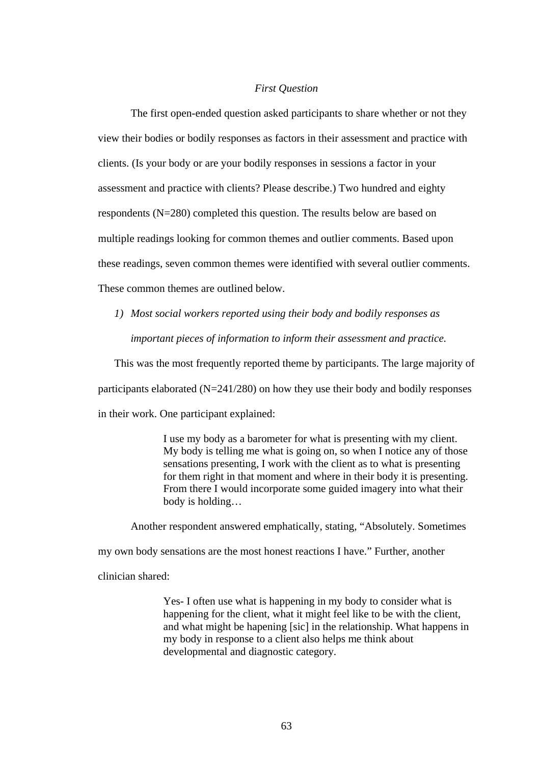## *First Question*

The first open-ended question asked participants to share whether or not they view their bodies or bodily responses as factors in their assessment and practice with clients. (Is your body or are your bodily responses in sessions a factor in your assessment and practice with clients? Please describe.) Two hundred and eighty respondents (N=280) completed this question. The results below are based on multiple readings looking for common themes and outlier comments. Based upon these readings, seven common themes were identified with several outlier comments. These common themes are outlined below.

*1) Most social workers reported using their body and bodily responses as important pieces of information to inform their assessment and practice.*

This was the most frequently reported theme by participants. The large majority of participants elaborated (N=241/280) on how they use their body and bodily responses in their work. One participant explained:

> I use my body as a barometer for what is presenting with my client. My body is telling me what is going on, so when I notice any of those sensations presenting, I work with the client as to what is presenting for them right in that moment and where in their body it is presenting. From there I would incorporate some guided imagery into what their body is holding…

Another respondent answered emphatically, stating, "Absolutely. Sometimes my own body sensations are the most honest reactions I have." Further, another clinician shared:

> Yes- I often use what is happening in my body to consider what is happening for the client, what it might feel like to be with the client, and what might be hapening [sic] in the relationship. What happens in my body in response to a client also helps me think about developmental and diagnostic category.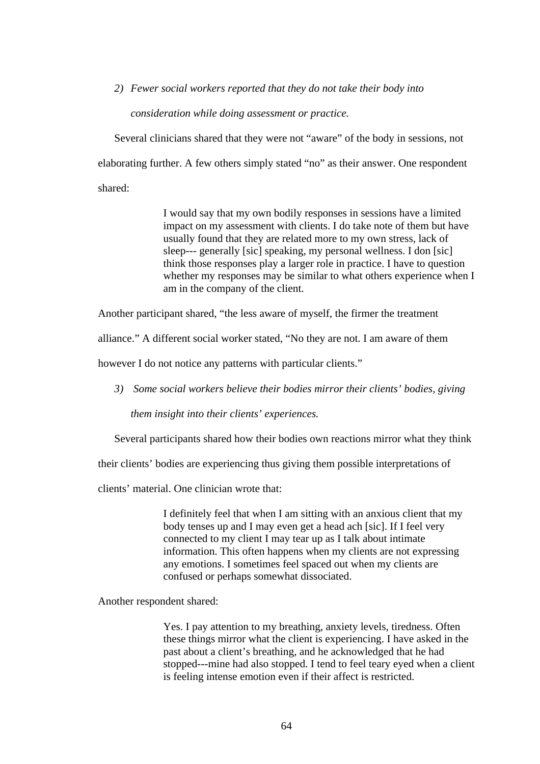*2) Fewer social workers reported that they do not take their body into consideration while doing assessment or practice.* 

Several clinicians shared that they were not "aware" of the body in sessions, not elaborating further. A few others simply stated "no" as their answer. One respondent shared:

> I would say that my own bodily responses in sessions have a limited impact on my assessment with clients. I do take note of them but have usually found that they are related more to my own stress, lack of sleep--- generally [sic] speaking, my personal wellness. I don [sic] think those responses play a larger role in practice. I have to question whether my responses may be similar to what others experience when I am in the company of the client.

Another participant shared, "the less aware of myself, the firmer the treatment

alliance." A different social worker stated, "No they are not. I am aware of them

however I do not notice any patterns with particular clients."

*3) Some social workers believe their bodies mirror their clients' bodies, giving*

*them insight into their clients' experiences.* 

Several participants shared how their bodies own reactions mirror what they think

their clients' bodies are experiencing thus giving them possible interpretations of

clients' material. One clinician wrote that:

I definitely feel that when I am sitting with an anxious client that my body tenses up and I may even get a head ach [sic]. If I feel very connected to my client I may tear up as I talk about intimate information. This often happens when my clients are not expressing any emotions. I sometimes feel spaced out when my clients are confused or perhaps somewhat dissociated.

Another respondent shared:

Yes. I pay attention to my breathing, anxiety levels, tiredness. Often these things mirror what the client is experiencing. I have asked in the past about a client's breathing, and he acknowledged that he had stopped---mine had also stopped. I tend to feel teary eyed when a client is feeling intense emotion even if their affect is restricted.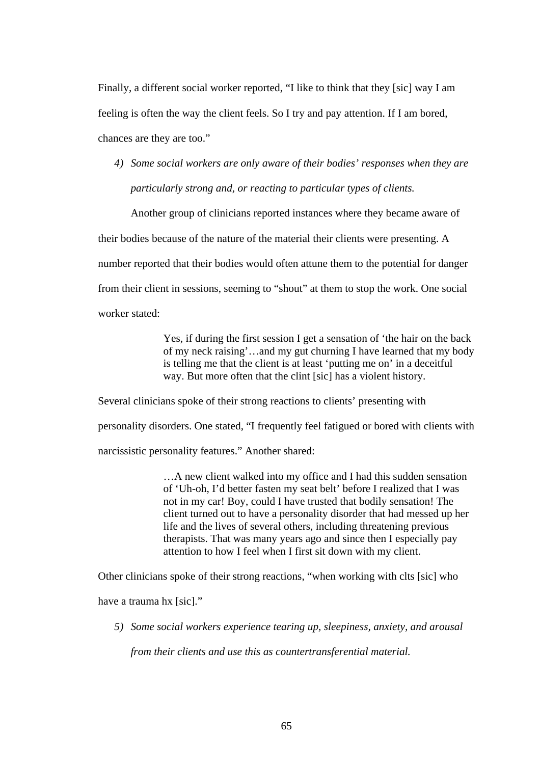Finally, a different social worker reported, "I like to think that they [sic] way I am feeling is often the way the client feels. So I try and pay attention. If I am bored, chances are they are too."

*4) Some social workers are only aware of their bodies' responses when they are particularly strong and, or reacting to particular types of clients.* 

Another group of clinicians reported instances where they became aware of their bodies because of the nature of the material their clients were presenting. A number reported that their bodies would often attune them to the potential for danger from their client in sessions, seeming to "shout" at them to stop the work. One social worker stated:

> Yes, if during the first session I get a sensation of 'the hair on the back of my neck raising'…and my gut churning I have learned that my body is telling me that the client is at least 'putting me on' in a deceitful way. But more often that the clint [sic] has a violent history.

Several clinicians spoke of their strong reactions to clients' presenting with personality disorders. One stated, "I frequently feel fatigued or bored with clients with narcissistic personality features." Another shared:

> …A new client walked into my office and I had this sudden sensation of 'Uh-oh, I'd better fasten my seat belt' before I realized that I was not in my car! Boy, could I have trusted that bodily sensation! The client turned out to have a personality disorder that had messed up her life and the lives of several others, including threatening previous therapists. That was many years ago and since then I especially pay attention to how I feel when I first sit down with my client.

Other clinicians spoke of their strong reactions, "when working with clts [sic] who

have a trauma hx [sic]."

*5) Some social workers experience tearing up, sleepiness, anxiety, and arousal* 

*from their clients and use this as countertransferential material.*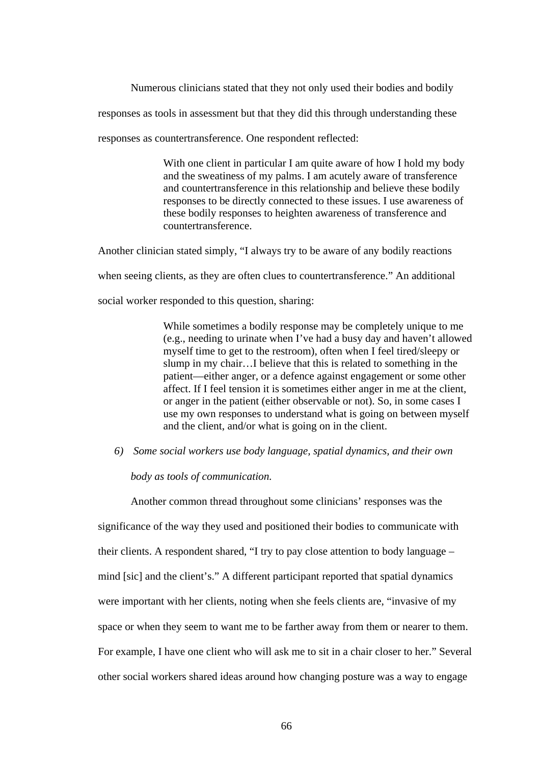Numerous clinicians stated that they not only used their bodies and bodily responses as tools in assessment but that they did this through understanding these responses as countertransference. One respondent reflected:

> With one client in particular I am quite aware of how I hold my body and the sweatiness of my palms. I am acutely aware of transference and countertransference in this relationship and believe these bodily responses to be directly connected to these issues. I use awareness of these bodily responses to heighten awareness of transference and countertransference.

Another clinician stated simply, "I always try to be aware of any bodily reactions when seeing clients, as they are often clues to countertransference." An additional social worker responded to this question, sharing:

> While sometimes a bodily response may be completely unique to me (e.g., needing to urinate when I've had a busy day and haven't allowed myself time to get to the restroom), often when I feel tired/sleepy or slump in my chair…I believe that this is related to something in the patient—either anger, or a defence against engagement or some other affect. If I feel tension it is sometimes either anger in me at the client, or anger in the patient (either observable or not). So, in some cases I use my own responses to understand what is going on between myself and the client, and/or what is going on in the client.

*6) Some social workers use body language, spatial dynamics, and their own* 

*body as tools of communication.* 

 Another common thread throughout some clinicians' responses was the significance of the way they used and positioned their bodies to communicate with their clients. A respondent shared, "I try to pay close attention to body language – mind [sic] and the client's." A different participant reported that spatial dynamics were important with her clients, noting when she feels clients are, "invasive of my space or when they seem to want me to be farther away from them or nearer to them. For example, I have one client who will ask me to sit in a chair closer to her." Several other social workers shared ideas around how changing posture was a way to engage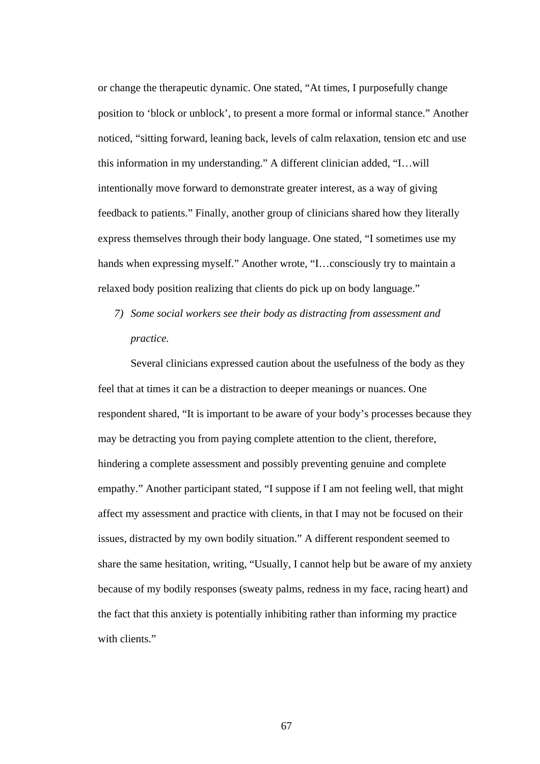or change the therapeutic dynamic. One stated, "At times, I purposefully change position to 'block or unblock', to present a more formal or informal stance." Another noticed, "sitting forward, leaning back, levels of calm relaxation, tension etc and use this information in my understanding." A different clinician added, "I…will intentionally move forward to demonstrate greater interest, as a way of giving feedback to patients." Finally, another group of clinicians shared how they literally express themselves through their body language. One stated, "I sometimes use my hands when expressing myself." Another wrote, "I…consciously try to maintain a relaxed body position realizing that clients do pick up on body language."

*7) Some social workers see their body as distracting from assessment and practice.*

Several clinicians expressed caution about the usefulness of the body as they feel that at times it can be a distraction to deeper meanings or nuances. One respondent shared, "It is important to be aware of your body's processes because they may be detracting you from paying complete attention to the client, therefore, hindering a complete assessment and possibly preventing genuine and complete empathy." Another participant stated, "I suppose if I am not feeling well, that might affect my assessment and practice with clients, in that I may not be focused on their issues, distracted by my own bodily situation." A different respondent seemed to share the same hesitation, writing, "Usually, I cannot help but be aware of my anxiety because of my bodily responses (sweaty palms, redness in my face, racing heart) and the fact that this anxiety is potentially inhibiting rather than informing my practice with clients."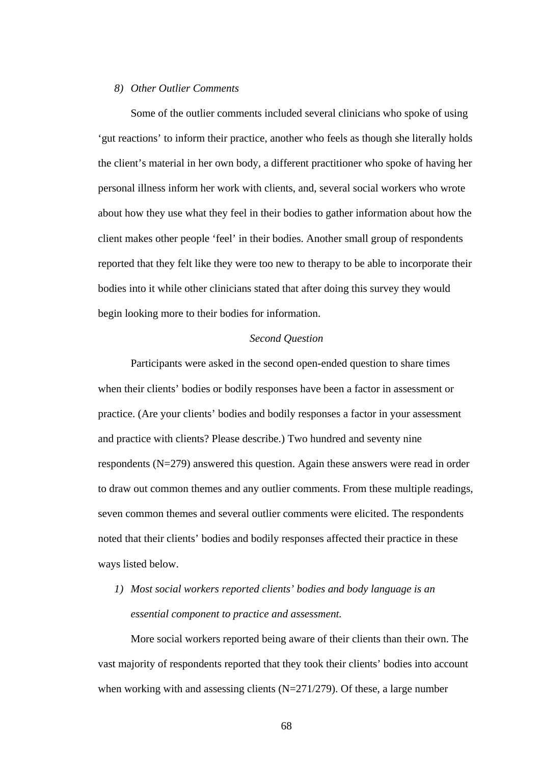## *8) Other Outlier Comments*

Some of the outlier comments included several clinicians who spoke of using 'gut reactions' to inform their practice, another who feels as though she literally holds the client's material in her own body, a different practitioner who spoke of having her personal illness inform her work with clients, and, several social workers who wrote about how they use what they feel in their bodies to gather information about how the client makes other people 'feel' in their bodies. Another small group of respondents reported that they felt like they were too new to therapy to be able to incorporate their bodies into it while other clinicians stated that after doing this survey they would begin looking more to their bodies for information.

#### *Second Question*

Participants were asked in the second open-ended question to share times when their clients' bodies or bodily responses have been a factor in assessment or practice. (Are your clients' bodies and bodily responses a factor in your assessment and practice with clients? Please describe.) Two hundred and seventy nine respondents (N=279) answered this question. Again these answers were read in order to draw out common themes and any outlier comments. From these multiple readings, seven common themes and several outlier comments were elicited. The respondents noted that their clients' bodies and bodily responses affected their practice in these ways listed below.

*1) Most social workers reported clients' bodies and body language is an essential component to practice and assessment.* 

More social workers reported being aware of their clients than their own. The vast majority of respondents reported that they took their clients' bodies into account when working with and assessing clients  $(N=271/279)$ . Of these, a large number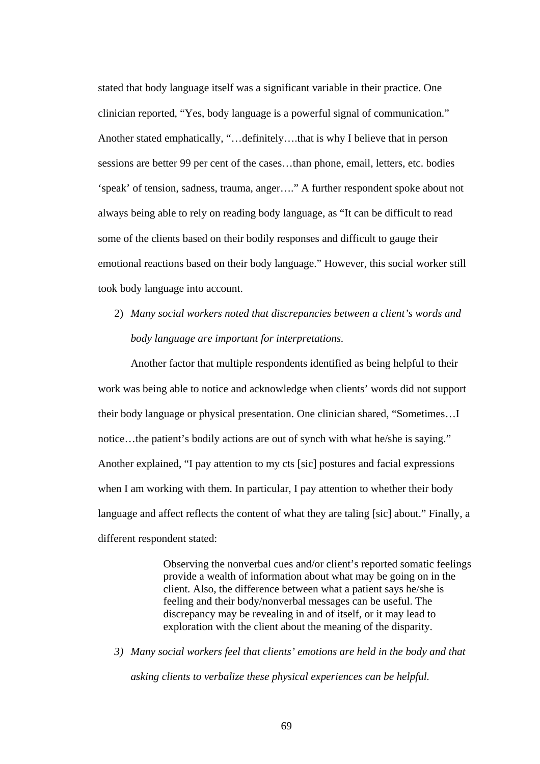stated that body language itself was a significant variable in their practice. One clinician reported, "Yes, body language is a powerful signal of communication." Another stated emphatically, "…definitely….that is why I believe that in person sessions are better 99 per cent of the cases…than phone, email, letters, etc. bodies 'speak' of tension, sadness, trauma, anger…." A further respondent spoke about not always being able to rely on reading body language, as "It can be difficult to read some of the clients based on their bodily responses and difficult to gauge their emotional reactions based on their body language." However, this social worker still took body language into account.

2) *Many social workers noted that discrepancies between a client's words and body language are important for interpretations.* 

Another factor that multiple respondents identified as being helpful to their work was being able to notice and acknowledge when clients' words did not support their body language or physical presentation. One clinician shared, "Sometimes…I notice…the patient's bodily actions are out of synch with what he/she is saying." Another explained, "I pay attention to my cts [sic] postures and facial expressions when I am working with them. In particular, I pay attention to whether their body language and affect reflects the content of what they are taling [sic] about." Finally, a different respondent stated:

> Observing the nonverbal cues and/or client's reported somatic feelings provide a wealth of information about what may be going on in the client. Also, the difference between what a patient says he/she is feeling and their body/nonverbal messages can be useful. The discrepancy may be revealing in and of itself, or it may lead to exploration with the client about the meaning of the disparity.

*3) Many social workers feel that clients' emotions are held in the body and that asking clients to verbalize these physical experiences can be helpful.*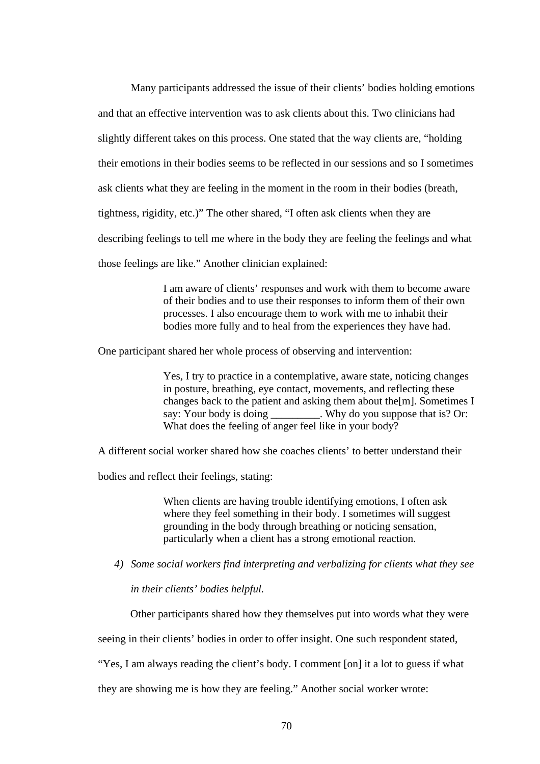Many participants addressed the issue of their clients' bodies holding emotions and that an effective intervention was to ask clients about this. Two clinicians had slightly different takes on this process. One stated that the way clients are, "holding their emotions in their bodies seems to be reflected in our sessions and so I sometimes ask clients what they are feeling in the moment in the room in their bodies (breath, tightness, rigidity, etc.)" The other shared, "I often ask clients when they are describing feelings to tell me where in the body they are feeling the feelings and what those feelings are like." Another clinician explained:

> I am aware of clients' responses and work with them to become aware of their bodies and to use their responses to inform them of their own processes. I also encourage them to work with me to inhabit their bodies more fully and to heal from the experiences they have had.

One participant shared her whole process of observing and intervention:

Yes, I try to practice in a contemplative, aware state, noticing changes in posture, breathing, eye contact, movements, and reflecting these changes back to the patient and asking them about the[m]. Sometimes I say: Your body is doing \_\_\_\_\_\_\_\_. Why do you suppose that is? Or: What does the feeling of anger feel like in your body?

A different social worker shared how she coaches clients' to better understand their

bodies and reflect their feelings, stating:

When clients are having trouble identifying emotions, I often ask where they feel something in their body. I sometimes will suggest grounding in the body through breathing or noticing sensation, particularly when a client has a strong emotional reaction.

*4) Some social workers find interpreting and verbalizing for clients what they see* 

*in their clients' bodies helpful.* 

Other participants shared how they themselves put into words what they were

seeing in their clients' bodies in order to offer insight. One such respondent stated,

"Yes, I am always reading the client's body. I comment [on] it a lot to guess if what

they are showing me is how they are feeling." Another social worker wrote: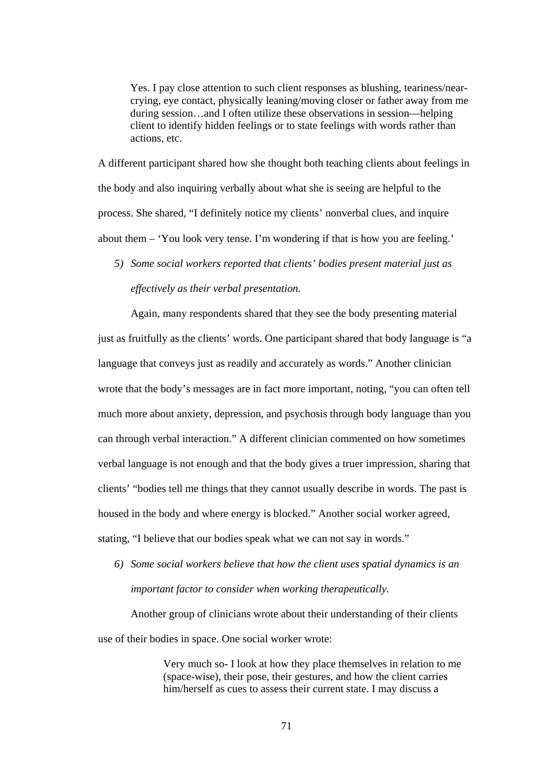Yes. I pay close attention to such client responses as blushing, teariness/nearcrying, eye contact, physically leaning/moving closer or father away from me during session…and I often utilize these observations in session—helping client to identify hidden feelings or to state feelings with words rather than actions, etc.

A different participant shared how she thought both teaching clients about feelings in the body and also inquiring verbally about what she is seeing are helpful to the process. She shared, "I definitely notice my clients' nonverbal clues, and inquire about them – 'You look very tense. I'm wondering if that is how you are feeling.'

*5) Some social workers reported that clients' bodies present material just as effectively as their verbal presentation.* 

Again, many respondents shared that they see the body presenting material just as fruitfully as the clients' words. One participant shared that body language is "a language that conveys just as readily and accurately as words." Another clinician wrote that the body's messages are in fact more important, noting, "you can often tell much more about anxiety, depression, and psychosis through body language than you can through verbal interaction." A different clinician commented on how sometimes verbal language is not enough and that the body gives a truer impression, sharing that clients' "bodies tell me things that they cannot usually describe in words. The past is housed in the body and where energy is blocked." Another social worker agreed, stating, "I believe that our bodies speak what we can not say in words."

*6) Some social workers believe that how the client uses spatial dynamics is an important factor to consider when working therapeutically.*

Another group of clinicians wrote about their understanding of their clients use of their bodies in space. One social worker wrote:

> Very much so- I look at how they place themselves in relation to me (space-wise), their pose, their gestures, and how the client carries him/herself as cues to assess their current state. I may discuss a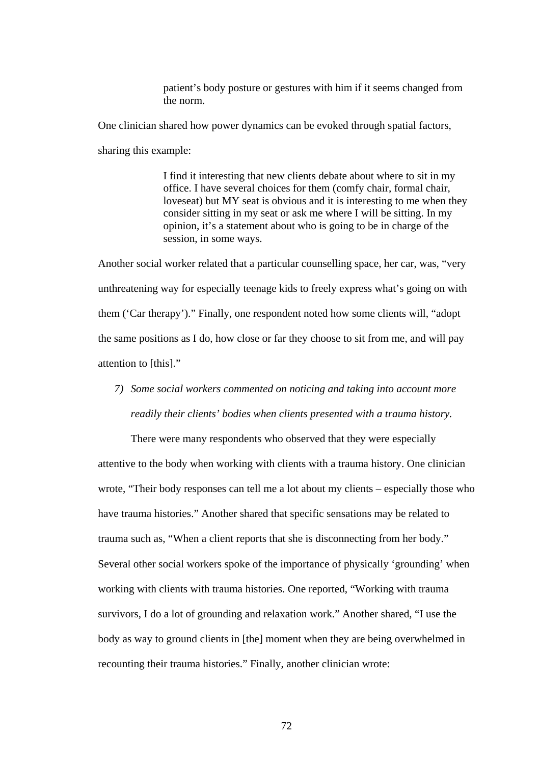patient's body posture or gestures with him if it seems changed from the norm.

One clinician shared how power dynamics can be evoked through spatial factors, sharing this example:

> I find it interesting that new clients debate about where to sit in my office. I have several choices for them (comfy chair, formal chair, loveseat) but MY seat is obvious and it is interesting to me when they consider sitting in my seat or ask me where I will be sitting. In my opinion, it's a statement about who is going to be in charge of the session, in some ways.

Another social worker related that a particular counselling space, her car, was, "very unthreatening way for especially teenage kids to freely express what's going on with them ('Car therapy')." Finally, one respondent noted how some clients will, "adopt the same positions as I do, how close or far they choose to sit from me, and will pay attention to [this]."

*7) Some social workers commented on noticing and taking into account more readily their clients' bodies when clients presented with a trauma history.*

There were many respondents who observed that they were especially attentive to the body when working with clients with a trauma history. One clinician wrote, "Their body responses can tell me a lot about my clients – especially those who have trauma histories." Another shared that specific sensations may be related to trauma such as, "When a client reports that she is disconnecting from her body." Several other social workers spoke of the importance of physically 'grounding' when working with clients with trauma histories. One reported, "Working with trauma survivors, I do a lot of grounding and relaxation work." Another shared, "I use the body as way to ground clients in [the] moment when they are being overwhelmed in recounting their trauma histories." Finally, another clinician wrote: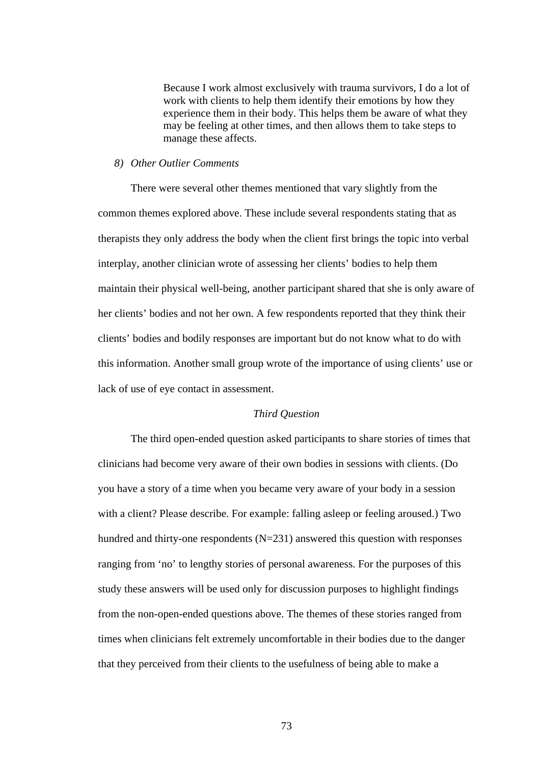Because I work almost exclusively with trauma survivors, I do a lot of work with clients to help them identify their emotions by how they experience them in their body. This helps them be aware of what they may be feeling at other times, and then allows them to take steps to manage these affects.

#### *8) Other Outlier Comments*

There were several other themes mentioned that vary slightly from the common themes explored above. These include several respondents stating that as therapists they only address the body when the client first brings the topic into verbal interplay, another clinician wrote of assessing her clients' bodies to help them maintain their physical well-being, another participant shared that she is only aware of her clients' bodies and not her own. A few respondents reported that they think their clients' bodies and bodily responses are important but do not know what to do with this information. Another small group wrote of the importance of using clients' use or lack of use of eye contact in assessment.

## *Third Question*

The third open-ended question asked participants to share stories of times that clinicians had become very aware of their own bodies in sessions with clients. (Do you have a story of a time when you became very aware of your body in a session with a client? Please describe. For example: falling asleep or feeling aroused.) Two hundred and thirty-one respondents  $(N=231)$  answered this question with responses ranging from 'no' to lengthy stories of personal awareness. For the purposes of this study these answers will be used only for discussion purposes to highlight findings from the non-open-ended questions above. The themes of these stories ranged from times when clinicians felt extremely uncomfortable in their bodies due to the danger that they perceived from their clients to the usefulness of being able to make a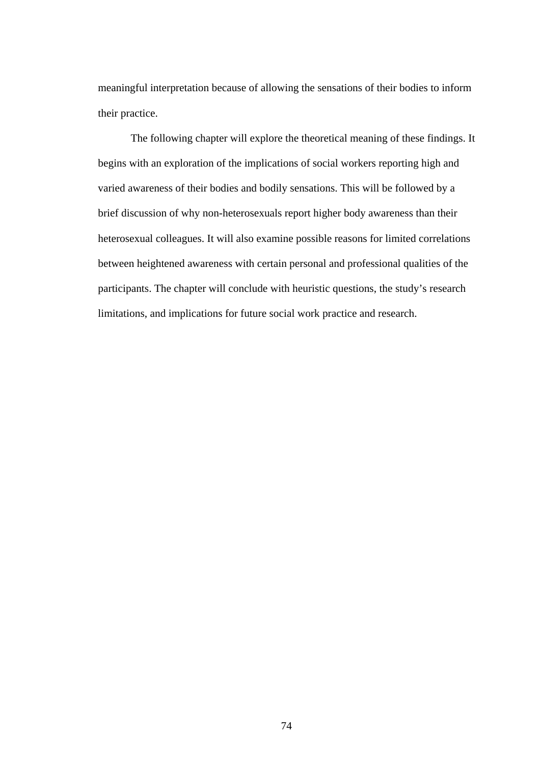meaningful interpretation because of allowing the sensations of their bodies to inform their practice.

The following chapter will explore the theoretical meaning of these findings. It begins with an exploration of the implications of social workers reporting high and varied awareness of their bodies and bodily sensations. This will be followed by a brief discussion of why non-heterosexuals report higher body awareness than their heterosexual colleagues. It will also examine possible reasons for limited correlations between heightened awareness with certain personal and professional qualities of the participants. The chapter will conclude with heuristic questions, the study's research limitations, and implications for future social work practice and research.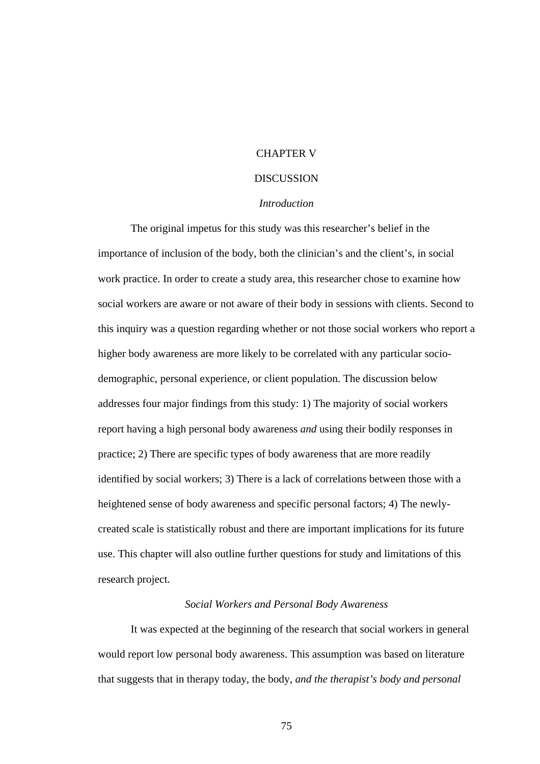## CHAPTER V

## **DISCUSSION**

#### *Introduction*

The original impetus for this study was this researcher's belief in the importance of inclusion of the body, both the clinician's and the client's, in social work practice. In order to create a study area, this researcher chose to examine how social workers are aware or not aware of their body in sessions with clients. Second to this inquiry was a question regarding whether or not those social workers who report a higher body awareness are more likely to be correlated with any particular sociodemographic, personal experience, or client population. The discussion below addresses four major findings from this study: 1) The majority of social workers report having a high personal body awareness *and* using their bodily responses in practice; 2) There are specific types of body awareness that are more readily identified by social workers; 3) There is a lack of correlations between those with a heightened sense of body awareness and specific personal factors; 4) The newlycreated scale is statistically robust and there are important implications for its future use. This chapter will also outline further questions for study and limitations of this research project.

## *Social Workers and Personal Body Awareness*

It was expected at the beginning of the research that social workers in general would report low personal body awareness. This assumption was based on literature that suggests that in therapy today, the body, *and the therapist's body and personal*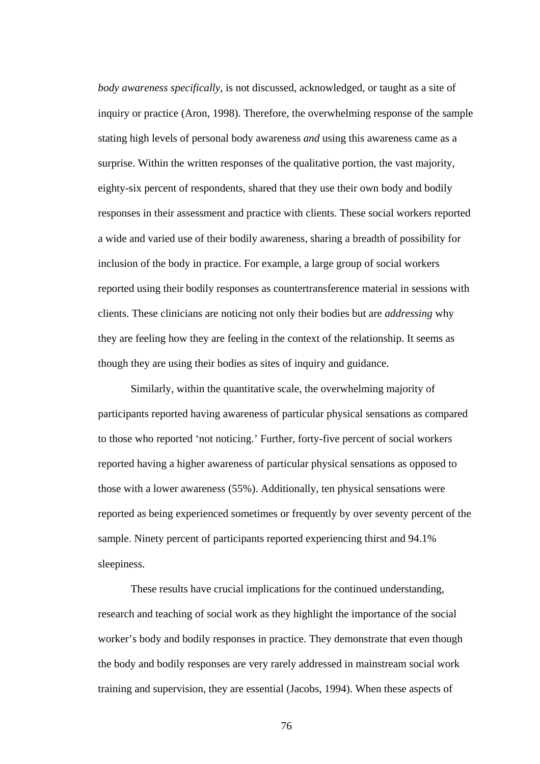*body awareness specifically*, is not discussed, acknowledged, or taught as a site of inquiry or practice (Aron, 1998). Therefore, the overwhelming response of the sample stating high levels of personal body awareness *and* using this awareness came as a surprise. Within the written responses of the qualitative portion, the vast majority, eighty-six percent of respondents, shared that they use their own body and bodily responses in their assessment and practice with clients. These social workers reported a wide and varied use of their bodily awareness, sharing a breadth of possibility for inclusion of the body in practice. For example, a large group of social workers reported using their bodily responses as countertransference material in sessions with clients. These clinicians are noticing not only their bodies but are *addressing* why they are feeling how they are feeling in the context of the relationship. It seems as though they are using their bodies as sites of inquiry and guidance.

Similarly, within the quantitative scale, the overwhelming majority of participants reported having awareness of particular physical sensations as compared to those who reported 'not noticing.' Further, forty-five percent of social workers reported having a higher awareness of particular physical sensations as opposed to those with a lower awareness (55%). Additionally, ten physical sensations were reported as being experienced sometimes or frequently by over seventy percent of the sample. Ninety percent of participants reported experiencing thirst and 94.1% sleepiness.

These results have crucial implications for the continued understanding, research and teaching of social work as they highlight the importance of the social worker's body and bodily responses in practice. They demonstrate that even though the body and bodily responses are very rarely addressed in mainstream social work training and supervision, they are essential (Jacobs, 1994). When these aspects of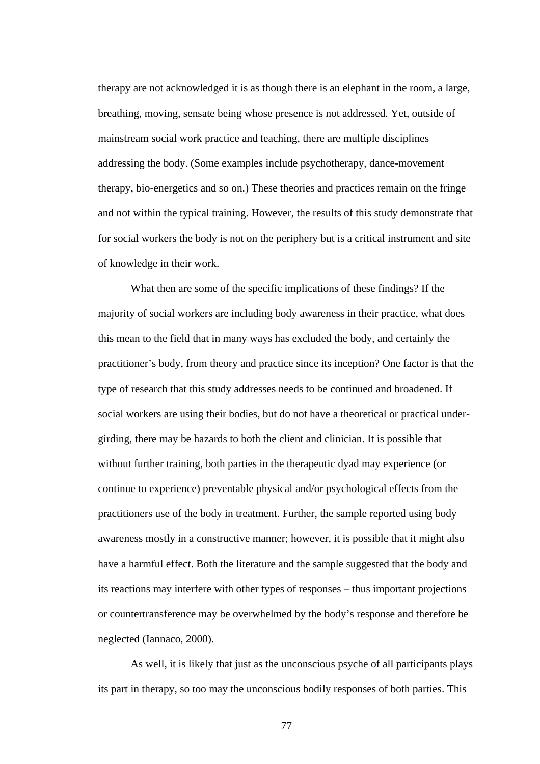therapy are not acknowledged it is as though there is an elephant in the room, a large, breathing, moving, sensate being whose presence is not addressed. Yet, outside of mainstream social work practice and teaching, there are multiple disciplines addressing the body. (Some examples include psychotherapy, dance-movement therapy, bio-energetics and so on.) These theories and practices remain on the fringe and not within the typical training. However, the results of this study demonstrate that for social workers the body is not on the periphery but is a critical instrument and site of knowledge in their work.

What then are some of the specific implications of these findings? If the majority of social workers are including body awareness in their practice, what does this mean to the field that in many ways has excluded the body, and certainly the practitioner's body, from theory and practice since its inception? One factor is that the type of research that this study addresses needs to be continued and broadened. If social workers are using their bodies, but do not have a theoretical or practical undergirding, there may be hazards to both the client and clinician. It is possible that without further training, both parties in the therapeutic dyad may experience (or continue to experience) preventable physical and/or psychological effects from the practitioners use of the body in treatment. Further, the sample reported using body awareness mostly in a constructive manner; however, it is possible that it might also have a harmful effect. Both the literature and the sample suggested that the body and its reactions may interfere with other types of responses – thus important projections or countertransference may be overwhelmed by the body's response and therefore be neglected (Iannaco, 2000).

As well, it is likely that just as the unconscious psyche of all participants plays its part in therapy, so too may the unconscious bodily responses of both parties. This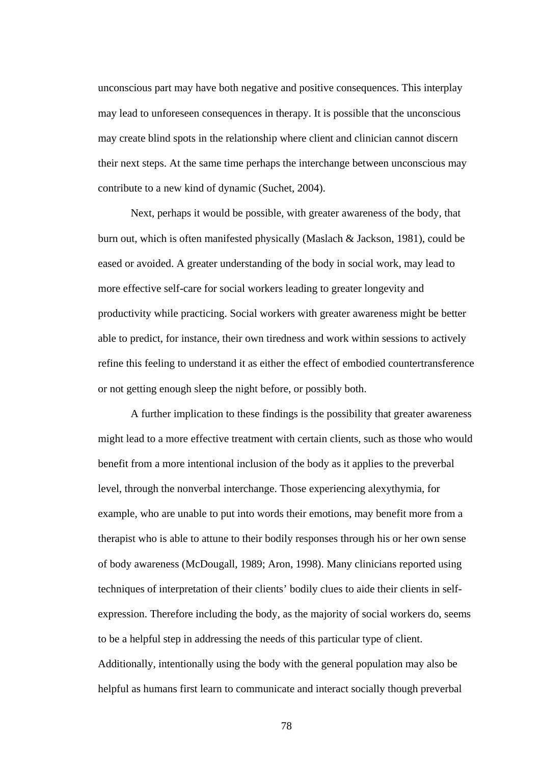unconscious part may have both negative and positive consequences. This interplay may lead to unforeseen consequences in therapy. It is possible that the unconscious may create blind spots in the relationship where client and clinician cannot discern their next steps. At the same time perhaps the interchange between unconscious may contribute to a new kind of dynamic (Suchet, 2004).

Next, perhaps it would be possible, with greater awareness of the body, that burn out, which is often manifested physically (Maslach & Jackson, 1981), could be eased or avoided. A greater understanding of the body in social work, may lead to more effective self-care for social workers leading to greater longevity and productivity while practicing. Social workers with greater awareness might be better able to predict, for instance, their own tiredness and work within sessions to actively refine this feeling to understand it as either the effect of embodied countertransference or not getting enough sleep the night before, or possibly both.

A further implication to these findings is the possibility that greater awareness might lead to a more effective treatment with certain clients, such as those who would benefit from a more intentional inclusion of the body as it applies to the preverbal level, through the nonverbal interchange. Those experiencing alexythymia, for example, who are unable to put into words their emotions, may benefit more from a therapist who is able to attune to their bodily responses through his or her own sense of body awareness (McDougall, 1989; Aron, 1998). Many clinicians reported using techniques of interpretation of their clients' bodily clues to aide their clients in selfexpression. Therefore including the body, as the majority of social workers do, seems to be a helpful step in addressing the needs of this particular type of client. Additionally, intentionally using the body with the general population may also be helpful as humans first learn to communicate and interact socially though preverbal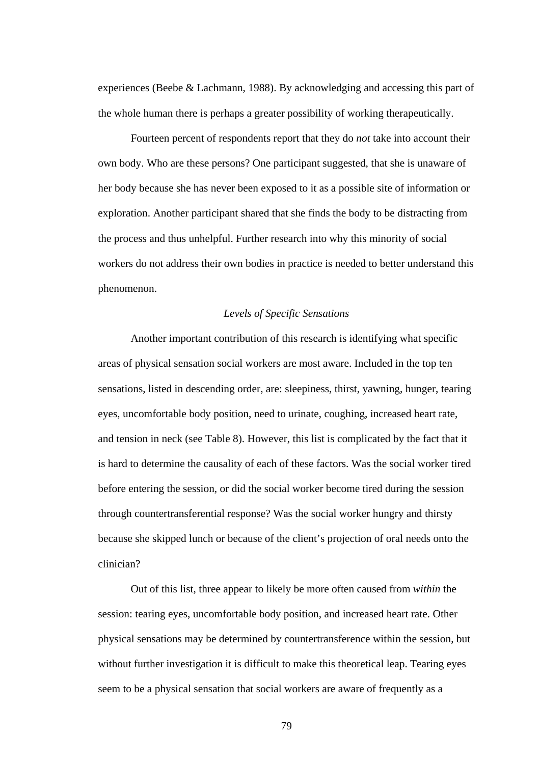experiences (Beebe & Lachmann, 1988). By acknowledging and accessing this part of the whole human there is perhaps a greater possibility of working therapeutically.

Fourteen percent of respondents report that they do *not* take into account their own body. Who are these persons? One participant suggested, that she is unaware of her body because she has never been exposed to it as a possible site of information or exploration. Another participant shared that she finds the body to be distracting from the process and thus unhelpful. Further research into why this minority of social workers do not address their own bodies in practice is needed to better understand this phenomenon.

## *Levels of Specific Sensations*

Another important contribution of this research is identifying what specific areas of physical sensation social workers are most aware. Included in the top ten sensations, listed in descending order, are: sleepiness, thirst, yawning, hunger, tearing eyes, uncomfortable body position, need to urinate, coughing, increased heart rate, and tension in neck (see Table 8). However, this list is complicated by the fact that it is hard to determine the causality of each of these factors. Was the social worker tired before entering the session, or did the social worker become tired during the session through countertransferential response? Was the social worker hungry and thirsty because she skipped lunch or because of the client's projection of oral needs onto the clinician?

Out of this list, three appear to likely be more often caused from *within* the session: tearing eyes, uncomfortable body position, and increased heart rate. Other physical sensations may be determined by countertransference within the session, but without further investigation it is difficult to make this theoretical leap. Tearing eyes seem to be a physical sensation that social workers are aware of frequently as a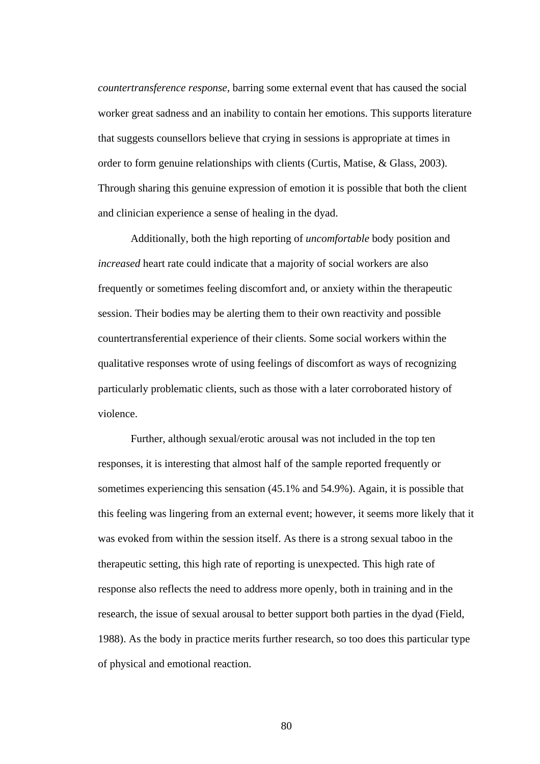*countertransference response,* barring some external event that has caused the social worker great sadness and an inability to contain her emotions. This supports literature that suggests counsellors believe that crying in sessions is appropriate at times in order to form genuine relationships with clients (Curtis, Matise, & Glass, 2003). Through sharing this genuine expression of emotion it is possible that both the client and clinician experience a sense of healing in the dyad.

Additionally, both the high reporting of *uncomfortable* body position and *increased* heart rate could indicate that a majority of social workers are also frequently or sometimes feeling discomfort and, or anxiety within the therapeutic session. Their bodies may be alerting them to their own reactivity and possible countertransferential experience of their clients. Some social workers within the qualitative responses wrote of using feelings of discomfort as ways of recognizing particularly problematic clients, such as those with a later corroborated history of violence.

Further, although sexual/erotic arousal was not included in the top ten responses, it is interesting that almost half of the sample reported frequently or sometimes experiencing this sensation (45.1% and 54.9%). Again, it is possible that this feeling was lingering from an external event; however, it seems more likely that it was evoked from within the session itself. As there is a strong sexual taboo in the therapeutic setting, this high rate of reporting is unexpected. This high rate of response also reflects the need to address more openly, both in training and in the research, the issue of sexual arousal to better support both parties in the dyad (Field, 1988). As the body in practice merits further research, so too does this particular type of physical and emotional reaction.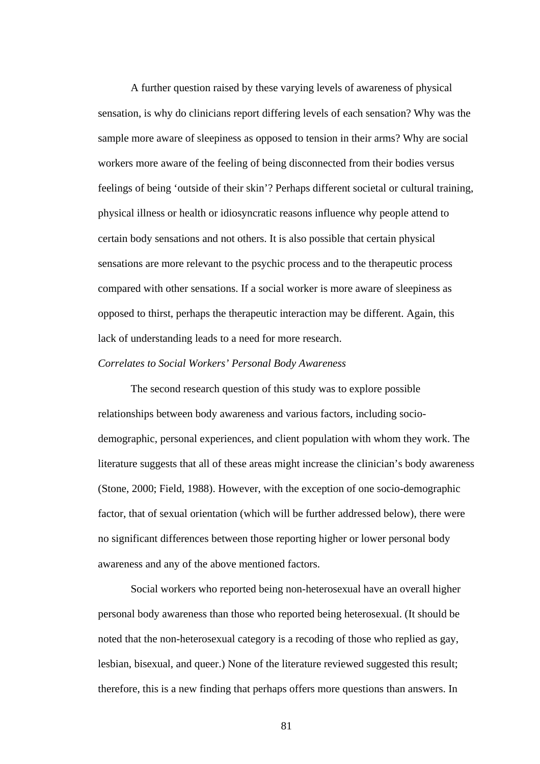A further question raised by these varying levels of awareness of physical sensation, is why do clinicians report differing levels of each sensation? Why was the sample more aware of sleepiness as opposed to tension in their arms? Why are social workers more aware of the feeling of being disconnected from their bodies versus feelings of being 'outside of their skin'? Perhaps different societal or cultural training, physical illness or health or idiosyncratic reasons influence why people attend to certain body sensations and not others. It is also possible that certain physical sensations are more relevant to the psychic process and to the therapeutic process compared with other sensations. If a social worker is more aware of sleepiness as opposed to thirst, perhaps the therapeutic interaction may be different. Again, this lack of understanding leads to a need for more research.

#### *Correlates to Social Workers' Personal Body Awareness*

The second research question of this study was to explore possible relationships between body awareness and various factors, including sociodemographic, personal experiences, and client population with whom they work. The literature suggests that all of these areas might increase the clinician's body awareness (Stone, 2000; Field, 1988). However, with the exception of one socio-demographic factor, that of sexual orientation (which will be further addressed below), there were no significant differences between those reporting higher or lower personal body awareness and any of the above mentioned factors.

Social workers who reported being non-heterosexual have an overall higher personal body awareness than those who reported being heterosexual. (It should be noted that the non-heterosexual category is a recoding of those who replied as gay, lesbian, bisexual, and queer.) None of the literature reviewed suggested this result; therefore, this is a new finding that perhaps offers more questions than answers. In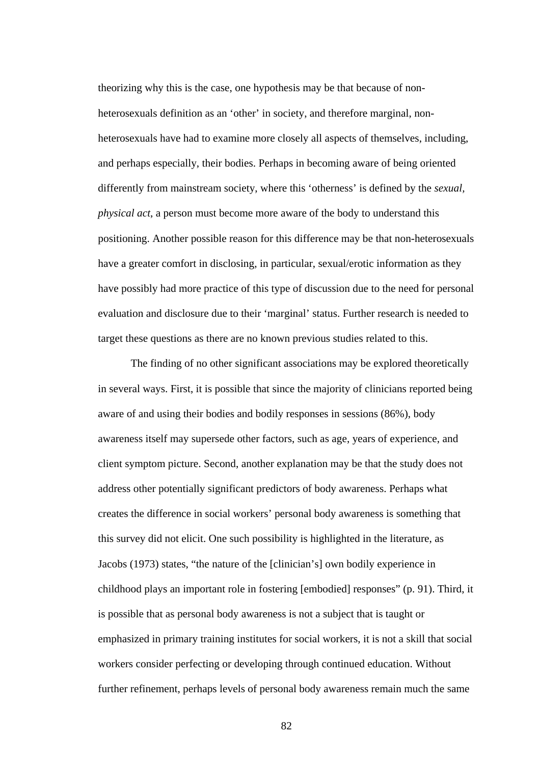theorizing why this is the case, one hypothesis may be that because of nonheterosexuals definition as an 'other' in society, and therefore marginal, nonheterosexuals have had to examine more closely all aspects of themselves, including, and perhaps especially, their bodies. Perhaps in becoming aware of being oriented differently from mainstream society, where this 'otherness' is defined by the *sexual, physical act*, a person must become more aware of the body to understand this positioning. Another possible reason for this difference may be that non-heterosexuals have a greater comfort in disclosing, in particular, sexual/erotic information as they have possibly had more practice of this type of discussion due to the need for personal evaluation and disclosure due to their 'marginal' status. Further research is needed to target these questions as there are no known previous studies related to this.

The finding of no other significant associations may be explored theoretically in several ways. First, it is possible that since the majority of clinicians reported being aware of and using their bodies and bodily responses in sessions (86%), body awareness itself may supersede other factors, such as age, years of experience, and client symptom picture. Second, another explanation may be that the study does not address other potentially significant predictors of body awareness. Perhaps what creates the difference in social workers' personal body awareness is something that this survey did not elicit. One such possibility is highlighted in the literature, as Jacobs (1973) states, "the nature of the [clinician's] own bodily experience in childhood plays an important role in fostering [embodied] responses" (p. 91). Third, it is possible that as personal body awareness is not a subject that is taught or emphasized in primary training institutes for social workers, it is not a skill that social workers consider perfecting or developing through continued education. Without further refinement, perhaps levels of personal body awareness remain much the same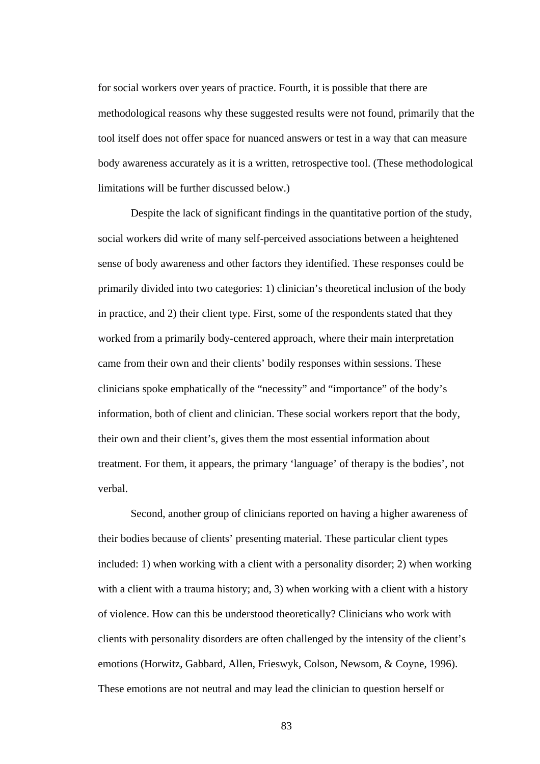for social workers over years of practice. Fourth, it is possible that there are methodological reasons why these suggested results were not found, primarily that the tool itself does not offer space for nuanced answers or test in a way that can measure body awareness accurately as it is a written, retrospective tool. (These methodological limitations will be further discussed below.)

Despite the lack of significant findings in the quantitative portion of the study, social workers did write of many self-perceived associations between a heightened sense of body awareness and other factors they identified. These responses could be primarily divided into two categories: 1) clinician's theoretical inclusion of the body in practice, and 2) their client type. First, some of the respondents stated that they worked from a primarily body-centered approach, where their main interpretation came from their own and their clients' bodily responses within sessions. These clinicians spoke emphatically of the "necessity" and "importance" of the body's information, both of client and clinician. These social workers report that the body, their own and their client's, gives them the most essential information about treatment. For them, it appears, the primary 'language' of therapy is the bodies', not verbal.

Second, another group of clinicians reported on having a higher awareness of their bodies because of clients' presenting material. These particular client types included: 1) when working with a client with a personality disorder; 2) when working with a client with a trauma history; and, 3) when working with a client with a history of violence. How can this be understood theoretically? Clinicians who work with clients with personality disorders are often challenged by the intensity of the client's emotions (Horwitz, Gabbard, Allen, Frieswyk, Colson, Newsom, & Coyne, 1996). These emotions are not neutral and may lead the clinician to question herself or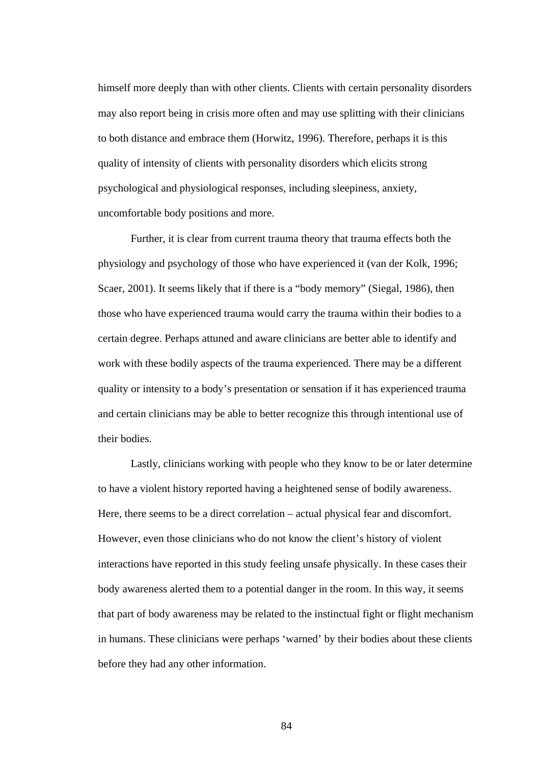himself more deeply than with other clients. Clients with certain personality disorders may also report being in crisis more often and may use splitting with their clinicians to both distance and embrace them (Horwitz, 1996). Therefore, perhaps it is this quality of intensity of clients with personality disorders which elicits strong psychological and physiological responses, including sleepiness, anxiety, uncomfortable body positions and more.

Further, it is clear from current trauma theory that trauma effects both the physiology and psychology of those who have experienced it (van der Kolk, 1996; Scaer, 2001). It seems likely that if there is a "body memory" (Siegal, 1986), then those who have experienced trauma would carry the trauma within their bodies to a certain degree. Perhaps attuned and aware clinicians are better able to identify and work with these bodily aspects of the trauma experienced. There may be a different quality or intensity to a body's presentation or sensation if it has experienced trauma and certain clinicians may be able to better recognize this through intentional use of their bodies.

Lastly, clinicians working with people who they know to be or later determine to have a violent history reported having a heightened sense of bodily awareness. Here, there seems to be a direct correlation – actual physical fear and discomfort. However, even those clinicians who do not know the client's history of violent interactions have reported in this study feeling unsafe physically. In these cases their body awareness alerted them to a potential danger in the room. In this way, it seems that part of body awareness may be related to the instinctual fight or flight mechanism in humans. These clinicians were perhaps 'warned' by their bodies about these clients before they had any other information.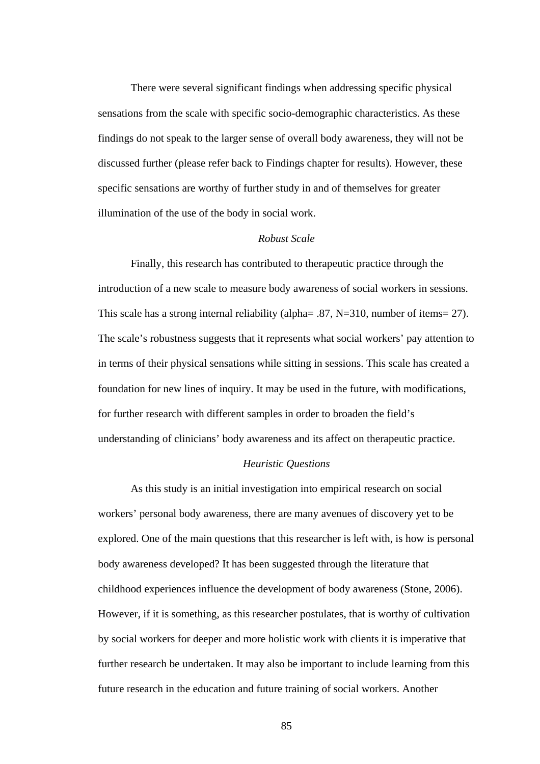There were several significant findings when addressing specific physical sensations from the scale with specific socio-demographic characteristics. As these findings do not speak to the larger sense of overall body awareness, they will not be discussed further (please refer back to Findings chapter for results). However, these specific sensations are worthy of further study in and of themselves for greater illumination of the use of the body in social work.

#### *Robust Scale*

Finally, this research has contributed to therapeutic practice through the introduction of a new scale to measure body awareness of social workers in sessions. This scale has a strong internal reliability (alpha=  $.87, N=310$ , number of items= 27). The scale's robustness suggests that it represents what social workers' pay attention to in terms of their physical sensations while sitting in sessions. This scale has created a foundation for new lines of inquiry. It may be used in the future, with modifications, for further research with different samples in order to broaden the field's understanding of clinicians' body awareness and its affect on therapeutic practice.

## *Heuristic Questions*

As this study is an initial investigation into empirical research on social workers' personal body awareness, there are many avenues of discovery yet to be explored. One of the main questions that this researcher is left with, is how is personal body awareness developed? It has been suggested through the literature that childhood experiences influence the development of body awareness (Stone, 2006). However, if it is something, as this researcher postulates, that is worthy of cultivation by social workers for deeper and more holistic work with clients it is imperative that further research be undertaken. It may also be important to include learning from this future research in the education and future training of social workers. Another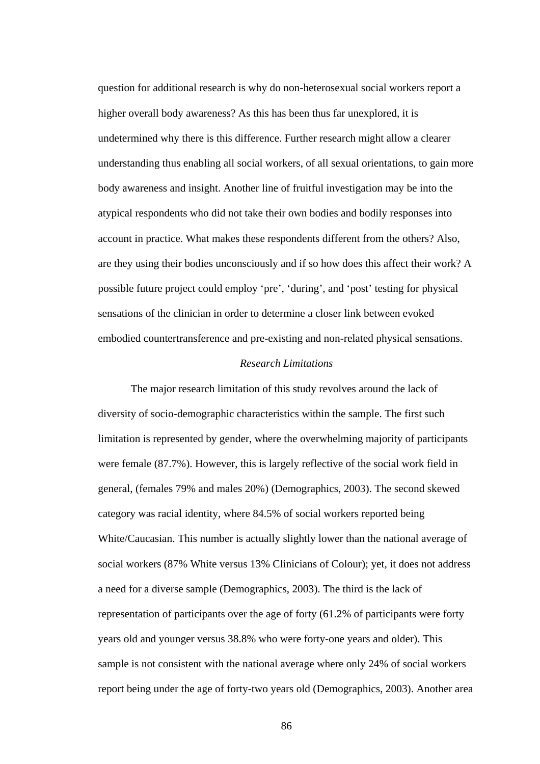question for additional research is why do non-heterosexual social workers report a higher overall body awareness? As this has been thus far unexplored, it is undetermined why there is this difference. Further research might allow a clearer understanding thus enabling all social workers, of all sexual orientations, to gain more body awareness and insight. Another line of fruitful investigation may be into the atypical respondents who did not take their own bodies and bodily responses into account in practice. What makes these respondents different from the others? Also, are they using their bodies unconsciously and if so how does this affect their work? A possible future project could employ 'pre', 'during', and 'post' testing for physical sensations of the clinician in order to determine a closer link between evoked embodied countertransference and pre-existing and non-related physical sensations.

## *Research Limitations*

The major research limitation of this study revolves around the lack of diversity of socio-demographic characteristics within the sample. The first such limitation is represented by gender, where the overwhelming majority of participants were female (87.7%). However, this is largely reflective of the social work field in general, (females 79% and males 20%) (Demographics, 2003). The second skewed category was racial identity, where 84.5% of social workers reported being White/Caucasian. This number is actually slightly lower than the national average of social workers (87% White versus 13% Clinicians of Colour); yet, it does not address a need for a diverse sample (Demographics, 2003). The third is the lack of representation of participants over the age of forty (61.2% of participants were forty years old and younger versus 38.8% who were forty-one years and older). This sample is not consistent with the national average where only 24% of social workers report being under the age of forty-two years old (Demographics, 2003). Another area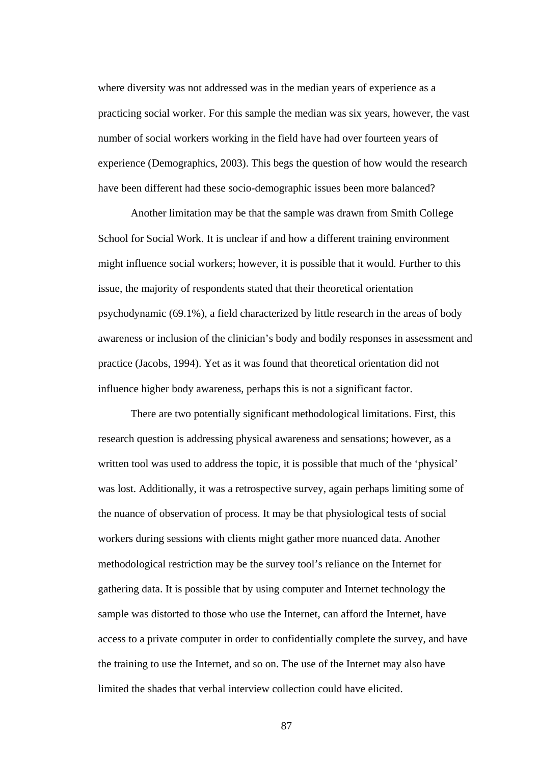where diversity was not addressed was in the median years of experience as a practicing social worker. For this sample the median was six years, however, the vast number of social workers working in the field have had over fourteen years of experience (Demographics, 2003). This begs the question of how would the research have been different had these socio-demographic issues been more balanced?

Another limitation may be that the sample was drawn from Smith College School for Social Work. It is unclear if and how a different training environment might influence social workers; however, it is possible that it would. Further to this issue, the majority of respondents stated that their theoretical orientation psychodynamic (69.1%), a field characterized by little research in the areas of body awareness or inclusion of the clinician's body and bodily responses in assessment and practice (Jacobs, 1994). Yet as it was found that theoretical orientation did not influence higher body awareness, perhaps this is not a significant factor.

There are two potentially significant methodological limitations. First, this research question is addressing physical awareness and sensations; however, as a written tool was used to address the topic, it is possible that much of the 'physical' was lost. Additionally, it was a retrospective survey, again perhaps limiting some of the nuance of observation of process. It may be that physiological tests of social workers during sessions with clients might gather more nuanced data. Another methodological restriction may be the survey tool's reliance on the Internet for gathering data. It is possible that by using computer and Internet technology the sample was distorted to those who use the Internet, can afford the Internet, have access to a private computer in order to confidentially complete the survey, and have the training to use the Internet, and so on. The use of the Internet may also have limited the shades that verbal interview collection could have elicited.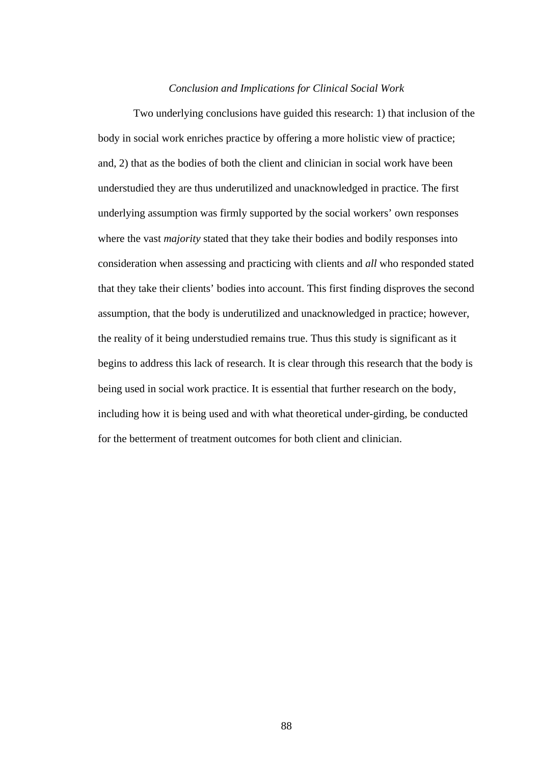## *Conclusion and Implications for Clinical Social Work*

 Two underlying conclusions have guided this research: 1) that inclusion of the body in social work enriches practice by offering a more holistic view of practice; and, 2) that as the bodies of both the client and clinician in social work have been understudied they are thus underutilized and unacknowledged in practice. The first underlying assumption was firmly supported by the social workers' own responses where the vast *majority* stated that they take their bodies and bodily responses into consideration when assessing and practicing with clients and *all* who responded stated that they take their clients' bodies into account. This first finding disproves the second assumption, that the body is underutilized and unacknowledged in practice; however, the reality of it being understudied remains true. Thus this study is significant as it begins to address this lack of research. It is clear through this research that the body is being used in social work practice. It is essential that further research on the body, including how it is being used and with what theoretical under-girding, be conducted for the betterment of treatment outcomes for both client and clinician.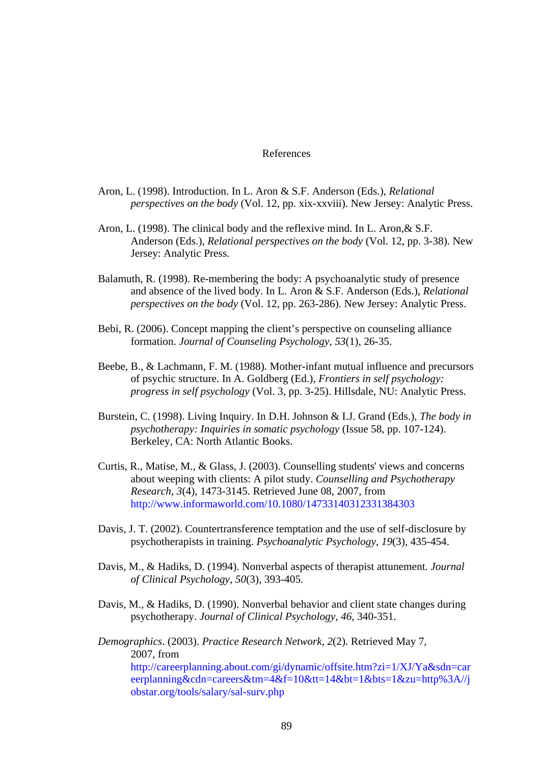## References

- Aron, L. (1998). Introduction. In L. Aron & S.F. Anderson (Eds.), *Relational perspectives on the body* (Vol. 12, pp. xix-xxviii). New Jersey: Analytic Press.
- Aron, L. (1998). The clinical body and the reflexive mind. In L. Aron,& S.F. Anderson (Eds.), *Relational perspectives on the body* (Vol. 12, pp. 3-38). New Jersey: Analytic Press.
- Balamuth, R. (1998). Re-membering the body: A psychoanalytic study of presence and absence of the lived body. In L. Aron & S.F. Anderson (Eds.), *Relational perspectives on the body* (Vol. 12, pp. 263-286). New Jersey: Analytic Press.
- Bebi, R. (2006). Concept mapping the client's perspective on counseling alliance formation. *Journal of Counseling Psychology*, *53*(1), 26-35.
- Beebe, B., & Lachmann, F. M. (1988). Mother-infant mutual influence and precursors of psychic structure. In A. Goldberg (Ed.), *Frontiers in self psychology: progress in self psychology* (Vol. 3, pp. 3-25). Hillsdale, NU: Analytic Press.
- Burstein, C. (1998). Living Inquiry. In D.H. Johnson & I.J. Grand (Eds.), *The body in psychotherapy: Inquiries in somatic psychology* (Issue 58, pp. 107-124). Berkeley, CA: North Atlantic Books.
- Curtis, R., Matise, M., & Glass, J. (2003). Counselling students' views and concerns about weeping with clients: A pilot study. *Counselling and Psychotherapy Research, 3*(4), 1473-3145. Retrieved June 08, 2007, from http://www.informaworld.com/10.1080/14733140312331384303
- Davis, J. T. (2002). Countertransference temptation and the use of self-disclosure by psychotherapists in training. *Psychoanalytic Psychology, 19*(3), 435-454.
- Davis, M., & Hadiks, D. (1994). Nonverbal aspects of therapist attunement*. Journal of Clinical Psychology, 50*(3), 393-405.
- Davis, M., & Hadiks, D. (1990). Nonverbal behavior and client state changes during psychotherapy. *Journal of Clinical Psychology, 46,* 340-351.
- *Demographics*. (2003). *Practice Research Network, 2*(2). Retrieved May 7, 2007, from http://careerplanning.about.com/gi/dynamic/offsite.htm?zi=1/XJ/Ya&sdn=car eerplanning&cdn=careers&tm=4&f=10&tt=14&bt=1&bts=1&zu=http%3A//j obstar.org/tools/salary/sal-surv.php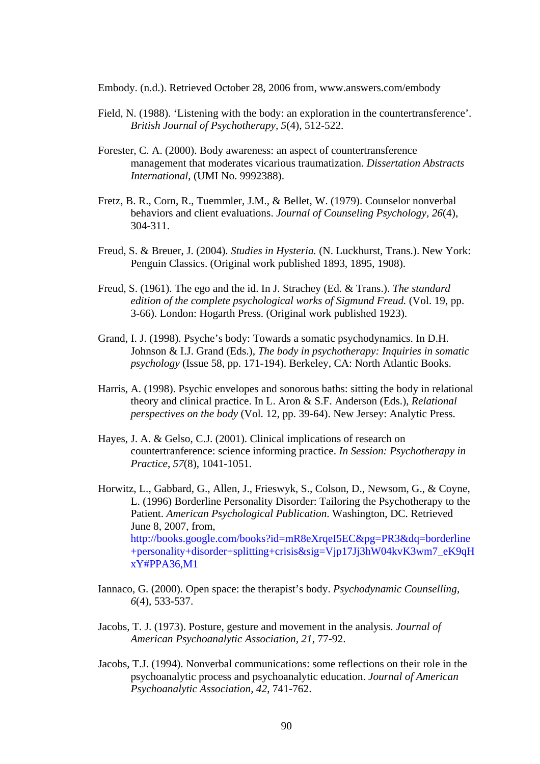Embody. (n.d.). Retrieved October 28, 2006 from, www.answers.com/embody

- Field, N. (1988). 'Listening with the body: an exploration in the countertransference'. *British Journal of Psychotherapy, 5*(4), 512-522.
- Forester, C. A. (2000). Body awareness: an aspect of countertransference management that moderates vicarious traumatization. *Dissertation Abstracts International*, (UMI No. 9992388).
- Fretz, B. R., Corn, R., Tuemmler, J.M., & Bellet, W. (1979). Counselor nonverbal behaviors and client evaluations. *Journal of Counseling Psychology, 26*(4), 304-311.
- Freud, S. & Breuer, J. (2004). *Studies in Hysteria.* (N. Luckhurst, Trans.). New York: Penguin Classics. (Original work published 1893, 1895, 1908).
- Freud, S. (1961). The ego and the id. In J. Strachey (Ed. & Trans.). *The standard edition of the complete psychological works of Sigmund Freud.* (Vol. 19, pp. 3-66). London: Hogarth Press. (Original work published 1923).
- Grand, I. J. (1998). Psyche's body: Towards a somatic psychodynamics. In D.H. Johnson & I.J. Grand (Eds.), *The body in psychotherapy: Inquiries in somatic psychology* (Issue 58, pp. 171-194). Berkeley, CA: North Atlantic Books.
- Harris, A. (1998). Psychic envelopes and sonorous baths: sitting the body in relational theory and clinical practice. In L. Aron & S.F. Anderson (Eds.), *Relational perspectives on the body* (Vol. 12, pp. 39-64). New Jersey: Analytic Press.
- Hayes, J. A. & Gelso, C.J. (2001). Clinical implications of research on countertranference: science informing practice. *In Session: Psychotherapy in Practice*, *57*(8), 1041-1051.
- Horwitz, L., Gabbard, G., Allen, J., Frieswyk, S., Colson, D., Newsom, G., & Coyne, L. (1996) Borderline Personality Disorder: Tailoring the Psychotherapy to the Patient. *American Psychological Publication*. Washington, DC. Retrieved June 8, 2007, from, http://books.google.com/books?id=mR8eXrqeI5EC&pg=PR3&dq=borderline +personality+disorder+splitting+crisis&sig=Vjp17Jj3hW04kvK3wm7\_eK9qH xY#PPA36,M1
- Iannaco, G. (2000). Open space: the therapist's body. *Psychodynamic Counselling, 6*(4), 533-537.
- Jacobs, T. J. (1973). Posture, gesture and movement in the analysis. *Journal of American Psychoanalytic Association, 21*, 77-92.
- Jacobs, T.J. (1994). Nonverbal communications: some reflections on their role in the psychoanalytic process and psychoanalytic education. *Journal of American Psychoanalytic Association, 42*, 741-762.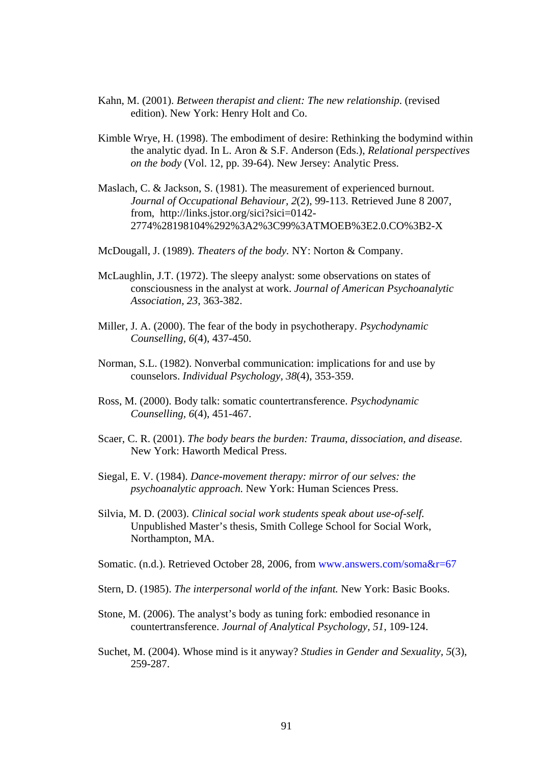- Kahn, M. (2001). *Between therapist and client: The new relationship*. (revised edition). New York: Henry Holt and Co.
- Kimble Wrye, H. (1998). The embodiment of desire: Rethinking the bodymind within the analytic dyad. In L. Aron & S.F. Anderson (Eds.), *Relational perspectives on the body* (Vol. 12, pp. 39-64). New Jersey: Analytic Press.
- Maslach, C. & Jackson, S. (1981). The measurement of experienced burnout. *Journal of Occupational Behaviour, 2*(2), 99-113. Retrieved June 8 2007, from, http://links.jstor.org/sici?sici=0142-2774%28198104%292%3A2%3C99%3ATMOEB%3E2.0.CO%3B2-X
- McDougall, J. (1989). *Theaters of the body.* NY: Norton & Company.
- McLaughlin, J.T. (1972). The sleepy analyst: some observations on states of consciousness in the analyst at work. *Journal of American Psychoanalytic Association, 23*, 363-382.
- Miller, J. A. (2000). The fear of the body in psychotherapy. *Psychodynamic Counselling, 6*(4), 437-450.
- Norman, S.L. (1982). Nonverbal communication: implications for and use by counselors. *Individual Psychology, 38*(4), 353-359.
- Ross, M. (2000). Body talk: somatic countertransference. *Psychodynamic Counselling, 6*(4), 451-467.
- Scaer, C. R. (2001). *The body bears the burden: Trauma, dissociation, and disease.*  New York: Haworth Medical Press.
- Siegal, E. V. (1984). *Dance-movement therapy: mirror of our selves: the psychoanalytic approach.* New York: Human Sciences Press.
- Silvia, M. D. (2003). *Clinical social work students speak about use-of-self.*  Unpublished Master's thesis, Smith College School for Social Work, Northampton, MA.

Somatic. (n.d.). Retrieved October 28, 2006, from www.answers.com/soma&r=67

- Stern, D. (1985). *The interpersonal world of the infant.* New York: Basic Books.
- Stone, M. (2006). The analyst's body as tuning fork: embodied resonance in countertransference. *Journal of Analytical Psychology, 51,* 109-124.
- Suchet, M. (2004). Whose mind is it anyway? *Studies in Gender and Sexuality, 5*(3), 259-287.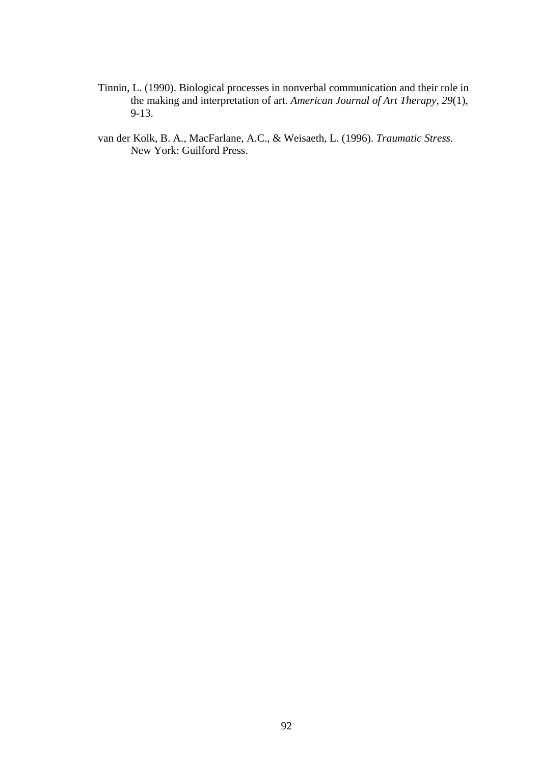- Tinnin, L. (1990). Biological processes in nonverbal communication and their role in the making and interpretation of art. *American Journal of Art Therapy*, *29*(1), 9-13.
- van der Kolk, B. A., MacFarlane, A.C., & Weisaeth, L. (1996). *Traumatic Stress.*  New York: Guilford Press.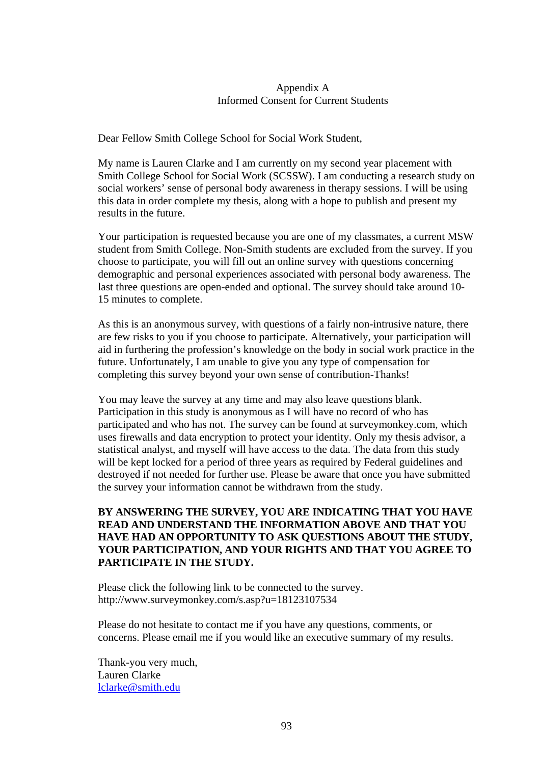## Appendix A Informed Consent for Current Students

Dear Fellow Smith College School for Social Work Student,

My name is Lauren Clarke and I am currently on my second year placement with Smith College School for Social Work (SCSSW). I am conducting a research study on social workers' sense of personal body awareness in therapy sessions. I will be using this data in order complete my thesis, along with a hope to publish and present my results in the future.

Your participation is requested because you are one of my classmates, a current MSW student from Smith College. Non-Smith students are excluded from the survey. If you choose to participate, you will fill out an online survey with questions concerning demographic and personal experiences associated with personal body awareness. The last three questions are open-ended and optional. The survey should take around 10- 15 minutes to complete.

As this is an anonymous survey, with questions of a fairly non-intrusive nature, there are few risks to you if you choose to participate. Alternatively, your participation will aid in furthering the profession's knowledge on the body in social work practice in the future. Unfortunately, I am unable to give you any type of compensation for completing this survey beyond your own sense of contribution-Thanks!

You may leave the survey at any time and may also leave questions blank. Participation in this study is anonymous as I will have no record of who has participated and who has not. The survey can be found at surveymonkey.com, which uses firewalls and data encryption to protect your identity. Only my thesis advisor, a statistical analyst, and myself will have access to the data. The data from this study will be kept locked for a period of three years as required by Federal guidelines and destroyed if not needed for further use. Please be aware that once you have submitted the survey your information cannot be withdrawn from the study.

# **BY ANSWERING THE SURVEY, YOU ARE INDICATING THAT YOU HAVE READ AND UNDERSTAND THE INFORMATION ABOVE AND THAT YOU HAVE HAD AN OPPORTUNITY TO ASK QUESTIONS ABOUT THE STUDY, YOUR PARTICIPATION, AND YOUR RIGHTS AND THAT YOU AGREE TO PARTICIPATE IN THE STUDY.**

Please click the following link to be connected to the survey. http://www.surveymonkey.com/s.asp?u=18123107534

Please do not hesitate to contact me if you have any questions, comments, or concerns. Please email me if you would like an executive summary of my results.

Thank-you very much, Lauren Clarke lclarke@smith.edu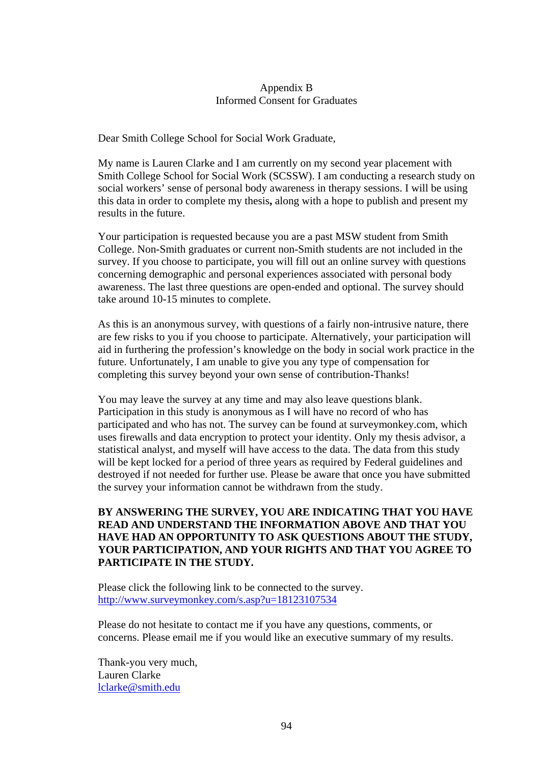## Appendix B Informed Consent for Graduates

Dear Smith College School for Social Work Graduate,

My name is Lauren Clarke and I am currently on my second year placement with Smith College School for Social Work (SCSSW). I am conducting a research study on social workers' sense of personal body awareness in therapy sessions. I will be using this data in order to complete my thesis**,** along with a hope to publish and present my results in the future.

Your participation is requested because you are a past MSW student from Smith College. Non-Smith graduates or current non-Smith students are not included in the survey. If you choose to participate, you will fill out an online survey with questions concerning demographic and personal experiences associated with personal body awareness. The last three questions are open-ended and optional. The survey should take around 10-15 minutes to complete.

As this is an anonymous survey, with questions of a fairly non-intrusive nature, there are few risks to you if you choose to participate. Alternatively, your participation will aid in furthering the profession's knowledge on the body in social work practice in the future. Unfortunately, I am unable to give you any type of compensation for completing this survey beyond your own sense of contribution-Thanks!

You may leave the survey at any time and may also leave questions blank. Participation in this study is anonymous as I will have no record of who has participated and who has not. The survey can be found at surveymonkey.com, which uses firewalls and data encryption to protect your identity. Only my thesis advisor, a statistical analyst, and myself will have access to the data. The data from this study will be kept locked for a period of three years as required by Federal guidelines and destroyed if not needed for further use. Please be aware that once you have submitted the survey your information cannot be withdrawn from the study.

# **BY ANSWERING THE SURVEY, YOU ARE INDICATING THAT YOU HAVE READ AND UNDERSTAND THE INFORMATION ABOVE AND THAT YOU HAVE HAD AN OPPORTUNITY TO ASK QUESTIONS ABOUT THE STUDY, YOUR PARTICIPATION, AND YOUR RIGHTS AND THAT YOU AGREE TO PARTICIPATE IN THE STUDY.**

Please click the following link to be connected to the survey. http://www.surveymonkey.com/s.asp?u=18123107534

Please do not hesitate to contact me if you have any questions, comments, or concerns. Please email me if you would like an executive summary of my results.

Thank-you very much, Lauren Clarke lclarke@smith.edu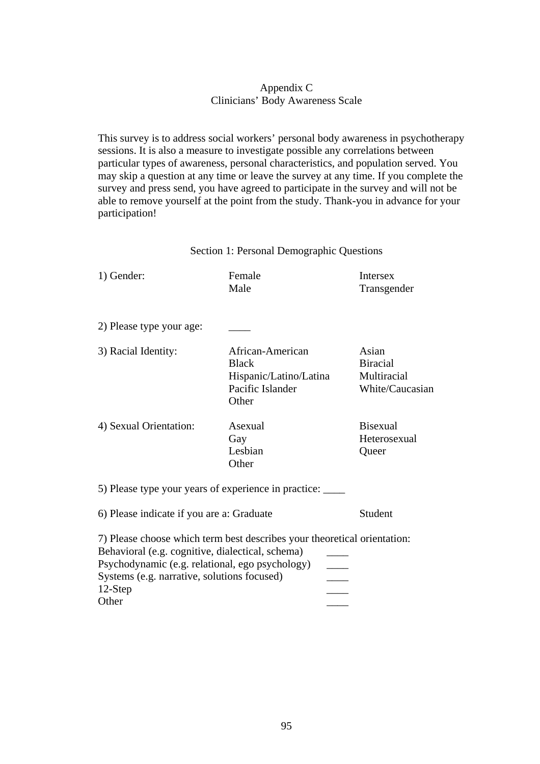# Appendix C Clinicians' Body Awareness Scale

This survey is to address social workers' personal body awareness in psychotherapy sessions. It is also a measure to investigate possible any correlations between particular types of awareness, personal characteristics, and population served. You may skip a question at any time or leave the survey at any time. If you complete the survey and press send, you have agreed to participate in the survey and will not be able to remove yourself at the point from the study. Thank-you in advance for your participation!

| 1) Gender:                                                                                                                                                                                                                                         | Female<br>Male                                                                          | Intersex<br>Transgender                                    |
|----------------------------------------------------------------------------------------------------------------------------------------------------------------------------------------------------------------------------------------------------|-----------------------------------------------------------------------------------------|------------------------------------------------------------|
| 2) Please type your age:                                                                                                                                                                                                                           |                                                                                         |                                                            |
| 3) Racial Identity:                                                                                                                                                                                                                                | African-American<br><b>Black</b><br>Hispanic/Latino/Latina<br>Pacific Islander<br>Other | Asian<br><b>Biracial</b><br>Multiracial<br>White/Caucasian |
| 4) Sexual Orientation:                                                                                                                                                                                                                             | Asexual<br>Gay<br>Lesbian<br>Other                                                      | <b>Bisexual</b><br>Heterosexual<br>Queer                   |
| 5) Please type your years of experience in practice:                                                                                                                                                                                               |                                                                                         |                                                            |
| 6) Please indicate if you are a: Graduate                                                                                                                                                                                                          |                                                                                         | Student                                                    |
| 7) Please choose which term best describes your theoretical orientation:<br>Behavioral (e.g. cognitive, dialectical, schema)<br>Psychodynamic (e.g. relational, ego psychology)<br>Systems (e.g. narrative, solutions focused)<br>12-Step<br>Other |                                                                                         |                                                            |

Section 1: Personal Demographic Questions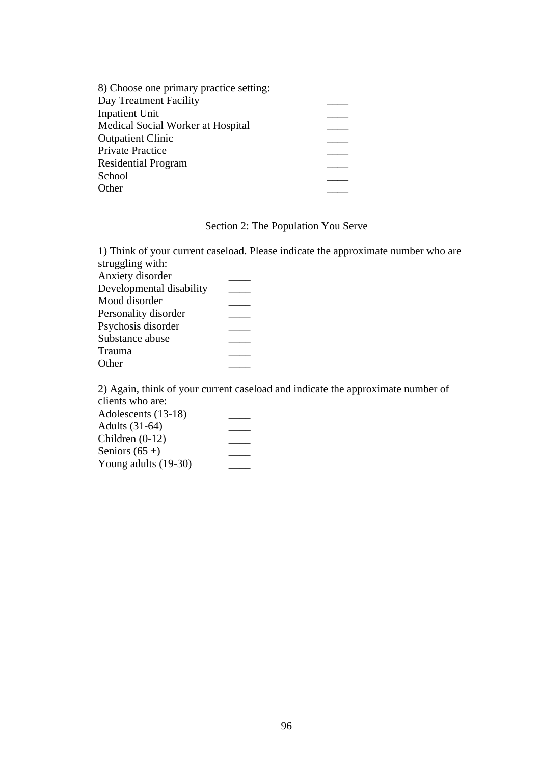| 8) Choose one primary practice setting: |  |
|-----------------------------------------|--|
| Day Treatment Facility                  |  |
| <b>Inpatient Unit</b>                   |  |
| Medical Social Worker at Hospital       |  |
| <b>Outpatient Clinic</b>                |  |
| <b>Private Practice</b>                 |  |
| <b>Residential Program</b>              |  |
| School                                  |  |
| Other                                   |  |

# Section 2: The Population You Serve

1) Think of your current caseload. Please indicate the approximate number who are struggling with:

| Anxiety disorder         |  |
|--------------------------|--|
| Developmental disability |  |
| Mood disorder            |  |
| Personality disorder     |  |
| Psychosis disorder       |  |
| Substance abuse          |  |
| Trauma                   |  |
| Other                    |  |
|                          |  |

2) Again, think of your current caseload and indicate the approximate number of clients who are:

| Adolescents (13-18)  |  |
|----------------------|--|
| Adults (31-64)       |  |
| Children $(0-12)$    |  |
| Seniors $(65 + )$    |  |
| Young adults (19-30) |  |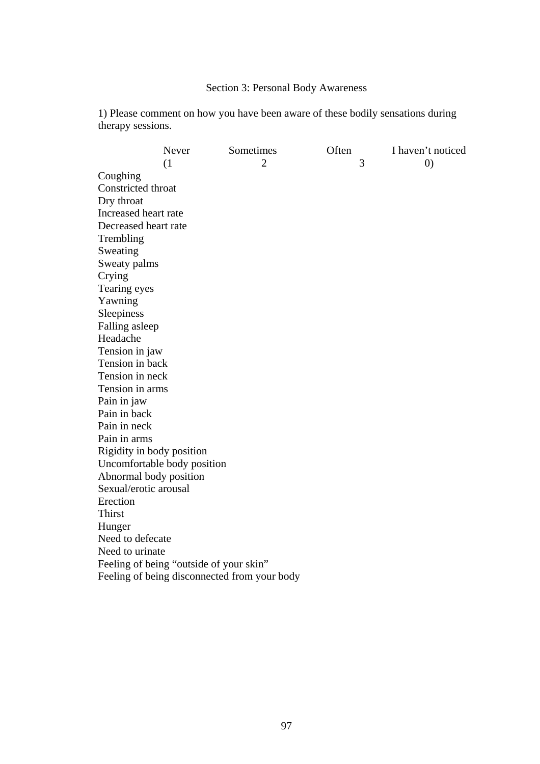# Section 3: Personal Body Awareness

1) Please comment on how you have been aware of these bodily sensations during therapy sessions.

|                       | Never                       | Sometimes                                    | Often | I haven't noticed |
|-----------------------|-----------------------------|----------------------------------------------|-------|-------------------|
|                       | (1)                         | $\overline{2}$                               | 3     | $\left( 0\right)$ |
| Coughing              |                             |                                              |       |                   |
| Constricted throat    |                             |                                              |       |                   |
| Dry throat            |                             |                                              |       |                   |
| Increased heart rate  |                             |                                              |       |                   |
| Decreased heart rate  |                             |                                              |       |                   |
| Trembling             |                             |                                              |       |                   |
| Sweating              |                             |                                              |       |                   |
| Sweaty palms          |                             |                                              |       |                   |
| Crying                |                             |                                              |       |                   |
| Tearing eyes          |                             |                                              |       |                   |
| Yawning               |                             |                                              |       |                   |
| Sleepiness            |                             |                                              |       |                   |
| Falling asleep        |                             |                                              |       |                   |
| Headache              |                             |                                              |       |                   |
| Tension in jaw        |                             |                                              |       |                   |
| Tension in back       |                             |                                              |       |                   |
| Tension in neck       |                             |                                              |       |                   |
| Tension in arms       |                             |                                              |       |                   |
| Pain in jaw           |                             |                                              |       |                   |
| Pain in back          |                             |                                              |       |                   |
| Pain in neck          |                             |                                              |       |                   |
| Pain in arms          |                             |                                              |       |                   |
|                       | Rigidity in body position   |                                              |       |                   |
|                       | Uncomfortable body position |                                              |       |                   |
|                       | Abnormal body position      |                                              |       |                   |
| Sexual/erotic arousal |                             |                                              |       |                   |
| Erection              |                             |                                              |       |                   |
| Thirst                |                             |                                              |       |                   |
| Hunger                |                             |                                              |       |                   |
| Need to defecate      |                             |                                              |       |                   |
| Need to urinate       |                             |                                              |       |                   |
|                       |                             | Feeling of being "outside of your skin"      |       |                   |
|                       |                             | Feeling of being disconnected from your body |       |                   |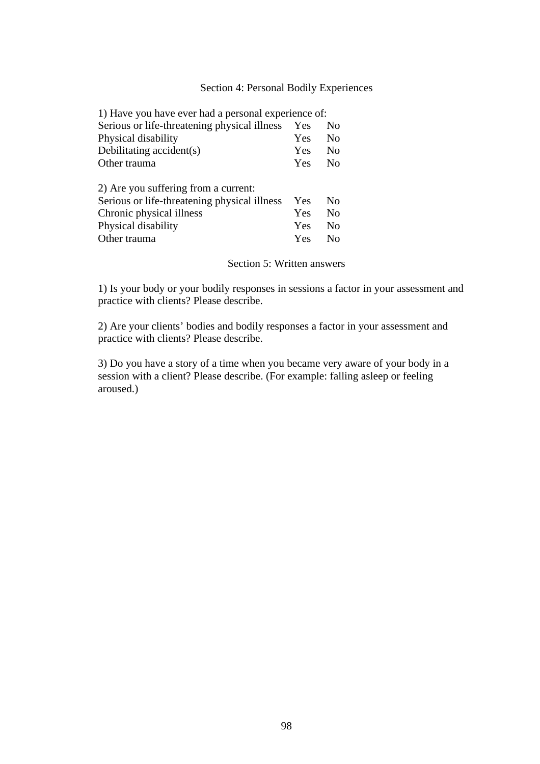## Section 4: Personal Bodily Experiences

| 1) Have you have ever had a personal experience of: |     |                |
|-----------------------------------------------------|-----|----------------|
| Serious or life-threatening physical illness        | Yes | No             |
| Physical disability                                 | Yes | No             |
| Debilitating accident(s)                            | Yes | No             |
| Other trauma                                        | Yes | N <sub>0</sub> |
| 2) Are you suffering from a current:                |     |                |
| Serious or life-threatening physical illness        | Yes | No             |
| Chronic physical illness                            | Yes | No             |
| Physical disability                                 | Yes | No             |
| Other trauma                                        | Yes | $N_{\Omega}$   |

## Section 5: Written answers

1) Is your body or your bodily responses in sessions a factor in your assessment and practice with clients? Please describe.

2) Are your clients' bodies and bodily responses a factor in your assessment and practice with clients? Please describe.

3) Do you have a story of a time when you became very aware of your body in a session with a client? Please describe. (For example: falling asleep or feeling aroused.)